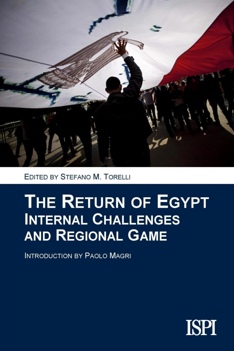

EDITED BY STEFANO M. TORELLI

# **THE RETURN OF EGYPT INTERNAL CHALLENGES AND REGIONAL GAME**

**INTRODUCTION BY PAOLO MAGRI** 

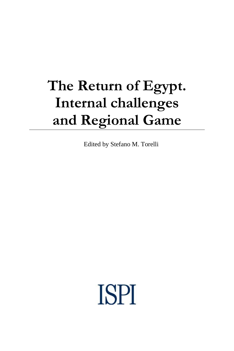# **The Return of Egypt. Internal challenges and Regional Game**

Edited by Stefano M. Torelli

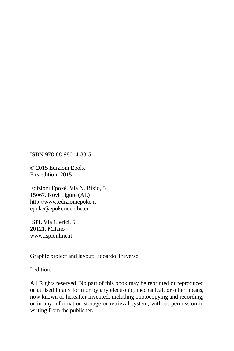ISBN 978-88-98014-83-5

© 2015 Edizioni Epoké Firs edition: 2015

Edizioni Epoké. Via N. Bixio, 5 15067, Novi Ligure (AL) http://www.edizioniepoke.it epoke@epokericerche.eu

ISPI. Via Clerici, 5 20121, Milano www.ispionline.it

Graphic project and layout: Edoardo Traverso

I edition.

All Rights reserved. No part of this book may be reprinted or reproduced or utilised in any form or by any electronic, mechanical, or other means, now known or hereafter invented, including photocopying and recording, or in any information storage or retrieval system, without permission in writing from the publisher.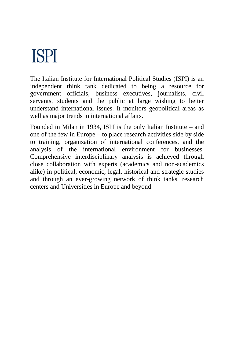# **ISPI**

The Italian Institute for International Political Studies (ISPI) is an independent think tank dedicated to being a resource for government officials, business executives, journalists, civil servants, students and the public at large wishing to better understand international issues. It monitors geopolitical areas as well as major trends in international affairs.

Founded in Milan in 1934, ISPI is the only Italian Institute – and one of the few in Europe – to place research activities side by side to training, organization of international conferences, and the analysis of the international environment for businesses. Comprehensive interdisciplinary analysis is achieved through close collaboration with experts (academics and non-academics alike) in political, economic, legal, historical and strategic studies and through an ever-growing network of think tanks, research centers and Universities in Europe and beyond.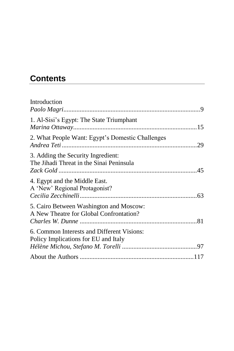# **Contents**

| Introduction                                                                       |  |
|------------------------------------------------------------------------------------|--|
| 1. Al-Sisi's Egypt: The State Triumphant                                           |  |
| 2. What People Want: Egypt's Domestic Challenges                                   |  |
| 3. Adding the Security Ingredient:<br>The Jihadi Threat in the Sinai Peninsula     |  |
| 4. Egypt and the Middle East.<br>A 'New' Regional Protagonist?                     |  |
| 5. Cairo Between Washington and Moscow:<br>A New Theatre for Global Confrontation? |  |
| 6. Common Interests and Different Visions:<br>Policy Implications for EU and Italy |  |
|                                                                                    |  |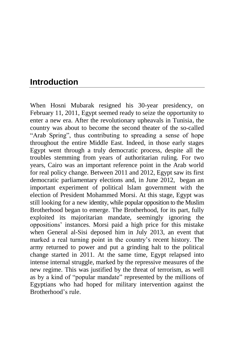## <span id="page-10-0"></span>**Introduction**

When Hosni Mubarak resigned his 30-year presidency, on February 11, 2011, Egypt seemed ready to seize the opportunity to enter a new era. After the revolutionary upheavals in Tunisia, the country was about to become the second theater of the so-called "Arab Spring", thus contributing to spreading a sense of hope throughout the entire Middle East. Indeed, in those early stages Egypt went through a truly democratic process, despite all the troubles stemming from years of authoritarian ruling. For two years, Cairo was an important reference point in the Arab world for real policy change. Between 2011 and 2012, Egypt saw its first democratic parliamentary elections and, in June 2012, began an important experiment of political Islam government with the election of President Mohammed Morsi. At this stage, Egypt was still looking for a new identity, while popular opposition to the Muslim Brotherhood began to emerge. The Brotherhood, for its part, fully exploited its majoritarian mandate, seemingly ignoring the oppositions' instances. Morsi paid a high price for this mistake when General al-Sisi deposed him in July 2013, an event that marked a real turning point in the country's recent history. The army returned to power and put a grinding halt to the political change started in 2011. At the same time, Egypt relapsed into intense internal struggle, marked by the repressive measures of the new regime. This was justified by the threat of terrorism, as well as by a kind of "popular mandate" represented by the millions of Egyptians who had hoped for military intervention against the Brotherhood's rule.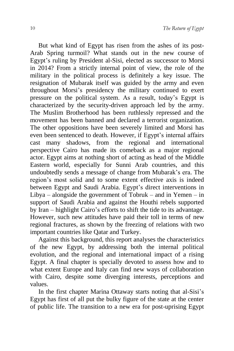But what kind of Egypt has risen from the ashes of its post-Arab Spring turmoil? What stands out in the new course of Egypt's ruling by President al-Sisi, elected as successor to Morsi in 2014? From a strictly internal point of view, the role of the military in the political process is definitely a key issue. The resignation of Mubarak itself was guided by the army and even throughout Morsi's presidency the military continued to exert pressure on the political system. As a result, today's Egypt is characterized by the security-driven approach led by the army. The Muslim Brotherhood has been ruthlessly repressed and the movement has been banned and declared a terrorist organization. The other oppositions have been severely limited and Morsi has even been sentenced to death. However, if Egypt's internal affairs cast many shadows, from the regional and international perspective Cairo has made its comeback as a major regional actor. Egypt aims at nothing short of acting as head of the Middle Eastern world, especially for Sunni Arab countries, and this undoubtedly sends a message of change from Mubarak's era. The region's most solid and to some extent effective axis is indeed between Egypt and Saudi Arabia. Egypt's direct interventions in Libya – alongside the government of Tobruk – and in Yemen – in support of Saudi Arabia and against the Houthi rebels supported by Iran – highlight Cairo's efforts to shift the tide to its advantage. However, such new attitudes have paid their toll in terms of new regional fractures, as shown by the freezing of relations with two important countries like Qatar and Turkey.

Against this background, this report analyses the characteristics of the new Egypt, by addressing both the internal political evolution, and the regional and international impact of a rising Egypt. A final chapter is specially devoted to assess how and to what extent Europe and Italy can find new ways of collaboration with Cairo, despite some diverging interests, perceptions and values.

In the first chapter Marina Ottaway starts noting that al-Sisi's Egypt has first of all put the bulky figure of the state at the center of public life. The transition to a new era for post-uprising Egypt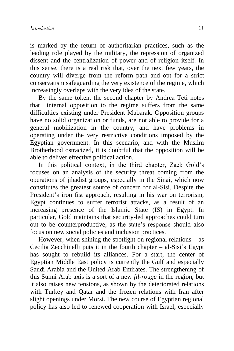is marked by the return of authoritarian practices, such as the leading role played by the military, the repression of organized dissent and the centralization of power and of religion itself. In this sense, there is a real risk that, over the next few years, the country will diverge from the reform path and opt for a strict conservatism safeguarding the very existence of the regime, which increasingly overlaps with the very idea of the state.

By the same token, the second chapter by Andrea Teti notes that internal opposition to the regime suffers from the same difficulties existing under President Mubarak. Opposition groups have no solid organization or funds, are not able to provide for a general mobilization in the country, and have problems in operating under the very restrictive conditions imposed by the Egyptian government. In this scenario, and with the Muslim Brotherhood ostracized, it is doubtful that the opposition will be able to deliver effective political action.

In this political context, in the third chapter, Zack Gold's focuses on an analysis of the security threat coming from the operations of jihadist groups, especially in the Sinai, which now constitutes the greatest source of concern for al-Sisi. Despite the President's iron fist approach, resulting in his war on terrorism. Egypt continues to suffer terrorist attacks, as a result of an increasing presence of the Islamic State (IS) in Egypt. In particular, Gold maintains that security-led approaches could turn out to be counterproductive, as the state's response should also focus on new social policies and inclusion practices.

However, when shining the spotlight on regional relations  $-$  as Cecilia Zecchinelli puts it in the fourth chapter – al-Sisi's Egypt has sought to rebuild its alliances. For a start, the center of Egyptian Middle East policy is currently the Gulf and especially Saudi Arabia and the United Arab Emirates. The strengthening of this Sunni Arab axis is a sort of a new *fil-rouge* in the region, but it also raises new tensions, as shown by the deteriorated relations with Turkey and Qatar and the frozen relations with Iran after slight openings under Morsi. The new course of Egyptian regional policy has also led to renewed cooperation with Israel, especially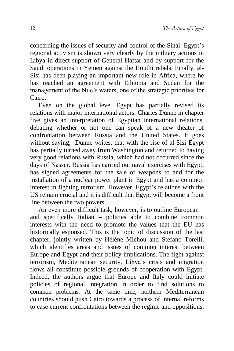concerning the issues of security and control of the Sinai. Egypt's regional activism is shown very clearly by the military actions in Libya in direct support of General Haftar and by support for the Saudi operations in Yemen against the Houthi rebels. Finally, al-Sisi has been playing an important new role in Africa, where he has reached an agreement with Ethiopia and Sudan for the management of the Nile's waters, one of the strategic priorities for Cairo.

Even on the global level Egypt has partially revised its relations with major international actors. Charles Dunne in chapter five gives an interpretation of Egyptian international relations, debating whether or not one can speak of a new theater of confrontation between Russia and the United States. It goes without saying, Dunne writes, that with the rise of al-Sisi Egypt has partially turned away from Washington and returned to having very good relations with Russia, which had not occurred since the days of Nasser. Russia has carried out naval exercises with Egypt, has signed agreements for the sale of weapons to and for the installation of a nuclear power plant in Egypt and has a common interest in fighting terrorism. However, Egypt's relations with the US remain crucial and it is difficult that Egypt will become a front line between the two powers.

An even more difficult task, however, is to outline European – and specifically Italian – policies able to combine common interests with the need to promote the values that the EU has historically espoused. This is the topic of discussion of the last chapter, jointly written by Hélène Michou and Stefano Torelli, which identifies areas and issues of common interest between Europe and Egypt and their policy implications. The fight against terrorism, Mediterranean security, Libya's crisis and migration flows all constitute possible grounds of cooperation with Egypt. Indeed, the authors argue that Europe and Italy could initiate policies of regional integration in order to find solutions to common problems. At the same time, northern Mediterranean countries should push Cairo towards a process of internal reforms to ease current confrontations between the regime and oppositions.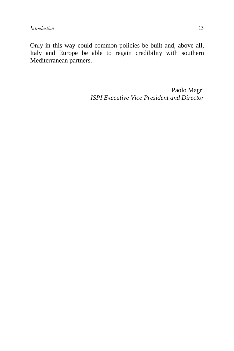Only in this way could common policies be built and, above all, Italy and Europe be able to regain credibility with southern Mediterranean partners.

> Paolo Magri *ISPI Executive Vice President and Director*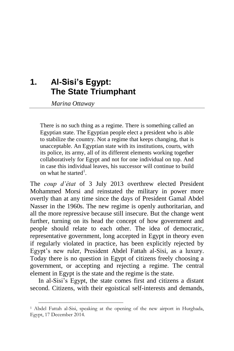## <span id="page-16-0"></span>**1. Al-Sisi's Egypt: The State Triumphant**

*Marina Ottaway*

-

There is no such thing as a regime. There is something called an Egyptian state. The Egyptian people elect a president who is able to stabilize the country. Not a regime that keeps changing, that is unacceptable. An Egyptian state with its institutions, courts, with its police, its army, all of its different elements working together collaboratively for Egypt and not for one individual on top. And in case this individual leaves, his successor will continue to build on what he started<sup>1</sup>.

The *coup d'état* of 3 July 2013 overthrew elected President Mohammed Morsi and reinstated the military in power more overtly than at any time since the days of President Gamal Abdel Nasser in the 1960s. The new regime is openly authoritarian, and all the more repressive because still insecure. But the change went further, turning on its head the concept of how government and people should relate to each other. The idea of democratic, representative government, long accepted in Egypt in theory even if regularly violated in practice, has been explicitly rejected by Egypt's new ruler, President Abdel Fattah al-Sisi, as a luxury. Today there is no question in Egypt of citizens freely choosing a government, or accepting and rejecting a regime. The central element in Egypt is the state and the regime is the state.

In al-Sisi's Egypt, the state comes first and citizens a distant second. Citizens, with their egoistical self-interests and demands,

<sup>1</sup> Abdel Fattah al-Sisi, speaking at the opening of the new airport in Hurghada, Egypt, 17 December 2014.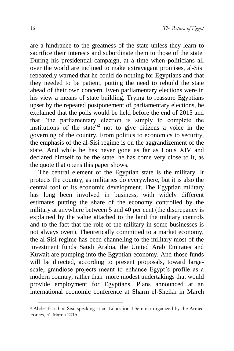are a hindrance to the greatness of the state unless they learn to sacrifice their interests and subordinate them to those of the state. During his presidential campaign, at a time when politicians all over the world are inclined to make extravagant promises, al-Sisi repeatedly warned that he could do nothing for Egyptians and that they needed to be patient, putting the need to rebuild the state ahead of their own concern. Even parliamentary elections were in his view a means of state building. Trying to reassure Egyptians upset by the repeated postponement of parliamentary elections, he explained that the polls would be held before the end of 2015 and that "the parliamentary election is simply to complete the institutions of the state"<sup>2</sup> not to give citizens a voice in the governing of the country. From politics to economics to security, the emphasis of the al-Sisi regime is on the aggrandizement of the state. And while he has never gone as far as Louis XIV and declared himself to be the state, he has come very close to it, as the quote that opens this paper shows.

The central element of the Egyptian state is the military. It protects the country, as militaries do everywhere, but it is also the central tool of its economic development. The Egyptian military has long been involved in business, with widely different estimates putting the share of the economy controlled by the military at anywhere between 5 and 40 per cent (the discrepancy is explained by the value attached to the land the military controls and to the fact that the role of the military in some businesses is not always overt). Theoretically committed to a market economy, the al-Sisi regime has been channeling to the military most of the investment funds Saudi Arabia, the United Arab Emirates and Kuwait are pumping into the Egyptian economy. And those funds will be directed, according to present proposals, toward largescale, grandiose projects meant to enhance Egypt's profile as a modern country, rather than more modest undertakings that would provide employment for Egyptians. Plans announced at an international economic conference at Sharm el-Sheikh in March

-

<sup>2</sup> Abdel Fattah al-Sisi, speaking at an Educational Seminar organized by the Armed Forces, 31 March 2015.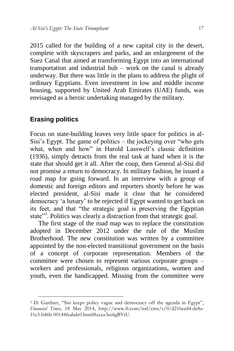2015 called for the building of a new capital city in the desert, complete with skyscrapers and parks, and an enlargement of the Suez Canal that aimed at transforming Egypt into an international transportation and industrial hub – work on the canal is already underway. But there was little in the plans to address the plight of ordinary Egyptians. Even investment in low and middle income housing, supported by United Arab Emirates (UAE) funds, was envisaged as a heroic undertaking managed by the military.

#### **Erasing politics**

1

Focus on state-building leaves very little space for politics in al-Sisi's Egypt. The game of politics – the jockeying over "who gets what, when and how" in Harold Lasswell's classic definition (1936), simply detracts from the real task at hand when it is the state that should get it all. After the coup, then General al-Sisi did not promise a return to democracy. In military fashion, he issued a road map for going forward. In an interview with a group of domestic and foreign editors and reporters shortly before he was elected president, al-Sisi made it clear that he considered democracy 'a luxury' to be rejected if Egypt wanted to get back on its feet, and that "the strategic goal is preserving the Egyptian state"<sup>3</sup>. Politics was clearly a distraction from that strategic goal.

The first stage of the road map was to replace the constitution adopted in December 2012 under the rule of the Muslim Brotherhood. The new constitution was written by a committee appointed by the non-elected transitional government on the basis of a concept of corporate representation. Members of the committee were chosen to represent various corporate groups – workers and professionals, religious organizations, women and youth, even the handicapped. Missing from the committee were

<sup>&</sup>lt;sup>3</sup> D. Gardner, "Sisi keeps policy vague and democracy off the agenda in Egypt", *Financial Times*, 18 May 2014, [http://www.ft.com/intl/cms/s/0/d216eed4-de8a-](http://www.ft.com/intl/cms/s/0/d216eed4-de8a-11e3-b46b-00144feabdc0.html%23axzz3ee6gBVtU.)[11e3-b46b-00144feabdc0.html#axzz3ee6gBVtU.](http://www.ft.com/intl/cms/s/0/d216eed4-de8a-11e3-b46b-00144feabdc0.html%23axzz3ee6gBVtU.)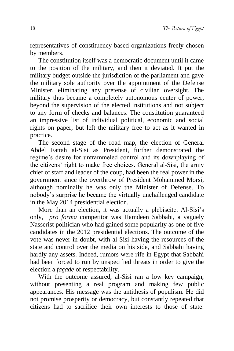representatives of constituency-based organizations freely chosen by members.

The constitution itself was a democratic document until it came to the position of the military, and then it deviated. It put the military budget outside the jurisdiction of the parliament and gave the military sole authority over the appointment of the Defense Minister, eliminating any pretense of civilian oversight. The military thus became a completely autonomous center of power, beyond the supervision of the elected institutions and not subject to any form of checks and balances. The constitution guaranteed an impressive list of individual political, economic and social rights on paper, but left the military free to act as it wanted in practice.

The second stage of the road map, the election of General Abdel Fattah al-Sisi as President, further demonstrated the regime's desire for untrammeled control and its downplaying of the citizens' right to make free choices. General al-Sisi, the army chief of staff and leader of the coup, had been the real power in the government since the overthrow of President Mohammed Morsi, although nominally he was only the Minister of Defense. To nobody's surprise he became the virtually unchallenged candidate in the May 2014 presidential election.

More than an election, it was actually a plebiscite. Al-Sisi's only, *pro forma* competitor was Hamdeen Sabbahi, a vaguely Nasserist politician who had gained some popularity as one of five candidates in the 2012 presidential elections. The outcome of the vote was never in doubt, with al-Sisi having the resources of the state and control over the media on his side, and Sabbahi having hardly any assets. Indeed, rumors were rife in Egypt that Sabbahi had been forced to run by unspecified threats in order to give the election a *façade* of respectability.

With the outcome assured, al-Sisi ran a low key campaign, without presenting a real program and making few public appearances. His message was the antithesis of populism. He did not promise prosperity or democracy, but constantly repeated that citizens had to sacrifice their own interests to those of state.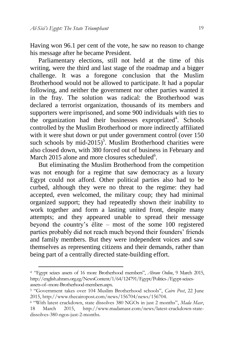1

Having won 96.1 per cent of the vote, he saw no reason to change his message after he became President.

Parliamentary elections, still not held at the time of this writing, were the third and last stage of the roadmap and a bigger challenge. It was a foregone conclusion that the Muslim Brotherhood would not be allowed to participate. It had a popular following, and neither the government nor other parties wanted it in the fray. The solution was radical: the Brotherhood was declared a terrorist organization, thousands of its members and supporters were imprisoned, and some 900 individuals with ties to the organization had their businesses expropriated<sup>4</sup>. Schools controlled by the Muslim Brotherhood or more indirectly affiliated with it were shut down or put under government control (over 150) such schools by mid-2015)<sup>5</sup>. Muslim Brotherhood charities were also closed down, with 380 forced out of business in February and March 2015 alone and more closures scheduled<sup>6</sup>.

But eliminating the Muslim Brotherhood from the competition was not enough for a regime that saw democracy as a luxury Egypt could not afford. Other political parties also had to be curbed, although they were no threat to the regime: they had accepted, even welcomed, the military coup; they had minimal organized support; they had repeatedly shown their inability to work together and form a lasting united front, despite many attempts; and they appeared unable to spread their message beyond the country's élite – most of the some 100 registered parties probably did not reach much beyond their founders' friends and family members. But they were independent voices and saw themselves as representing citizens and their demands, rather than being part of a centrally directed state-building effort.

<sup>4</sup> "Egypt seizes assets of 16 more Brotherhood members", *Ahram Online*, 9 March 2015, http://english.ahram.org.eg/NewsContent/1/64/124791/Egypt/Politics-/Egypt-seizesassets-of--more-Brotherhood-members.aspx.

<sup>5</sup> "Government takes over 104 Muslim Brotherhood schools", *Cairo Post*, 22 June 2015, http://www.thecairopost.com/news/156704/news/156704.

<sup>6</sup> "With latest crackdown, state dissolves 380 NGOs in just 2 months", *Mada Masr*, 18 March 2015, http://www.madamasr.com/news/latest-crackdown-statedissolves-380-ngos-just-2-months.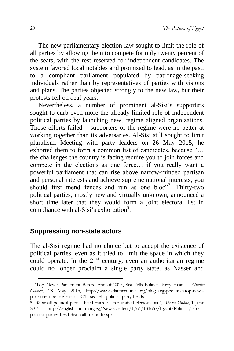The new parliamentary election law sought to limit the role of all parties by allowing them to compete for only twenty percent of the seats, with the rest reserved for independent candidates. The system favored local notables and promised to lead, as in the past, to a compliant parliament populated by patronage-seeking individuals rather than by representatives of parties with visions and plans. The parties objected strongly to the new law, but their protests fell on deaf years.

Nevertheless, a number of prominent al-Sisi's supporters sought to curb even more the already limited role of independent political parties by launching new, regime aligned organizations. Those efforts failed – supporters of the regime were no better at working together than its adversaries. Al-Sisi still sought to limit pluralism. Meeting with party leaders on 26 May 2015, he exhorted them to form a common list of candidates, because "… the challenges the country is facing require you to join forces and compete in the elections as one force… if you really want a powerful parliament that can rise above narrow-minded partisan and personal interests and achieve supreme national interests, you should first mend fences and run as one bloc"<sup>7</sup>. Thirty-two political parties, mostly new and virtually unknown, announced a short time later that they would form a joint electoral list in compliance with al-Sisi's exhortation<sup>8</sup>.

#### **Suppressing non-state actors**

1

The al-Sisi regime had no choice but to accept the existence of political parties, even as it tried to limit the space in which they could operate. In the  $21<sup>st</sup>$  century, even an authoritarian regime could no longer proclaim a single party state, as Nasser and

<sup>7</sup> "Top News: Parliament Before End of 2015, Sisi Tells Political Party Heads", *Atlantic Council*, 28 May 2015, http://www.atlanticcouncil.org/blogs/egyptsource/top-newsparliament-before-end-of-2015-sisi-tells-political-party-heads.

<sup>8</sup> "32 small political parties heed Sisi's call for unified electoral list", *Ahram Online*, 1 June 2015, http://english.ahram.org.eg/NewsContent/1/64/131657/Egypt/Politics-/-smallpolitical-parties-heed-Sisis-call-for-unifi.aspx.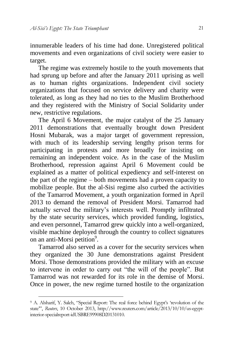innumerable leaders of his time had done. Unregistered political movements and even organizations of civil society were easier to target.

The regime was extremely hostile to the youth movements that had sprung up before and after the January 2011 uprising as well as to human rights organizations. Independent civil society organizations that focused on service delivery and charity were tolerated, as long as they had no ties to the Muslim Brotherhood and they registered with the Ministry of Social Solidarity under new, restrictive regulations.

The April 6 Movement, the major catalyst of the 25 January 2011 demonstrations that eventually brought down President Hosni Mubarak, was a major target of government repression, with much of its leadership serving lengthy prison terms for participating in protests and more broadly for insisting on remaining an independent voice. As in the case of the Muslim Brotherhood, repression against April 6 Movement could be explained as a matter of political expediency and self-interest on the part of the regime – both movements had a proven capacity to mobilize people. But the al-Sisi regime also curbed the activities of the Tamarrod Movement, a youth organization formed in April 2013 to demand the removal of President Morsi. Tamarrod had actually served the military's interests well. Promptly infiltrated by the state security services, which provided funding, logistics, and even personnel, Tamarrod grew quickly into a well-organized, visible machine deployed through the country to collect signatures on an anti-Morsi petition<sup>9</sup>.

Tamarrod also served as a cover for the security services when they organized the 30 June demonstrations against President Morsi. Those demonstrations provided the military with an excuse to intervene in order to carry out "the will of the people". But Tamarrod was not rewarded for its role in the demise of Morsi. Once in power, the new regime turned hostile to the organization

1

<sup>9</sup> A. Alsharif, Y. Saleh, "Special Report: The real force behind Egypt's 'revolution of the state'", *Reuters*, 10 October 2013, http://www.reuters.com/article/2013/10/10/us-egyptinterior-specialreport-idUSBRE99908D20131010.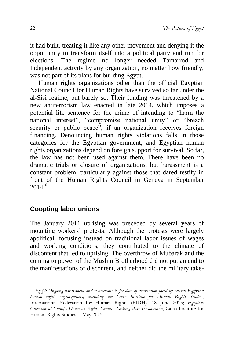it had built, treating it like any other movement and denying it the opportunity to transform itself into a political party and run for elections. The regime no longer needed Tamarrod and Independent activity by any organization, no matter how friendly, was not part of its plans for building Egypt.

Human rights organizations other than the official Egyptian National Council for Human Rights have survived so far under the al-Sisi regime, but barely so. Their funding was threatened by a new antiterrorism law enacted in late 2014, which imposes a potential life sentence for the crime of intending to "harm the national interest", "compromise national unity" or "breach security or public peace", if an organization receives foreign financing. Denouncing human rights violations falls in those categories for the Egyptian government, and Egyptian human rights organizations depend on foreign support for survival. So far, the law has not been used against them. There have been no dramatic trials or closure of organizations, but harassment is a constant problem, particularly against those that dared testify in front of the Human Rights Council in Geneva in September  $2014^{10}$ .

#### **Coopting labor unions**

1

The January 2011 uprising was preceded by several years of mounting workers' protests. Although the protests were largely apolitical, focusing instead on traditional labor issues of wages and working conditions, they contributed to the climate of discontent that led to uprising. The overthrow of Mubarak and the coming to power of the Muslim Brotherhood did not put an end to the manifestations of discontent, and neither did the military take-

<sup>10</sup> *Egypt: Ongoing harassment and restrictions to freedom of association faced by several Egyptian human rights organizations, including the Cairo Institute for Human Rights Studies*, International Federation for Human Rights (FIDH), 18 June 2015; *Egyptian Government Clamps Down on Rights Groups, Seeking their Eradication*, Cairo Institute for Human Rights Studies, 4 May 2015.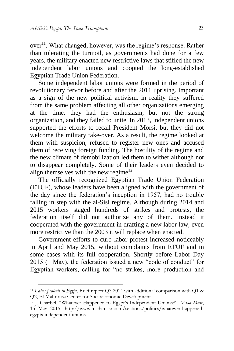$over<sup>11</sup>$ . What changed, however, was the regime's response. Rather than tolerating the turmoil, as governments had done for a few years, the military enacted new restrictive laws that stifled the new independent labor unions and coopted the long-established Egyptian Trade Union Federation.

Some independent labor unions were formed in the period of revolutionary fervor before and after the 2011 uprising. Important as a sign of the new political activism, in reality they suffered from the same problem affecting all other organizations emerging at the time: they had the enthusiasm, but not the strong organization, and they failed to unite. In 2013, independent unions supported the efforts to recall President Morsi, but they did not welcome the military take-over. As a result, the regime looked at them with suspicion, refused to register new ones and accused them of receiving foreign funding. The hostility of the regime and the new climate of demobilization led them to wither although not to disappear completely. Some of their leaders even decided to align themselves with the new regime<sup>12</sup>.

The officially recognized Egyptian Trade Union Federation (ETUF), whose leaders have been aligned with the government of the day since the federation's inception in 1957, had no trouble falling in step with the al-Sisi regime. Although during 2014 and 2015 workers staged hundreds of strikes and protests, the federation itself did not authorize any of them. Instead it cooperated with the government in drafting a new labor law, even more restrictive than the 2003 it will replace when enacted.

Government efforts to curb labor protest increased noticeably in April and May 2015, without complaints from ETUF and in some cases with its full cooperation. Shortly before Labor Day 2015 (1 May), the federation issued a new "code of conduct" for Egyptian workers, calling for "no strikes, more production and

1

<sup>11</sup> *Labor protests in Egypt*, Brief report Q3 2014 with additional comparison with Q1 & Q2, El-Mahrousa Center for Socioeconomic Development.

<sup>12</sup> J. Charbel, "Whatever Happened to Egypt's Independent Unions?", *Mada Masr*, 15 May 2015, http://www.madamasr.com/sections/politics/whatever-happenedegypts-independent-unions.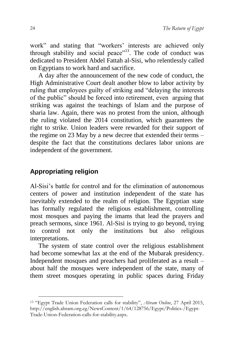work" and stating that "workers' interests are achieved only through stability and social peace"<sup>13</sup>. The code of conduct was dedicated to President Abdel Fattah al-Sisi, who relentlessly called on Egyptians to work hard and sacrifice.

A day after the announcement of the new code of conduct, the High Administrative Court dealt another blow to labor activity by ruling that employees guilty of striking and "delaying the interests of the public" should be forced into retirement, even arguing that striking was against the teachings of Islam and the purpose of sharia law. Again, there was no protest from the union, although the ruling violated the 2014 constitution, which guarantees the right to strike. Union leaders were rewarded for their support of the regime on 23 May by a new decree that extended their terms – despite the fact that the constitutions declares labor unions are independent of the government.

#### **Appropriating religion**

1

Al-Sisi's battle for control and for the elimination of autonomous centers of power and institution independent of the state has inevitably extended to the realm of religion. The Egyptian state has formally regulated the religious establishment, controlling most mosques and paying the imams that lead the prayers and preach sermons, since 1961. Al-Sisi is trying to go beyond, trying to control not only the institutions but also religious interpretations.

The system of state control over the religious establishment had become somewhat lax at the end of the Mubarak presidency. Independent mosques and preachers had proliferated as a result – about half the mosques were independent of the state, many of them street mosques operating in public spaces during Friday

<sup>13</sup> "Egypt Trade Union Federation calls for stability", *Ahram Online*, 27 April 2015, http://english.ahram.org.eg/NewsContent/1/64/128756/Egypt/Politics-/Egypt-Trade-Union-Federation-calls-for-stability.aspx.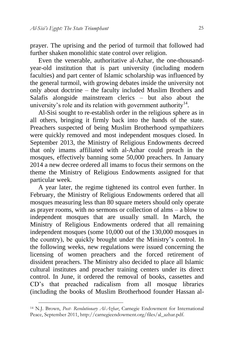prayer. The uprising and the period of turmoil that followed had further shaken monolithic state control over religion.

Even the venerable, authoritative al-Azhar, the one-thousandyear-old institution that is part university (including modern faculties) and part center of Islamic scholarship was influenced by the general turmoil, with growing debates inside the university not only about doctrine – the faculty included Muslim Brothers and Salafis alongside mainstream clerics – but also about the university's role and its relation with government authority $14$ .

Al-Sisi sought to re-establish order in the religious sphere as in all others, bringing it firmly back into the hands of the state. Preachers suspected of being Muslim Brotherhood sympathizers were quickly removed and most independent mosques closed. In September 2013, the Ministry of Religious Endowments decreed that only imams affiliated with al-Azhar could preach in the mosques, effectively banning some 50,000 preachers. In January 2014 a new decree ordered all imams to focus their sermons on the theme the Ministry of Religious Endowments assigned for that particular week.

A year later, the regime tightened its control even further. In February, the Ministry of Religious Endowments ordered that all mosques measuring less than 80 square meters should only operate as prayer rooms, with no sermons or collection of alms – a blow to independent mosques that are usually small. In March, the Ministry of Religious Endowments ordered that all remaining independent mosques (some 10,000 out of the 130,000 mosques in the country), be quickly brought under the Ministry's control. In the following weeks, new regulations were issued concerning the licensing of women preachers and the forced retirement of dissident preachers. The Ministry also decided to place all Islamic cultural institutes and preacher training centers under its direct control. In June, it ordered the removal of books, cassettes and CD's that preached radicalism from all mosque libraries (including the books of Muslim Brotherhood founder Hassan al-

-

<sup>14</sup> N.J. Brown, *Post- Revolutionary Al-Azhar*, Carnegie Endowment for International Peace, September 2011, http://carnegieendowment.org/files/al\_azhar.pdf.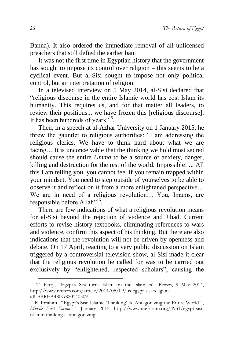Banna). It also ordered the immediate removal of all unlicensed preachers that still defied the earlier ban.

It was not the first time in Egyptian history that the government has sought to impose its control over religion – this seems to be a cyclical event. But al-Sisi sought to impose not only political control, but an interpretation of religion.

In a televised interview on 5 May 2014, al-Sisi declared that "religious discourse in the entire Islamic world has cost Islam its humanity. This requires us, and for that matter all leaders, to review their positions... we have frozen this [religious discourse]. It has been hundreds of years"<sup>15</sup>.

Then, in a speech at al-Azhar University on 1 January 2015, he threw the gauntlet to religious authorities: "I am addressing the religious clerics. We have to think hard about what we are facing… It is unconceivable that the thinking we hold most sacred should cause the entire *Umma* to be a source of anxiety, danger, killing and destruction for the rest of the world. Impossible! ... All this I am telling you, you cannot feel if you remain trapped within your mindset. You need to step outside of yourselves to be able to observe it and reflect on it from a more enlightened perspective… We are in need of a religious revolution… You, Imams, are responsible before Allah"<sup>16</sup>.

There are few indications of what a religious revolution means for al-Sisi beyond the rejection of violence and Jihad. Current efforts to revise history textbooks, eliminating references to wars and violence, confirm this aspect of his thinking. But there are also indications that the revolution will not be driven by openness and debate. On 17 April, reacting to a very public discussion on Islam triggered by a controversial television show, al-Sisi made it clear that the religious revolution he called for was to be carried out exclusively by "enlightened, respected scholars", causing the

1

<sup>15</sup> T. Perry, "Egypt's Sisi turns Islam on the Islamists", *Reuters*, 9 May 2014, http://www.reuters.com/article/2014/05/09/us-egypt-sisi-religionidUSBREA480G820140509.

<sup>16</sup> R. Ibrahim, "Egypt's Sisi: Islamic 'Thinking' Is 'Antagonizing the Entire World'", *Middle East Forum*, 1 January 2015, http://www.meforum.org/4951/egypt-sisiislamic-thinking-is-antagonizing.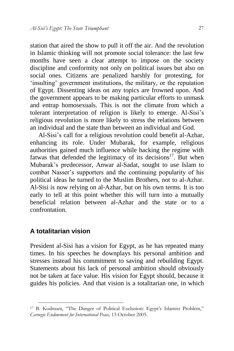station that aired the show to pull it off the air. And the revolution in Islamic thinking will not promote social tolerance: the last few months have seen a clear attempt to impose on the society discipline and conformity not only on political issues but also on social ones. Citizens are penalized harshly for protesting, for 'insulting' government institutions, the military, or the reputation of Egypt. Dissenting ideas on any topics are frowned upon. And the government appears to be making particular efforts to unmask and entrap homosexuals. This is not the climate from which a tolerant interpretation of religion is likely to emerge. Al-Sisi's religious revolution is more likely to stress the relations between an individual and the state than between an individual and God.

Al-Sisi's call for a religious revolution could benefit al-Azhar, enhancing its role. Under Mubarak, for example, religious authorities gained much influence while backing the regime with fatwas that defended the legitimacy of its decisions $17$ . But when Mubarak's predecessor, Anwar al-Sadat, sought to use Islam to combat Nasser's supporters and the continuing popularity of his political ideas he turned to the Muslim Brothers, not to al-Azhar. Al-Sisi is now relying on al-Azhar, but on his own terms. It is too early to tell at this point whether this will turn into a mutually beneficial relation between al-Azhar and the state or to a confrontation.

#### **A totalitarian vision**

-

President al-Sisi has a vision for Egypt, as he has repeated many times. In his speeches he downplays his personal ambition and stresses instead his commitment to saving and rebuilding Egypt. Statements about his lack of personal ambition should obviously not be taken at face value. His vision for Egypt should, because it guides his policies. And that vision is a totalitarian one, in which

<sup>17</sup> B. Kodmani, "The Danger of Political Exclusion: Egypt's Islamist Problem," *Carnegie Endowment for International Peace,* 13 October 2005.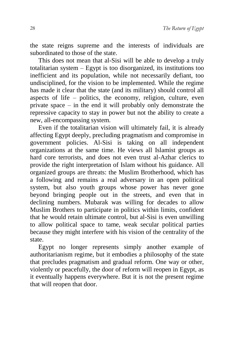the state reigns supreme and the interests of individuals are subordinated to those of the state.

This does not mean that al-Sisi will be able to develop a truly totalitarian system – Egypt is too disorganized, its institutions too inefficient and its population, while not necessarily defiant, too undisciplined, for the vision to be implemented. While the regime has made it clear that the state (and its military) should control all aspects of life – politics, the economy, religion, culture, even private space – in the end it will probably only demonstrate the repressive capacity to stay in power but not the ability to create a new, all-encompassing system.

Even if the totalitarian vision will ultimately fail, it is already affecting Egypt deeply, precluding pragmatism and compromise in government policies. Al-Sisi is taking on all independent organizations at the same time. He views all Islamist groups as hard core terrorists, and does not even trust al-Azhar clerics to provide the right interpretation of Islam without his guidance. All organized groups are threats: the Muslim Brotherhood, which has a following and remains a real adversary in an open political system, but also youth groups whose power has never gone beyond bringing people out in the streets, and even that in declining numbers. Mubarak was willing for decades to allow Muslim Brothers to participate in politics within limits, confident that he would retain ultimate control, but al-Sisi is even unwilling to allow political space to tame, weak secular political parties because they might interfere with his vision of the centrality of the state.

Egypt no longer represents simply another example of authoritarianism regime, but it embodies a philosophy of the state that precludes pragmatism and gradual reform. One way or other, violently or peacefully, the door of reform will reopen in Egypt, as it eventually happens everywhere. But it is not the present regime that will reopen that door.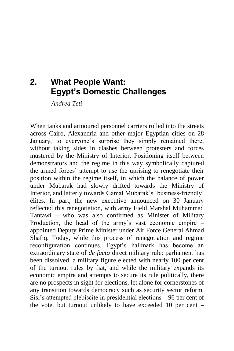## <span id="page-30-0"></span>**2. What People Want: Egypt's Domestic Challenges**

*Andrea Teti*

When tanks and armoured personnel carriers rolled into the streets across Cairo, Alexandria and other major Egyptian cities on 28 January, to everyone's surprise they simply remained there, without taking sides in clashes between protesters and forces mustered by the Ministry of Interior. Positioning itself between demonstrators and the regime in this way symbolically captured the armed forces' attempt to use the uprising to renegotiate their position within the regime itself, in which the balance of power under Mubarak had slowly drifted towards the Ministry of Interior, and latterly towards Gamal Mubarak's 'business-friendly' élites. In part, the new executive announced on 30 January reflected this renegotiation, with army Field Marshal Muhammad Tantawi – who was also confirmed as Minister of Military Production, the head of the army's vast economic empire – appointed Deputy Prime Minister under Air Force General Ahmad Shafiq. Today, while this process of renegotiation and regime reconfiguration continues, Egypt's hallmark has become an extraordinary state of *de facto* direct military rule: parliament has been dissolved, a military figure elected with nearly 100 per cent of the turnout rules by fiat, and while the military expands its economic empire and attempts to secure its rule politically, there are no prospects in sight for elections, let alone for cornerstones of any transition towards democracy such as security sector reform. Sisi's attempted plebiscite in presidential elections – 96 per cent of the vote, but turnout unlikely to have exceeded 10 per cent –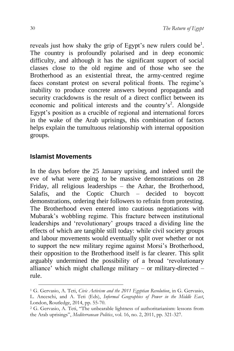reveals just how shaky the grip of Egypt's new rulers could be<sup>1</sup>. The country is profoundly polarised and in deep economic difficulty, and although it has the significant support of social classes close to the old regime and of those who see the Brotherhood as an existential threat, the army-centred regime faces constant protest on several political fronts. The regime's inability to produce concrete answers beyond propaganda and security crackdowns is the result of a direct conflict between its economic and political interests and the country's<sup>2</sup>. Alongside Egypt's position as a crucible of regional and international forces in the wake of the Arab uprisings, this combination of factors helps explain the tumultuous relationship with internal opposition groups.

#### **Islamist Movements**

1

In the days before the 25 January uprising, and indeed until the eve of what were going to be massive demonstrations on 28 Friday, all religious leaderships – the Azhar, the Brotherhood, Salafis, and the Coptic Church – decided to boycott demonstrations, ordering their followers to refrain from protesting. The Brotherhood even entered into cautious negotiations with Mubarak's wobbling regime. This fracture between institutional leaderships and 'revolutionary' groups traced a dividing line the effects of which are tangible still today: while civil society groups and labour movements would eventually split over whether or not to support the new military regime against Morsi's Brotherhood, their opposition to the Brotherhood itself is far clearer. This split arguably undermined the possibility of a broad 'revolutionary alliance' which might challenge military – or military-directed – rule.

<sup>1</sup> G. Gervasio, A. Teti, *Civic Activism and the 2011 Egyptian Revolution*, in G. Gervasio, L. Anceschi, and A. Teti (Eds), *Informal Geographies of Power in the Middle East*, London, Routledge, 2014, pp. 55-70.

<sup>2</sup> G. Gervasio, A. Teti, "The unbearable lightness of authoritarianism: lessons from the Arab uprisings", *Mediterranean Politics*, vol. 16, no. 2, 2011, pp. 321-327.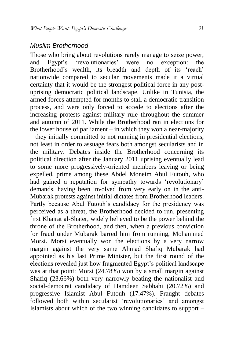#### *Muslim Brotherhood*

Those who bring about revolutions rarely manage to seize power,<br>and Egypt's 'revolutionaries' were no exception: the and Egypt's 'revolutionaries' were no exception: the Brotherhood's wealth, its breadth and depth of its 'reach' nationwide compared to secular movements made it a virtual certainty that it would be the strongest political force in any postuprising democratic political landscape. Unlike in Tunisia, the armed forces attempted for months to stall a democratic transition process, and were only forced to accede to elections after the increasing protests against military rule throughout the summer and autumn of 2011. While the Brotherhood ran in elections for the lower house of parliament  $-$  in which they won a near-majority – they initially committed to not running in presidential elections, not least in order to assuage fears both amongst secularists and in the military. Debates inside the Brotherhood concerning its political direction after the January 2011 uprising eventually lead to some more progressively-oriented members leaving or being expelled, prime among these Abdel Moneim Abul Futouh, who had gained a reputation for sympathy towards 'revolutionary' demands, having been involved from very early on in the anti-Mubarak protests against initial dictates from Brotherhood leaders. Partly because Abul Futouh's candidacy for the presidency was perceived as a threat, the Brotherhood decided to run, presenting first Khairat al-Shater, widely believed to be the power behind the throne of the Brotherhood, and then, when a previous conviction for fraud under Mubarak barred him from running, Mohammed Morsi. Morsi eventually won the elections by a very narrow margin against the very same Ahmad Shafiq Mubarak had appointed as his last Prime Minister, but the first round of the elections revealed just how fragmented Egypt's political landscape was at that point: Morsi (24.78%) won by a small margin against Shafiq (23.66%) both very narrowly beating the nationalist and social-democrat candidacy of Hamdeen Sabbahi (20.72%) and progressive Islamist Abul Futouh (17.47%). Fraught debates followed both within secularist 'revolutionaries' and amongst Islamists about which of the two winning candidates to support –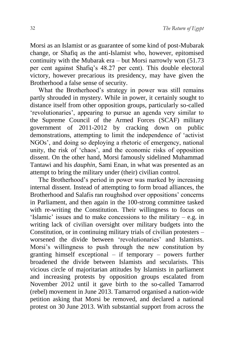Morsi as an Islamist or as guarantee of some kind of post-Mubarak change, or Shafiq as the anti-Islamist who, however, epitomised continuity with the Mubarak era – but Morsi narrowly won (51.73 per cent against Shafiq's 48.27 per cent). This double electoral victory, however precarious its presidency, may have given the Brotherhood a false sense of security.

What the Brotherhood's strategy in power was still remains partly shrouded in mystery. While in power, it certainly sought to distance itself from other opposition groups, particularly so-called 'revolutionaries', appearing to pursue an agenda very similar to the Supreme Council of the Armed Forces (SCAF) military government of 2011-2012 by cracking down on public demonstrations, attempting to limit the independence of 'activist NGOs', and doing so deploying a rhetoric of emergency, national unity, the risk of 'chaos', and the economic risks of opposition dissent. On the other hand, Morsi famously sidelined Muhammad Tantawi and his *dauphin*, Sami Enan, in what was presented as an attempt to bring the military under (their) civilian control.

The Brotherhood's period in power was marked by increasing internal dissent. Instead of attempting to form broad alliances, the Brotherhood and Salafis ran roughshod over oppositions' concerns in Parliament, and then again in the 100-strong committee tasked with re-writing the Constitution. Their willingness to focus on 'Islamic' issues and to make concessions to the military – e.g. in writing lack of civilian oversight over military budgets into the Constitution, or in continuing military trials of civilian protesters – worsened the divide between 'revolutionaries' and Islamists. Morsi's willingness to push through the new constitution by granting himself exceptional – if temporary – powers further broadened the divide between Islamists and secularists. This vicious circle of majoritarian attitudes by Islamists in parliament and increasing protests by opposition groups escalated from November 2012 until it gave birth to the so-called Tamarrod (rebel) movement in June 2013. Tamarrod organised a nation-wide petition asking that Morsi be removed, and declared a national protest on 30 June 2013. With substantial support from across the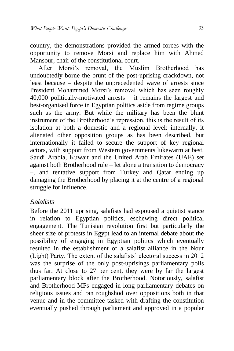country, the demonstrations provided the armed forces with the opportunity to remove Morsi and replace him with Ahmed Mansour, chair of the constitutional court.

After Morsi's removal, the Muslim Brotherhood has undoubtedly borne the brunt of the post-uprising crackdown, not least because – despite the unprecedented wave of arrests since President Mohammed Morsi's removal which has seen roughly 40,000 politically-motivated arrests – it remains the largest and best-organised force in Egyptian politics aside from regime groups such as the army. But while the military has been the blunt instrument of the Brotherhood's repression, this is the result of its isolation at both a domestic and a regional level: internally, it alienated other opposition groups as has been described, but internationally it failed to secure the support of key regional actors, with support from Western governments lukewarm at best, Saudi Arabia, Kuwait and the United Arab Emirates (UAE) set against both Brotherhood rule – let alone a transition to democracy –, and tentative support from Turkey and Qatar ending up damaging the Brotherhood by placing it at the centre of a regional struggle for influence.

#### *Salafists*

Before the 2011 uprising, salafists had espoused a quietist stance in relation to Egyptian politics, eschewing direct political engagement. The Tunisian revolution first but particularly the sheer size of protests in Egypt lead to an internal debate about the possibility of engaging in Egyptian politics which eventually resulted in the establishment of a salafist alliance in the Nour (Light) Party. The extent of the salafists' electoral success in 2012 was the surprise of the only post-uprisings parliamentary polls thus far. At close to 27 per cent, they were by far the largest parliamentary block after the Brotherhood. Notoriously, salafist and Brotherhood MPs engaged in long parliamentary debates on religious issues and ran roughshod over oppositions both in that venue and in the committee tasked with drafting the constitution eventually pushed through parliament and approved in a popular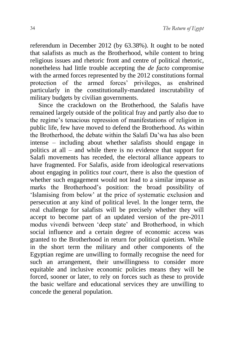referendum in December 2012 (by 63.38%). It ought to be noted that salafists as much as the Brotherhood, while content to bring religious issues and rhetoric front and centre of political rhetoric, nonetheless had little trouble accepting the *de facto* compromise with the armed forces represented by the 2012 constitutions formal protection of the armed forces' privileges, as enshrined particularly in the constitutionally-mandated inscrutability of military budgets by civilian governments.

Since the crackdown on the Brotherhood, the Salafis have remained largely outside of the political fray and partly also due to the regime's tenacious repression of manifestations of religion in public life, few have moved to defend the Brotherhood. As within the Brotherhood, the debate within the Salafi Da'wa has also been intense – including about whether salafists should engage in politics at all – and while there is no evidence that support for Salafi movements has receded, the electoral alliance appears to have fragmented. For Salafis, aside from ideological reservations about engaging in politics *tout court*, there is also the question of whether such engagement would not lead to a similar impasse as marks the Brotherhood's position: the broad possibility of 'Islamising from below' at the price of systematic exclusion and persecution at any kind of political level. In the longer term, the real challenge for salafists will be precisely whether they will accept to become part of an updated version of the pre-2011 modus vivendi between 'deep state' and Brotherhood, in which social influence and a certain degree of economic access was granted to the Brotherhood in return for political quietism. While in the short term the military and other components of the Egyptian regime are unwilling to formally recognise the need for such an arrangement, their unwillingness to consider more equitable and inclusive economic policies means they will be forced, sooner or later, to rely on forces such as these to provide the basic welfare and educational services they are unwilling to concede the general population.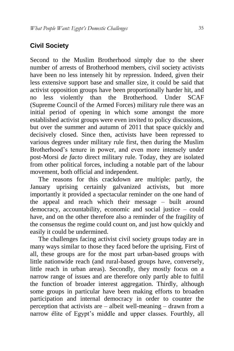## **Civil Society**

Second to the Muslim Brotherhood simply due to the sheer number of arrests of Brotherhood members, civil society activists have been no less intensely hit by repression. Indeed, given their less extensive support base and smaller size, it could be said that activist opposition groups have been proportionally harder hit, and no less violently than the Brotherhood. Under SCAF (Supreme Council of the Armed Forces) military rule there was an initial period of opening in which some amongst the more established activist groups were even invited to policy discussions, but over the summer and autumn of 2011 that space quickly and decisively closed. Since then, activists have been repressed to various degrees under military rule first, then during the Muslim Brotherhood's tenure in power, and even more intensely under post-Morsi *de facto* direct military rule. Today, they are isolated from other political forces, including a notable part of the labour movement, both official and independent.

The reasons for this crackdown are multiple: partly, the January uprising certainly galvanized activists, but more importantly it provided a spectacular reminder on the one hand of the appeal and reach which their message – built around democracy, accountability, economic and social justice – could have, and on the other therefore also a reminder of the fragility of the consensus the regime could count on, and just how quickly and easily it could be undermined.

The challenges facing activist civil society groups today are in many ways similar to those they faced before the uprising. First of all, these groups are for the most part urban-based groups with little nationwide reach (and rural-based groups have, conversely, little reach in urban areas). Secondly, they mostly focus on a narrow range of issues and are therefore only partly able to fulfil the function of broader interest aggregation. Thirdly, although some groups in particular have been making efforts to broaden participation and internal democracy in order to counter the perception that activists are – albeit well-meaning – drawn from a narrow élite of Egypt's middle and upper classes. Fourthly, all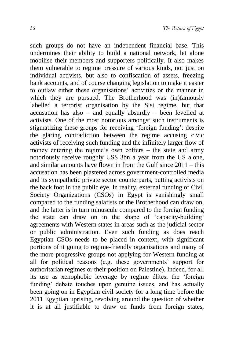such groups do not have an independent financial base. This undermines their ability to build a national network, let alone mobilise their members and supporters politically. It also makes them vulnerable to regime pressure of various kinds, not just on individual activists, but also to confiscation of assets, freezing bank accounts, and of course changing legislation to make it easier to outlaw either these organisations' activities or the manner in which they are pursued. The Brotherhood was (in)famously labelled a terrorist organisation by the Sisi regime, but that accusation has also – and equally absurdly – been levelled at activists. One of the most notorious amongst such instruments is stigmatizing these groups for receiving 'foreign funding': despite the glaring contradiction between the regime accusing civic activists of receiving such funding and the infinitely larger flow of money entering the regime's own coffers – the state and army notoriously receive roughly US\$ 3bn a year from the US alone, and similar amounts have flown in from the Gulf since 2011 – this accusation has been plastered across government-controlled media and its sympathetic private sector counterparts, putting activists on the back foot in the public eye. In reality, external funding of Civil Society Organizations (CSOs) in Egypt is vanishingly small compared to the funding salafists or the Brotherhood can draw on, and the latter is in turn minuscule compared to the foreign funding the state can draw on in the shape of 'capacity-building' agreements with Western states in areas such as the judicial sector or public administration. Even such funding as does reach Egyptian CSOs needs to be placed in context, with significant portions of it going to regime-friendly organisations and many of the more progressive groups not applying for Western funding at all for political reasons (e.g. these governments' support for authoritarian regimes or their position on Palestine). Indeed, for all its use as xenophobic leverage by regime élites, the 'foreign funding' debate touches upon genuine issues, and has actually been going on in Egyptian civil society for a long time before the 2011 Egyptian uprising, revolving around the question of whether it is at all justifiable to draw on funds from foreign states,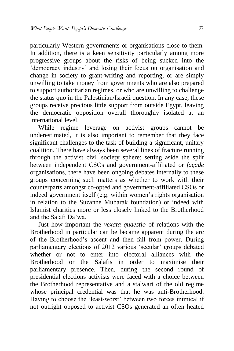particularly Western governments or organisations close to them. In addition, there is a keen sensitivity particularly among more progressive groups about the risks of being sucked into the 'democracy industry' and losing their focus on organisation and change in society to grant-writing and reporting, or are simply unwilling to take money from governments who are also prepared to support authoritarian regimes, or who are unwilling to challenge the status quo in the Palestinian/Israeli question. In any case, these groups receive precious little support from outside Egypt, leaving the democratic opposition overall thoroughly isolated at an international level.

While regime leverage on activist groups cannot be underestimated, it is also important to remember that they face significant challenges to the task of building a significant, unitary coalition. There have always been several lines of fracture running through the activist civil society sphere: setting aside the split between independent CSOs and government-affiliated or *façade* organisations, there have been ongoing debates internally to these groups concerning such matters as whether to work with their counterparts amongst co-opted and government-affiliated CSOs or indeed government itself (e.g. within women's rights organisation in relation to the Suzanne Mubarak foundation) or indeed with Islamist charities more or less closely linked to the Brotherhood and the Salafi Da'wa.

Just how important the *vexata quaestio* of relations with the Brotherhood in particular can be became apparent during the arc of the Brotherhood's ascent and then fall from power. During parliamentary elections of 2012 various 'secular' groups debated whether or not to enter into electoral alliances with the Brotherhood or the Salafis in order to maximise their parliamentary presence. Then, during the second round of presidential elections activists were faced with a choice between the Brotherhood representative and a stalwart of the old regime whose principal credential was that he was anti-Brotherhood. Having to choose the 'least-worst' between two forces inimical if not outright opposed to activist CSOs generated an often heated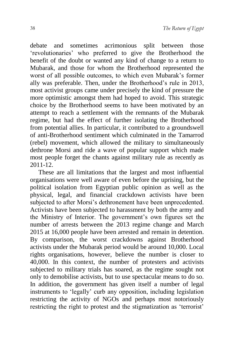debate and sometimes acrimonious split between those 'revolutionaries' who preferred to give the Brotherhood the benefit of the doubt or wanted any kind of change to a return to Mubarak, and those for whom the Brotherhood represented the worst of all possible outcomes, to which even Mubarak's former ally was preferable. Then, under the Brotherhood's rule in 2013, most activist groups came under precisely the kind of pressure the more optimistic amongst them had hoped to avoid. This strategic choice by the Brotherhood seems to have been motivated by an attempt to reach a settlement with the remnants of the Mubarak regime, but had the effect of further isolating the Brotherhood from potential allies. In particular, it contributed to a groundswell of anti-Brotherhood sentiment which culminated in the Tamarrod (rebel) movement, which allowed the military to simultaneously dethrone Morsi and ride a wave of popular support which made most people forget the chants against military rule as recently as 2011-12.

These are all limitations that the largest and most influential organisations were well aware of even before the uprising, but the political isolation from Egyptian public opinion as well as the physical, legal, and financial crackdown activists have been subjected to after Morsi's dethronement have been unprecedented. Activists have been subjected to harassment by both the army and the Ministry of Interior. The government's own figures set the number of arrests between the 2013 regime change and March 2015 at 16,000 people have been arrested and remain in detention. By comparison, the worst crackdowns against Brotherhood activists under the Mubarak period would be around 10,000. Local rights organisations, however, believe the number is closer to 40,000. In this context, the number of protesters and activists subjected to military trials has soared, as the regime sought not only to demobilise activists, but to use spectacular means to do so. In addition, the government has given itself a number of legal instruments to 'legally' curb any opposition, including legislation restricting the activity of NGOs and perhaps most notoriously restricting the right to protest and the stigmatization as 'terrorist'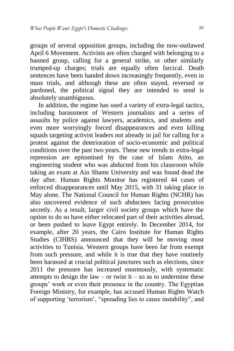groups of several opposition groups, including the now-outlawed April 6 Movement. Activists are often charged with belonging to a banned group, calling for a general strike, or other similarly trumped-up charges; trials are equally often farcical. Death sentences have been handed down increasingly frequently, even in mass trials, and although these are often stayed, reversed or pardoned, the political signal they are intended to send is absolutely unambiguous.

In addition, the regime has used a variety of extra-legal tactics, including harassment of Western journalists and a series of assaults by police against lawyers, academics, and students and even more worryingly forced disappearances and even killing squads targeting activist leaders not already in jail for calling for a protest against the deterioration of socio-economic and political conditions over the past two years. These new trends in extra-legal repression are epitomised by the case of Islam Atito, an engineering student who was abducted from his classroom while taking an exam at Ain Shams University and was found dead the day after. Human Rights Monitor has registered 44 cases of enforced disappearances until May 2015, with 31 taking place in May alone. The National Council for Human Rights (NCHR) has also uncovered evidence of such abductees facing prosecution secretly. As a result, larger civil society groups which have the option to do so have either relocated part of their activities abroad, or been pushed to leave Egypt entirely. In December 2014, for example, after 20 years, the Cairo Institute for Human Rights Studies (CIHRS) announced that they will be moving most activities to Tunisia. Western groups have been far from exempt from such pressure, and while it is true that they have routinely been harassed at crucial political junctures such as elections, since 2011 the pressure has increased enormously, with systematic attempts to design the law – or twist it – so as to undermine these groups' work or even their presence in the country. The Egyptian Foreign Ministry, for example, has accused Human Rights Watch of supporting 'terrorism', "spreading lies to cause instability", and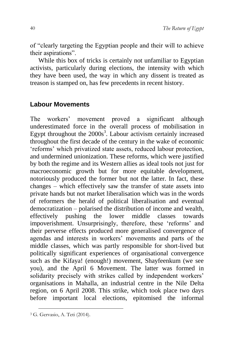of "clearly targeting the Egyptian people and their will to achieve their aspirations".

While this box of tricks is certainly not unfamiliar to Egyptian activists, particularly during elections, the intensity with which they have been used, the way in which any dissent is treated as treason is stamped on, has few precedents in recent history.

## **Labour Movements**

The workers' movement proved a significant although underestimated force in the overall process of mobilisation in Egypt throughout the  $2000s<sup>3</sup>$ . Labour activism certainly increased throughout the first decade of the century in the wake of economic 'reforms' which privatized state assets, reduced labour protection, and undermined unionization. These reforms, which were justified by both the regime and its Western allies as ideal tools not just for macroeconomic growth but for more equitable development, notoriously produced the former but not the latter. In fact, these changes – which effectively saw the transfer of state assets into private hands but not market liberalisation which was in the words of reformers the herald of political liberalisation and eventual democratization – polarised the distribution of income and wealth, effectively pushing the lower middle classes towards impoverishment. Unsurprisingly, therefore, these 'reforms' and their perverse effects produced more generalised convergence of agendas and interests in workers' movements and parts of the middle classes, which was partly responsible for short-lived but politically significant experiences of organisational convergence such as the Kifaya! (enough!) movement, Shayfeenkum (we see you), and the April 6 Movement. The latter was formed in solidarity precisely with strikes called by independent workers' organisations in Mahalla, an industrial centre in the Nile Delta region, on 6 April 2008. This strike, which took place two days before important local elections, epitomised the informal

1

<sup>3</sup> G. Gervasio, A. Teti (2014).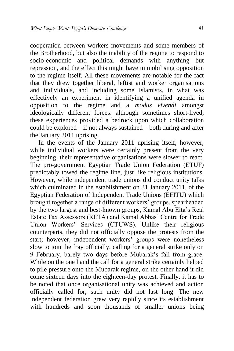cooperation between workers movements and some members of the Brotherhood, but also the inability of the regime to respond to socio-economic and political demands with anything but repression, and the effect this might have in mobilising opposition to the regime itself. All these movements are notable for the fact that they drew together liberal, leftist and worker organisations and individuals, and including some Islamists, in what was effectively an experiment in identifying a unified agenda in opposition to the regime and a *modus vivendi* amongst ideologically different forces: although sometimes short-lived, these experiences provided a bedrock upon which collaboration could be explored – if not always sustained – both during and after the January 2011 uprising.

In the events of the January 2011 uprising itself, however, while individual workers were certainly present from the very beginning, their representative organisations were slower to react. The pro-government Egyptian Trade Union Federation (ETUF) predictably towed the regime line, just like religious institutions. However, while independent trade unions did conduct unity talks which culminated in the establishment on 31 January 2011, of the Egyptian Federation of Independent Trade Unions (EFITU) which brought together a range of different workers' groups, spearheaded by the two largest and best-known groups, Kamal Abu Eita's Real Estate Tax Assessors (RETA) and Kamal Abbas' Centre for Trade Union Workers' Services (CTUWS). Unlike their religious counterparts, they did not officially oppose the protests from the start; however, independent workers' groups were nonetheless slow to join the fray officially, calling for a general strike only on 9 February, barely two days before Mubarak's fall from grace. While on the one hand the call for a general strike certainly helped to pile pressure onto the Mubarak regime, on the other hand it did come sixteen days into the eighteen-day protest. Finally, it has to be noted that once organisational unity was achieved and action officially called for, such unity did not last long. The new independent federation grew very rapidly since its establishment with hundreds and soon thousands of smaller unions being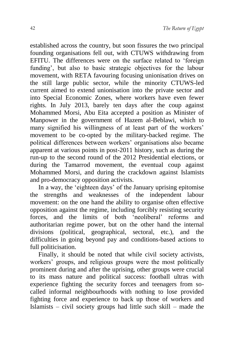established across the country, but soon fissures the two principal founding organisations fell out, with CTUWS withdrawing from EFITU. The differences were on the surface related to 'foreign funding', but also to basic strategic objectives for the labour movement, with RETA favouring focusing unionisation drives on the still large public sector, while the minority CTUWS-led current aimed to extend unionisation into the private sector and into Special Economic Zones, where workers have even fewer rights. In July 2013, barely ten days after the coup against Mohammed Morsi, Abu Eita accepted a position as Minister of Manpower in the government of Hazem al-Beblawi, which to many signified his willingness of at least part of the workers' movement to be co-opted by the military-backed regime. The political differences between workers' organisations also became apparent at various points in post-2011 history, such as during the run-up to the second round of the 2012 Presidential elections, or during the Tamarrod movement, the eventual coup against Mohammed Morsi, and during the crackdown against Islamists and pro-democracy opposition activists.

In a way, the 'eighteen days' of the January uprising epitomise the strengths and weaknesses of the independent labour movement: on the one hand the ability to organise often effective opposition against the regime, including forcibly resisting security forces, and the limits of both 'neoliberal' reforms and authoritarian regime power, but on the other hand the internal divisions (political, geographical, sectoral, etc.), and the difficulties in going beyond pay and conditions-based actions to full politicisation.

Finally, it should be noted that while civil society activists, workers<sup>'</sup> groups, and religious groups were the most politically prominent during and after the uprising, other groups were crucial to its mass nature and political success: football ultras with experience fighting the security forces and teenagers from socalled informal neighbourhoods with nothing to lose provided fighting force and experience to back up those of workers and Islamists – civil society groups had little such skill – made the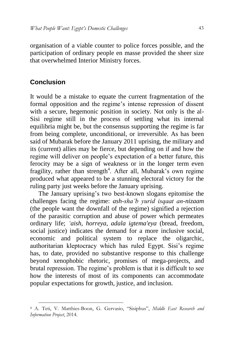organisation of a viable counter to police forces possible, and the participation of ordinary people en masse provided the sheer size that overwhelmed Interior Ministry forces.

## **Conclusion**

-

It would be a mistake to equate the current fragmentation of the formal opposition and the regime's intense repression of dissent with a secure, hegemonic position in society. Not only is the al-Sisi regime still in the process of settling what its internal equilibria might be, but the consensus supporting the regime is far from being complete, unconditional, or irreversible. As has been said of Mubarak before the January 2011 uprising, the military and its (current) allies may be fierce, but depending on if and how the regime will deliver on people's expectation of a better future, this ferocity may be a sign of weakness or in the longer term even fragility, rather than strength<sup>4</sup>. After all, Mubarak's own regime produced what appeared to be a stunning electoral victory for the ruling party just weeks before the January uprising.

The January uprising's two best-known slogans epitomise the challenges facing the regime: *ash-sha'b yurid isqaat an-nizaam* (the people want the downfall of the regime) signified a rejection of the parasitic corruption and abuse of power which permeates ordinary life; *'aish, horreya, adala igtema'eya* (bread, freedom, social justice) indicates the demand for a more inclusive social, economic and political system to replace the oligarchic, authoritarian kleptocracy which has ruled Egypt. Sisi's regime has, to date, provided no substantive response to this challenge beyond xenophobic rhetoric, promises of mega-projects, and brutal repression. The regime's problem is that it is difficult to see how the interests of most of its components can accommodate popular expectations for growth, justice, and inclusion.

<sup>4</sup> A. Teti, V. Matthies-Boon, G. Gervasio, "Sisiphus", *Middle East Research and Information Project*, 2014.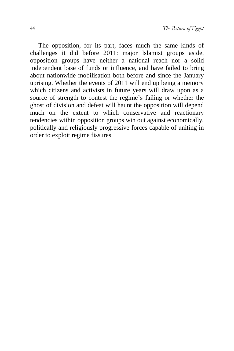The opposition, for its part, faces much the same kinds of challenges it did before 2011: major Islamist groups aside, opposition groups have neither a national reach nor a solid independent base of funds or influence, and have failed to bring about nationwide mobilisation both before and since the January uprising. Whether the events of 2011 will end up being a memory which citizens and activists in future years will draw upon as a source of strength to contest the regime's failing or whether the ghost of division and defeat will haunt the opposition will depend much on the extent to which conservative and reactionary tendencies within opposition groups win out against economically, politically and religiously progressive forces capable of uniting in order to exploit regime fissures.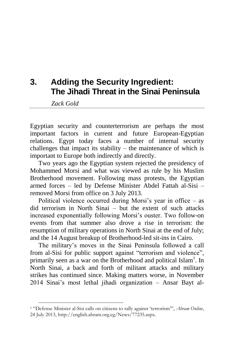# **3. Adding the Security Ingredient: The Jihadi Threat in the Sinai Peninsula**

*Zack Gold*

-

Egyptian security and counterterrorism are perhaps the most important factors in current and future European-Egyptian relations. Egypt today faces a number of internal security challenges that impact its stability – the maintenance of which is important to Europe both indirectly and directly.

Two years ago the Egyptian system rejected the presidency of Mohammed Morsi and what was viewed as rule by his Muslim Brotherhood movement. Following mass protests, the Egyptian armed forces – led by Defense Minister Abdel Fattah al-Sisi – removed Morsi from office on 3 July 2013.

Political violence occurred during Morsi's year in office – as did terrorism in North Sinai – but the extent of such attacks increased exponentially following Morsi's ouster. Two follow-on events from that summer also drove a rise in terrorism: the resumption of military operations in North Sinai at the end of July; and the 14 August breakup of Brotherhood-led sit-ins in Cairo.

The military's moves in the Sinai Peninsula followed a call from al-Sisi for public support against "terrorism and violence", primarily seen as a war on the Brotherhood and political Islam<sup>1</sup>. In North Sinai, a back and forth of militant attacks and military strikes has continued since. Making matters worse, in November 2014 Sinai's most lethal jihadi organization – Ansar Bayt al-

<sup>1</sup> "Defense Minister al-Sisi calls on citizens to rally against 'terrorism'", *Ahram Online*, 24 July 2013, [http://english.ahram.org.eg/News/77235.aspx.](http://english.ahram.org.eg/News/77235.aspx)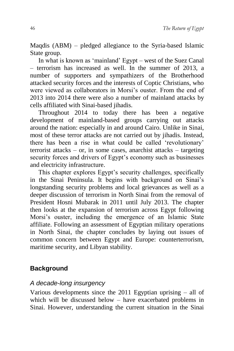Maqdis (ABM) – pledged allegiance to the Syria-based Islamic State group.

In what is known as 'mainland' Egypt – west of the Suez Canal  $-$  terrorism has increased as well. In the summer of 2013, a number of supporters and sympathizers of the Brotherhood attacked security forces and the interests of Coptic Christians, who were viewed as collaborators in Morsi's ouster. From the end of 2013 into 2014 there were also a number of mainland attacks by cells affiliated with Sinai-based jihadis.

Throughout 2014 to today there has been a negative development of mainland-based groups carrying out attacks around the nation: especially in and around Cairo. Unlike in Sinai, most of these terror attacks are not carried out by jihadis. Instead, there has been a rise in what could be called 'revolutionary' terrorist attacks – or, in some cases, anarchist attacks – targeting security forces and drivers of Egypt's economy such as businesses and electricity infrastructure.

This chapter explores Egypt's security challenges, specifically in the Sinai Peninsula. It begins with background on Sinai's longstanding security problems and local grievances as well as a deeper discussion of terrorism in North Sinai from the removal of President Hosni Mubarak in 2011 until July 2013. The chapter then looks at the expansion of terrorism across Egypt following Morsi's ouster, including the emergence of an Islamic State affiliate. Following an assessment of Egyptian military operations in North Sinai, the chapter concludes by laying out issues of common concern between Egypt and Europe: counterterrorism, maritime security, and Libyan stability.

## **Background**

### *A decade-long insurgency*

Various developments since the 2011 Egyptian uprising – all of which will be discussed below – have exacerbated problems in Sinai. However, understanding the current situation in the Sinai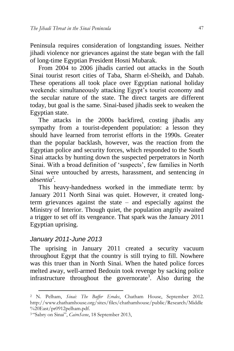Peninsula requires consideration of longstanding issues. Neither jihadi violence nor grievances against the state began with the fall of long-time Egyptian President Hosni Mubarak.

From 2004 to 2006 jihadis carried out attacks in the South Sinai tourist resort cities of Taba, Sharm el-Sheikh, and Dahab. These operations all took place over Egyptian national holiday weekends: simultaneously attacking Egypt's tourist economy and the secular nature of the state. The direct targets are different today, but goal is the same. Sinai-based jihadis seek to weaken the Egyptian state.

The attacks in the 2000s backfired, costing jihadis any sympathy from a tourist-dependent population: a lesson they should have learned from terrorist efforts in the 1990s. Greater than the popular backlash, however, was the reaction from the Egyptian police and security forces, which responded to the South Sinai attacks by hunting down the suspected perpetrators in North Sinai. With a broad definition of 'suspects', few families in North Sinai were untouched by arrests, harassment, and sentencing *in absentia*<sup>2</sup> *.*

This heavy-handedness worked in the immediate term: by January 2011 North Sinai was quiet. However, it created longterm grievances against the state – and especially against the Ministry of Interior. Though quiet, the population angrily awaited a trigger to set off its vengeance. That spark was the January 2011 Egyptian uprising.

### *January 2011-June 2013*

1

The uprising in January 2011 created a security vacuum throughout Egypt that the country is still trying to fill. Nowhere was this truer than in North Sinai. When the hated police forces melted away, well-armed Bedouin took revenge by sacking police infrastructure throughout the governorate<sup>3</sup>. Also during the

<sup>2</sup> N. Pelham, *Sinai: The Buffer Erodes*, Chatham House, September 2012. [http://www.chathamhouse.org/sites/files/chathamhouse/public/Research/Middle](http://www.chathamhouse.org/sites/files/chathamhouse/public/Research/Middle%20East/pr0912pelham.pdf) [%20East/pr0912pelham.pdf.](http://www.chathamhouse.org/sites/files/chathamhouse/public/Research/Middle%20East/pr0912pelham.pdf)

<sup>3</sup> "Sabry on Sinai", *CairoScene*, 18 September 2013,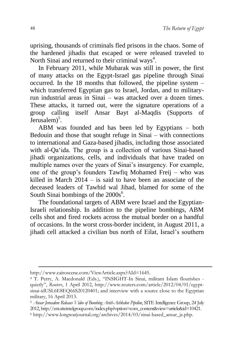uprising, thousands of criminals fled prisons in the chaos. Some of the hardened jihadis that escaped or were released traveled to North Sinai and returned to their criminal ways<sup>4</sup>.

In February 2011, while Mubarak was still in power, the first of many attacks on the Egypt-Israel gas pipeline through Sinai occurred. In the 18 months that followed, the pipeline system – which transferred Egyptian gas to Israel, Jordan, and to militaryrun industrial areas in Sinai – was attacked over a dozen times. These attacks, it turned out, were the signature operations of a group calling itself Ansar Bayt al-Maqdis (Supports of Jerusalem)<sup>5</sup>.

ABM was founded and has been led by Egyptians – both Bedouin and those that sought refuge in Sinai – with connections to international and Gaza-based jihadis, including those associated with al-Qaʻida. The group is a collection of various Sinai-based jihadi organizations, cells, and individuals that have traded on multiple names over the years of Sinai's insurgency. For example, one of the group's founders Tawfiq Mohamed Freij – who was killed in March 2014 – is said to have been an associate of the deceased leaders of Tawhid wal Jihad, blamed for some of the South Sinai bombings of the  $2000s<sup>6</sup>$ .

The foundational targets of ABM were Israel and the Egyptian-Israeli relationship. In addition to the pipeline bombings, ABM cells shot and fired rockets across the mutual border on a handful of occasions. In the worst cross-border incident, in August 2011, a jihadi cell attacked a civilian bus north of Eilat, Israel's southern

1

http://www.cairoscene.com/ViewArticle.aspx?AId=1645.

<sup>4</sup> T. Perry, A. Macdonald (Eds.), "INSIGHT-In Sinai, militant Islam flourishes quietly", *Reuters*, 1 April 2012, [http://www.reuters.com/article/2012/04/01/egypt](http://www.reuters.com/article/2012/04/01/egypt-sinai-idUSL6E8EQ66S20120401)sinai-idUSL6E8EO66S20120401; and interview with a source close to the Egyptian military, 16 April 2013.

<sup>5</sup> *Ansar Jerusalem Releases Video of Bombing Arish-Ashkelon Pipeline*, SITE Intelligence Group, 24 July 2012[, http://ent.siteintelgroup.com/index.php?option=com\\_content&view=article&id=10421.](http://ent.siteintelgroup.com/index.php?option=com_content&view=article&id=10421)   $6 \text{ http://www.longwarjournal.org/archives/2014/03/sinai-based ansar-je.}$ php.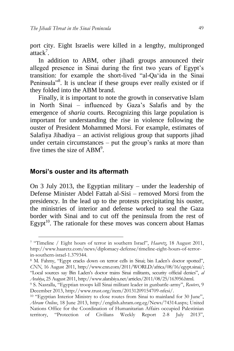port city. Eight Israelis were killed in a lengthy, multipronged  $\arctan^7$ .

In addition to ABM, other jihadi groups announced their alleged presence in Sinai during the first two years of Egypt's transition: for example the short-lived "al-Qaʻida in the Sinai Peninsula<sup>38</sup>. It is unclear if these groups ever really existed or if they folded into the ABM brand.

Finally, it is important to note the growth in conservative Islam in North Sinai – influenced by Gaza's Salafis and by the emergence of *sharia* courts. Recognizing this large population is important for understanding the rise in violence following the ouster of President Mohammed Morsi. For example, estimates of Salafiya Jihadiya – an activist religious group that supports jihad under certain circumstances – put the group's ranks at more than five times the size of  $ABM^9$ .

#### **Morsi's ouster and its aftermath**

1

On 3 July 2013, the Egyptian military – under the leadership of Defense Minister Abdel Fattah al-Sisi – removed Morsi from the presidency. In the lead up to the protests precipitating his ouster, the ministries of interior and defense worked to seal the Gaza border with Sinai and to cut off the peninsula from the rest of Egypt $10$ . The rationale for these moves was concern about Hamas

<sup>7</sup> "Timeline / Eight hours of terror in southern Israel", *Haaretz*, 18 August 2011, [http://www.haaretz.com/news/diplomacy-defense/timeline-eight-hours-of-terror](http://www.haaretz.com/news/diplomacy-defense/timeline-eight-hours-of-terror-in-southern-israel-1.379344)[in-southern-israel-1.379344.](http://www.haaretz.com/news/diplomacy-defense/timeline-eight-hours-of-terror-in-southern-israel-1.379344) 

<sup>8</sup> M. Fahmy, "Egypt cracks down on terror cells in Sinai; bin Laden's doctor spotted", *CNN*, 16 August 2011, [http://www.cnn.com/2011/WORLD/africa/08/16/egypt.sinai/;](http://www.cnn.com/2011/WORLD/africa/08/16/egypt.sinai/)  "Local sources say Bin Laden's doctor trains Sinai militants, security official denies", *al Arabiya*, 25 August 2011[, http://www.alarabiya.net/articles/2011/08/25/163956.html.](http://www.alarabiya.net/articles/2011/08/25/163956.html) 

<sup>9</sup> S. Nasralla, "Egyptian troops kill Sinai militant leader in gunbattle-army", *Reuters*, 9 December 2013, [http://www.trust.org/item/20131209154709-nfesi/.](http://www.trust.org/item/20131209154709-nfesi/)

<sup>10</sup> "Egyptian Interior Ministry to close routes from Sinai to mainland for 30 June", *Ahram Online*, 18 June 2013, [http://english.ahram.org.eg/News/74314.aspx;](http://english.ahram.org.eg/News/74314.aspx) United Nations Office for the Coordination of Humanitarian Affairs occupied Palestinian territory, "Protection of Civilians Weekly Report 2-8 July 2013",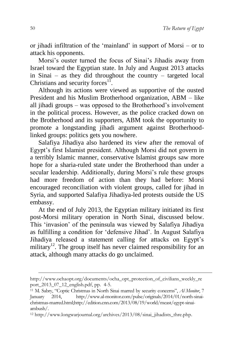or jihadi infiltration of the 'mainland' in support of Morsi – or to attack his opponents.

Morsi's ouster turned the focus of Sinai's Jihadis away from Israel toward the Egyptian state. In July and August 2013 attacks in Sinai – as they did throughout the country – targeted local Christians and security forces $11$ .

Although its actions were viewed as supportive of the ousted President and his Muslim Brotherhood organization, ABM – like all jihadi groups – was opposed to the Brotherhood's involvement in the political process. However, as the police cracked down on the Brotherhood and its supporters, ABM took the opportunity to promote a longstanding jihadi argument against Brotherhoodlinked groups: politics gets you nowhere.

Salafiya Jihadiya also hardened its view after the removal of Egypt's first Islamist president. Although Morsi did not govern in a terribly Islamic manner, conservative Islamist groups saw more hope for a sharia-ruled state under the Brotherhood than under a secular leadership. Additionally, during Morsi's rule these groups had more freedom of action than they had before: Morsi encouraged reconciliation with violent groups, called for jihad in Syria, and supported Salafiya Jihadiya-led protests outside the US embassy.

At the end of July 2013, the Egyptian military initiated its first post-Morsi military operation in North Sinai, discussed below. This 'invasion' of the peninsula was viewed by Salafiya Jihadiya as fulfilling a condition for 'defensive Jihad'. In August Salafiya Jihadiya released a statement calling for attacks on Egypt's military<sup>12</sup>. The group itself has never claimed responsibility for an attack, although many attacks do go unclaimed.

-

[http://www.ochaopt.org/documents/ocha\\_opt\\_protection\\_of\\_civilians\\_weekly\\_re](http://www.ochaopt.org/documents/ocha_opt_protection_of_civilians_weekly_report_2013_07_12_english.pdf) [port\\_2013\\_07\\_12\\_english.pdf,](http://www.ochaopt.org/documents/ocha_opt_protection_of_civilians_weekly_report_2013_07_12_english.pdf) pp. 4-5.

<sup>11</sup> M. Sabry, "Coptic Christmas in North Sinai marred by security concerns", *Al Monitor*, 7 January 2014, [http://www.al-monitor.com/pulse/originals/2014/01/north-sinai](http://www.al-monitor.com/pulse/originals/2014/01/north-sinai-christmas-marred.html)[christmas-marred.html;](http://www.al-monitor.com/pulse/originals/2014/01/north-sinai-christmas-marred.html)[http://edition.cnn.com/2013/08/19/world/meast/egypt-sinai](http://edition.cnn.com/2013/08/19/world/meast/egypt-sinai-ambush/)[ambush/.](http://edition.cnn.com/2013/08/19/world/meast/egypt-sinai-ambush/)

<sup>12</sup> [http://www.longwarjournal.org/archives/2013/08/sinai\\_jihadists\\_thre.php.](http://www.longwarjournal.org/archives/2013/08/sinai_jihadists_thre.php)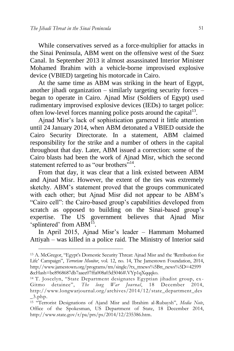1

While conservatives served as a force-multiplier for attacks in the Sinai Peninsula, ABM went on the offensive west of the Suez Canal. In September 2013 it almost assassinated Interior Minister Mohamed Ibrahim with a vehicle-borne improvised explosive device (VBIED) targeting his motorcade in Cairo.

At the same time as ABM was striking in the heart of Egypt, another jihadi organization – similarly targeting security forces – began to operate in Cairo. Ajnad Misr (Soldiers of Egypt) used rudimentary improvised explosive devices (IEDs) to target police: often low-level forces manning police posts around the capital $1<sup>3</sup>$ .

Ajnad Misr's lack of sophistication garnered it little attention until 24 January 2014, when ABM detonated a VBIED outside the Cairo Security Directorate. In a statement, ABM claimed responsibility for the strike and a number of others in the capital throughout that day. Later, ABM issued a correction: some of the Cairo blasts had been the work of Ajnad Misr, which the second statement referred to as "our brothers"<sup>14</sup>.

From that day, it was clear that a link existed between ABM and Ajnad Misr. However, the extent of the ties was extremely sketchy. ABM's statement proved that the groups communicated with each other; but Ajnad Misr did not appear to be ABM's "Cairo cell": the Cairo-based group's capabilities developed from scratch as opposed to building on the Sinai-based group's expertise. The US government believes that Ajnad Misr 'splintered' from ABM<sup>15</sup>.

In April 2015, Ajnad Misr's leader – Hammam Mohamed Attiyah – was killed in a police raid. The Ministry of Interior said

<sup>13</sup> A. McGregor, "Egypt's Domestic Security Threat: Ajnad Misr and the 'Retribution for Life' Campaign", *Terrorism Monitor*, vol. 12, no. 14, The Jamestown Foundation, 2014, [http://www.jamestown.org/programs/tm/single/?tx\\_ttnews%5Btt\\_news%5D=42599](http://www.jamestown.org/programs/tm/single/?tx_ttnews%5Btt_news%5D=42599&cHash=bc8968687db7aaee07ffa008a03d5046#.VYp1qXqqqko) [&cHash=bc8968687db7aaee07ffa008a03d5046#.VYp1qXqqqko.](http://www.jamestown.org/programs/tm/single/?tx_ttnews%5Btt_news%5D=42599&cHash=bc8968687db7aaee07ffa008a03d5046#.VYp1qXqqqko)

<sup>14</sup> T. Joscelyn, "State Department designates Egyptian jihadist group, ex - Gitmo detainee", *The long War Journal*, 18 December 2014, [http://www.longwarjournal.org/archives/2014/12/state\\_department\\_des](http://www.longwarjournal.org/archives/2014/12/state_department_des_3.php)  $-3.$ php.

<sup>15</sup> "Terrorist Designations of Ajand Misr and Ibrahim al-Rubaysh", *Media Note*, Office of the Spokesman, US Department of State, 18 December 2014, [http://www.state.gov/r/pa/prs/ps/2014/12/235386.htm.](http://www.state.gov/r/pa/prs/ps/2014/12/235386.htm)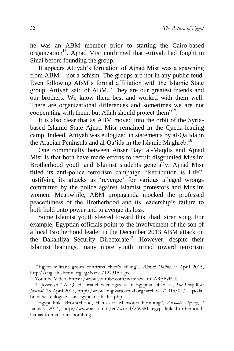he was an ABM member prior to starting the Cairo-based organization<sup>16</sup>. Ajnad Misr confirmed that Attiyah had fought in Sinai before founding the group.

It appears Attiyah's formation of Ajnad Misr was a spawning from ABM – not a schism. The groups are not in any public feud. Even following ABM's formal affiliation with the Islamic State group, Attiyah said of ABM, "They are our greatest friends and our brothers. We know them best and worked with them well. There are organizational differences and sometimes we are not cooperating with them, but Allah should protect them"<sup>17</sup>.

It is also clear that as ABM moved into the orbit of the Syriabased Islamic State Ajnad Misr remained in the Qaeda-leaning camp. Indeed, Attiyah was eulogized in statements by al-Qaʻida in the Arabian Peninsula and al-Qa'ida in the Islamic Maghreb.<sup>18</sup>

One commonalty between Ansar Bayt al-Maqdis and Ajnad Misr is that both have made efforts to recruit disgruntled Muslim Brotherhood youth and Islamist students generally. Ajnad Misr titled its anti-police terrorism campaign "Retribution is Life": justifying its attacks as 'revenge' for various alleged wrongs committed by the police against Islamist protestors and Muslim women. Meanwhile, ABM propaganda mocked the professed peacefulness of the Brotherhood and its leadership's failure to both hold onto power and to avenge its loss.

Some Islamist youth steered toward this jihadi siren song. For example, Egyptian officials point to the involvement of the son of a local Brotherhood leader in the December 2013 ABM attack on the Dakahliya Security Directorate<sup>19</sup>. However, despite their Islamist leanings, many more youth turned toward terrorism

1

<sup>16</sup> "Egypt militant group confirms chief's killing", *Ahram Online*, 9 April 2015, [http://english.ahram.org.eg/News/127315.aspx.](http://english.ahram.org.eg/News/127315.aspx) 

<sup>17</sup> Youtube Video[, https://www.youtube.com/watch?v=fu2ARpByEUU.](https://www.youtube.com/watch?v=fu2ARpByEUU)

<sup>18</sup> T. Joscelyn, "Al Qaeda branches eulogize slain Egyptian jihadist", *The Long War Journal*, 13 April 2015, [http://www.longwarjournal.org/archives/2015/04/al-qaeda](http://www.longwarjournal.org/archives/2015/04/al-qaeda-branches-eulogize-slain-egyptian-jihadist.php)[branches-eulogize-slain-egyptian-jihadist.php.](http://www.longwarjournal.org/archives/2015/04/al-qaeda-branches-eulogize-slain-egyptian-jihadist.php)

<sup>19</sup> "Egypt links Brotherhood, Hamas to Mansoura bombing", *Anadolu Agency*, 2 January 2014, [http://www.aa.com.tr/en/world/269881--egypt-links-brotherhood](http://www.aa.com.tr/en/world/269881--egypt-links-brotherhood-hamas-to-mansoura-bombing)[hamas-to-mansoura-bombing.](http://www.aa.com.tr/en/world/269881--egypt-links-brotherhood-hamas-to-mansoura-bombing)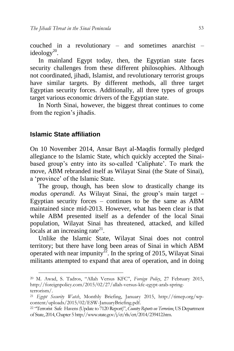couched in a revolutionary – and sometimes anarchist – ideology $^{20}$ .

In mainland Egypt today, then, the Egyptian state faces security challenges from these different philosophies. Although not coordinated, jihadi, Islamist, and revolutionary terrorist groups have similar targets. By different methods, all three target Egyptian security forces. Additionally, all three types of groups target various economic drivers of the Egyptian state.

In North Sinai, however, the biggest threat continues to come from the region's jihadis.

#### **Islamic State affiliation**

-

On 10 November 2014, Ansar Bayt al-Maqdis formally pledged allegiance to the Islamic State, which quickly accepted the Sinaibased group's entry into its so-called 'Caliphate'. To mark the move, ABM rebranded itself as Wilayat Sinai (the State of Sinai), a 'province' of the Islamic State.

The group, though, has been slow to drastically change its *modus operandi*. As Wilayat Sinai, the group's main target – Egyptian security forces – continues to be the same as ABM maintained since mid-2013. However, what has been clear is that while ABM presented itself as a defender of the local Sinai population, Wilayat Sinai has threatened, attacked, and killed locals at an increasing rate $^{21}$ .

Unlike the Islamic State, Wilayat Sinai does not control territory; but there have long been areas of Sinai in which ABM operated with near impunity<sup>22</sup>. In the spring of 2015, Wilayat Sinai militants attempted to expand that area of operation, and in doing

<sup>20</sup> M. Awad, S. Tadros, "Allah Versus KFC", *Foreign Policy*, 27 February 2015, [http://foreignpolicy.com/2015/02/27/allah-versus-kfc-egypt-arab-spring](http://foreignpolicy.com/2015/02/27/allah-versus-kfc-egypt-arab-spring-terrorism/)[terrorism/.](http://foreignpolicy.com/2015/02/27/allah-versus-kfc-egypt-arab-spring-terrorism/)

<sup>21</sup> *Egypt Security Watch*, Monthly Briefing, January 2015, [http://timep.org/wp](http://timep.org/wp-content/uploads/2015/02/ESW-JanuaryBriefing.pdf)[content/uploads/2015/02/ESW-JanuaryBriefing.pdf.](http://timep.org/wp-content/uploads/2015/02/ESW-JanuaryBriefing.pdf)

<sup>22</sup> "Terrorist Safe Havens (Update to 7120 Report)", *Country Reports on Terrorism*, US Department of State, 2014, Chapter [5 http://www.state.gov/j/ct/rls/crt/2014/239412.htm.](http://www.state.gov/j/ct/rls/crt/2014/239412.htm)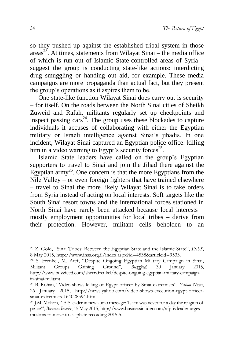so they pushed up against the established tribal system in those  $area^{23}$ . At times, statements from Wilayat Sinai – the media office of which is run out of Islamic State-controlled areas of Syria – suggest the group is conducting state-like actions: interdicting drug smuggling or handing out aid, for example. These media campaigns are more propaganda than actual fact, but they present the group's operations as it aspires them to be.

One state-like function Wilayat Sinai does carry out is security – for itself. On the roads between the North Sinai cities of Sheikh Zuweid and Rafah, militants regularly set up checkpoints and inspect passing cars<sup>24</sup>. The group uses these blockades to capture individuals it accuses of collaborating with either the Egyptian military or Israeli intelligence against Sinai's jihadis. In one incident, Wilayat Sinai captured an Egyptian police office: killing him in a video warning to Egypt's security forces<sup>25</sup>.

Islamic State leaders have called on the group's Egyptian supporters to travel to Sinai and join the Jihad there against the Egyptian army<sup>26</sup>. One concern is that the more Egyptians from the Nile Valley – or even foreign fighters that have trained elsewhere – travel to Sinai the more likely Wilayat Sinai is to take orders from Syria instead of acting on local interests. Soft targets like the South Sinai resort towns and the international forces stationed in North Sinai have rarely been attacked because local interests – mostly employment opportunities for local tribes – derive from their protection. However, militant cells beholden to an

-

<sup>23</sup> Z. Gold, "Sinai Tribes: Between the Egyptian State and the Islamic State", *INSS*, 8 May 2015, [http://www.inss.org.il/index.aspx?id=4538&articleid=9533.](http://www.inss.org.il/index.aspx?id=4538&articleid=9533)

<sup>24</sup> S. Frenkel, M. Atef, "Despite Ongoing Egyptian Military Campaign in Sinai, Militant Groups Gaining Ground", *Buzzfeed*, 30 January 2015, [http://www.buzzfeed.com/sheerafrenkel/despite-ongoing-egyptian-military-campaign](http://www.buzzfeed.com/sheerafrenkel/despite-ongoing-egyptian-military-campaign-in-sinai-militant)[in-sinai-militant.](http://www.buzzfeed.com/sheerafrenkel/despite-ongoing-egyptian-military-campaign-in-sinai-militant)

<sup>25</sup> B. Rohan, "Video shows killing of Egypt officer by Sinai extremists", *Yahoo News*, 26 January 2015, [http://news.yahoo.com/video-shows-execution-egypt-officer](http://news.yahoo.com/video-shows-execution-egypt-officer-sinai-extremists-164028594.html)[sinai-extremists-164028594.html.](http://news.yahoo.com/video-shows-execution-egypt-officer-sinai-extremists-164028594.html)

<sup>26</sup> J.M. Mohon, "ISIS leader in new audio message: 'Islam was never for a day the religion of peace'", *Business Insider*, 15 May 2015[, http://www.businessinsider.com/afp-is-leader-urges](http://www.businessinsider.com/afp-is-leader-urges-muslims-to-move-to-caliphate-recording-2015-5)[muslims-to-move-to-caliphate-recording-2015-5.](http://www.businessinsider.com/afp-is-leader-urges-muslims-to-move-to-caliphate-recording-2015-5)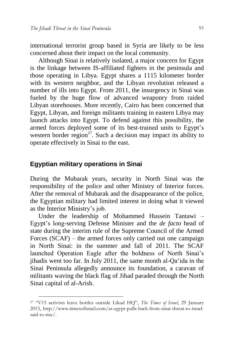international terrorist group based in Syria are likely to be less concerned about their impact on the local community.

Although Sinai is relatively isolated, a major concern for Egypt is the linkage between IS-affiliated fighters in the peninsula and those operating in Libya. Egypt shares a 1115 kilometer border with its western neighbor, and the Libyan revolution released a number of ills into Egypt. From 2011, the insurgency in Sinai was fueled by the huge flow of advanced weaponry from raided Libyan storehouses. More recently, Cairo has been concerned that Egypt, Libyan, and foreign militants training in eastern Libya may launch attacks into Egypt. To defend against this possibility, the armed forces deployed some of its best-trained units to Egypt's western border region<sup>27</sup>. Such a decision may impact its ability to operate effectively in Sinai to the east.

## **Egyptian military operations in Sinai**

1

During the Mubarak years, security in North Sinai was the responsibility of the police and other Ministry of Interior forces. After the removal of Mubarak and the disappearance of the police, the Egyptian military had limited interest in doing what it viewed as the Interior Ministry's job.

Under the leadership of Mohammed Hussein Tantawi – Egypt's long-serving Defense Minister and the *de facto* head of state during the interim rule of the Supreme Council of the Armed Forces (SCAF) – the armed forces only carried out one campaign in North Sinai: in the summer and fall of 2011. The SCAF launched Operation Eagle after the boldness of North Sinai's jihadis went too far. In July 2011, the same month al-Qaʻida in the Sinai Peninsula allegedly announce its foundation, a caravan of militants waving the black flag of Jihad paraded through the North Sinai capital of al-Arish.

<sup>27</sup> "V15 activists leave bottles outside Likud HQ", *The Times of Israel*, 29 January 2015, [http://www.timesofisrael.com/as-egypt-pulls-back-from-sinai-threat-to-israel](http://www.timesofisrael.com/as-egypt-pulls-back-from-sinai-threat-to-israel-said-to-rise/)[said-to-rise/.](http://www.timesofisrael.com/as-egypt-pulls-back-from-sinai-threat-to-israel-said-to-rise/)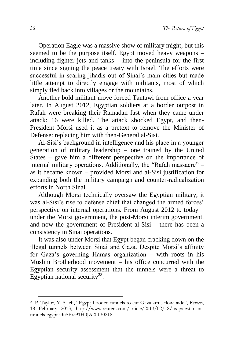Operation Eagle was a massive show of military might, but this seemed to be the purpose itself. Egypt moved heavy weapons – including fighter jets and tanks – into the peninsula for the first time since signing the peace treaty with Israel. The efforts were successful in scaring jihadis out of Sinai's main cities but made little attempt to directly engage with militants, most of which simply fled back into villages or the mountains.

Another bold militant move forced Tantawi from office a year later. In August 2012, Egyptian soldiers at a border outpost in Rafah were breaking their Ramadan fast when they came under attack: 16 were killed. The attack shocked Egypt, and then-President Morsi used it as a pretext to remove the Minister of Defense: replacing him with then-General al-Sisi.

Al-Sisi's background in intelligence and his place in a younger generation of military leadership – one trained by the United States – gave him a different perspective on the importance of internal military operations. Additionally, the "Rafah massacre" – as it became known – provided Morsi and al-Sisi justification for expanding both the military campaign and counter-radicalization efforts in North Sinai.

Although Morsi technically oversaw the Egyptian military, it was al-Sisi's rise to defense chief that changed the armed forces' perspective on internal operations. From August 2012 to today – under the Morsi government, the post-Morsi interim government, and now the government of President al-Sisi – there has been a consistency in Sinai operations.

It was also under Morsi that Egypt began cracking down on the illegal tunnels between Sinai and Gaza. Despite Morsi's affinity for Gaza's governing Hamas organization – with roots in his Muslim Brotherhood movement – his office concurred with the Egyptian security assessment that the tunnels were a threat to Egyptian national security<sup>28</sup>.

1

<sup>28</sup> P. Taylor, Y. Saleh, "Egypt flooded tunnels to cut Gaza arms flow: aide", *Reuters*, 18 February 2013, [http://www.reuters.com/article/2013/02/18/us-palestinians](http://www.reuters.com/article/2013/02/18/us-palestinians-tunnels-egypt-iduSBre91H0JA20130218)[tunnels-egypt-iduSBre91H0JA20130218.](http://www.reuters.com/article/2013/02/18/us-palestinians-tunnels-egypt-iduSBre91H0JA20130218)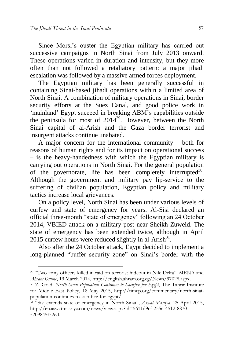1

Since Morsi's ouster the Egyptian military has carried out successive campaigns in North Sinai from July 2013 onward. These operations varied in duration and intensity, but they more often than not followed a retaliatory pattern: a major jihadi escalation was followed by a massive armed forces deployment.

The Egyptian military has been generally successful in containing Sinai-based jihadi operations within a limited area of North Sinai. A combination of military operations in Sinai, border security efforts at the Suez Canal, and good police work in 'mainland' Egypt succeed in breaking ABM's capabilities outside the peninsula for most of  $2014^{29}$ . However, between the North Sinai capital of al-Arish and the Gaza border terrorist and insurgent attacks continue unabated.

A major concern for the international community – both for reasons of human rights and for its impact on operational success – is the heavy-handedness with which the Egyptian military is carrying out operations in North Sinai. For the general population of the governorate, life has been completely interrupted<sup>30</sup>. Although the government and military pay lip-service to the suffering of civilian population, Egyptian policy and military tactics increase local grievances.

On a policy level, North Sinai has been under various levels of curfew and state of emergency for years. Al-Sisi declared an official three-month "state of emergency" following an 24 October 2014, VBIED attack on a military post near Sheikh Zuweid. The state of emergency has been extended twice, although in April 2015 curfew hours were reduced slightly in al-Arish $^{31}$ .

Also after the 24 October attack, Egypt decided to implement a long-planned "buffer security zone" on Sinai's border with the

<sup>29</sup> "Two army officers killed in raid on terrorist hideout in Nile Delta", MENA and *Ahram Online*, 19 March 2014, [http://english.ahram.org.eg/News/97028.aspx.](http://english.ahram.org.eg/News/97028.aspx) 

<sup>30</sup> Z. Gold, *North Sinai Population Continues to Sacrifice for Egypt*, The Tahrir Institute for Middle East Policy, 18 May 2015, [http://timep.org/commentary/north-sinai](http://timep.org/commentary/north-sinai-population-continues-to-sacrifice-for-egypt/)[population-continues-to-sacrifice-for-egypt/.](http://timep.org/commentary/north-sinai-population-continues-to-sacrifice-for-egypt/)

<sup>31</sup> "Sisi extends state of emergency in North Sinai", *Aswat Masriya*, 25 April 2015, [http://en.aswatmasriya.com/news/view.aspx?id=5611d9cf-2556-4512-8870-](http://en.aswatmasriya.com/news/view.aspx?id=5611d9cf-2556-4512-8870-5209845f52ed) [5209845f52ed.](http://en.aswatmasriya.com/news/view.aspx?id=5611d9cf-2556-4512-8870-5209845f52ed)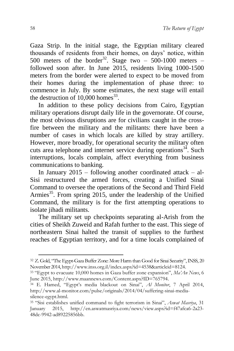Gaza Strip. In the initial stage, the Egyptian military cleared thousands of residents from their homes, on days' notice, within 500 meters of the border<sup>32</sup>. Stage two – 500-1000 meters – followed soon after. In June 2015, residents living 1000-1500 meters from the border were alerted to expect to be moved from their homes during the implementation of phase three: to commence in July. By some estimates, the next stage will entail the destruction of  $10,000$  homes<sup>33</sup>.

In addition to these policy decisions from Cairo, Egyptian military operations disrupt daily life in the governorate. Of course, the most obvious disruptions are for civilians caught in the crossfire between the military and the militants: there have been a number of cases in which locals are killed by stray artillery. However, more broadly, for operational security the military often cuts area telephone and internet service during operations $3<sup>34</sup>$ . Such interruptions, locals complain, affect everything from business communications to banking.

In January 2015 – following another coordinated attack – al-Sisi restructured the armed forces, creating a Unified Sinai Command to oversee the operations of the Second and Third Field Armies<sup>35</sup>. From spring 2015, under the leadership of the Unified Command, the military is for the first attempting operations to isolate jihadi militants.

The military set up checkpoints separating al-Arish from the cities of Sheikh Zuweid and Rafah further to the east. This siege of northeastern Sinai halted the transit of supplies to the furthest reaches of Egyptian territory, and for a time locals complained of

-

<sup>32</sup> Z. Gold, "The Egypt-Gaza Buffer Zone: More Harm than Good for Sinai Security", INSS, 20 November 201[4, http://www.inss.org.il/index.aspx?id=4538&articleid=8124.](http://www.inss.org.il/index.aspx?id=4538&articleid=8124)

<sup>33</sup> "Egypt to evacuate 10,000 homes in Gaza buffer zone expansion", *Ma'An News*, 6 June 2015, [http://www.maannews.com/Content.aspx?ID=765794.](http://www.maannews.com/Content.aspx?ID=765794)

<sup>34</sup> E. Hamed, "Egypt's media blackout on Sinai", *Al Monitor*, 7 April 2014, [http://www.al-monitor.com/pulse/originals/2014/04/suffering-sinai-media](http://www.al-monitor.com/pulse/originals/2014/04/suffering-sinai-media-silence-egypt.html)[silence-egypt.html.](http://www.al-monitor.com/pulse/originals/2014/04/suffering-sinai-media-silence-egypt.html)

<sup>35</sup> "Sisi establishes unified command to fight terrorism in Sinai", *Aswat Masriya*, 31 January 2015, [http://en.aswatmasriya.com/news/view.aspx?id=f47afca6-2a23-](http://en.aswatmasriya.com/news/view.aspx?id=f47afca6-2a23-48dc-9942-ad89225856bb) [48dc-9942-ad89225856bb.](http://en.aswatmasriya.com/news/view.aspx?id=f47afca6-2a23-48dc-9942-ad89225856bb)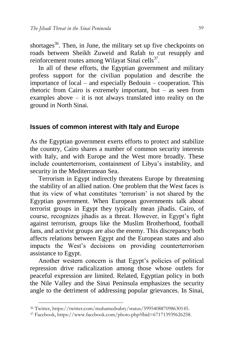shortages<sup>36</sup>. Then, in June, the military set up five checkpoints on roads between Sheikh Zuweid and Rafah to cut resupply and reinforcement routes among Wilayat Sinai cells<sup>37</sup>.

In all of these efforts, the Egyptian government and military profess support for the civilian population and describe the importance of local – and especially Bedouin – cooperation. This rhetoric from Cairo is extremely important, but – as seen from examples above – it is not always translated into reality on the ground in North Sinai.

### **Issues of common interest with Italy and Europe**

As the Egyptian government exerts efforts to protect and stabilize the country, Cairo shares a number of common security interests with Italy, and with Europe and the West more broadly. These include counterterrorism, containment of Libya's instability, and security in the Mediterranean Sea.

Terrorism in Egypt indirectly threatens Europe by threatening the stability of an allied nation. One problem that the West faces is that its view of what constitutes 'terrorism' is not shared by the Egyptian government. When European governments talk about terrorist groups in Egypt they typically mean jihadis. Cairo, of course, recognizes jihadis as a threat. However, in Egypt's fight against terrorism, groups like the Muslim Brotherhood, football fans, and activist groups are also the enemy. This discrepancy both affects relations between Egypt and the European states and also impacts the West's decisions on providing counterterrorism assistance to Egypt.

Another western concern is that Egypt's policies of political repression drive radicalization among those whose outlets for peaceful expression are limited. Related, Egyptian policy in both the Nile Valley and the Sinai Peninsula emphasizes the security angle to the detriment of addressing popular grievances. In Sinai,

-

<sup>36</sup> Twitter[, https://twitter.com/muhamedsabry/status/599540887098630145.](https://twitter.com/muhamedsabry/status/599540887098630145)

<sup>37</sup> Facebook, [https://www.facebook.com/photo.php?fbid=671713939626258.](https://www.facebook.com/photo.php?fbid=671713939626258)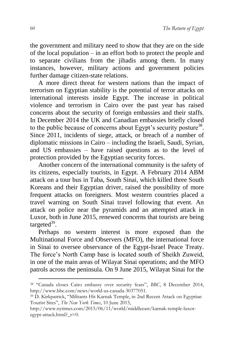the government and military need to show that they are on the side of the local population – in an effort both to protect the people and to separate civilians from the jihadis among them. In many instances, however, military actions and government policies further damage citizen-state relations.

A more direct threat for western nations than the impact of terrorism on Egyptian stability is the potential of terror attacks on international interests inside Egypt. The increase in political violence and terrorism in Cairo over the past year has raised concerns about the security of foreign embassies and their staffs. In December 2014 the UK and Canadian embassies briefly closed to the public because of concerns about Egypt's security posture<sup>38</sup>. Since 2011, incidents of siege, attack, or breach of a number of diplomatic missions in Cairo – including the Israeli, Saudi, Syrian, and US embassies – have raised questions as to the level of protection provided by the Egyptian security forces.

Another concern of the international community is the safety of its citizens, especially tourists, in Egypt. A February 2014 ABM attack on a tour bus in Taba, South Sinai, which killed three South Koreans and their Egyptian driver, raised the possibility of more frequent attacks on foreigners. Most western countries placed a travel warning on South Sinai travel following that event. An attack on police near the pyramids and an attempted attack in Luxor, both in June 2015, renewed concerns that tourists are being targeted<sup>39</sup>.

Perhaps no western interest is more exposed than the Multinational Force and Observers (MFO), the international force in Sinai to oversee observance of the Egypt-Israel Peace Treaty. The force's North Camp base is located south of Sheikh Zuweid, in one of the main areas of Wilayat Sinai operations; and the MFO patrols across the peninsula. On 9 June 2015, Wilayat Sinai for the

1

<sup>38</sup> "Canada closes Cairo embassy over security fears", *BBC*, 8 December 2014, [http://www.bbc.com/news/world-us-canada-30377051.](http://www.bbc.com/news/world-us-canada-30377051)

<sup>39</sup> D. Kirkpatrick, "Militants Hit Karnak Temple, in 2nd Recent Attack on Egyptian Tourist Sites", *The New York Times*, 10 June 2015,

[http://www.nytimes.com/2015/06/11/world/middleeast/karnak-temple-luxor](http://www.nytimes.com/2015/06/11/world/middleeast/karnak-temple-luxor-egypt-attack.html?_r=0)egypt-attack.html? r=0.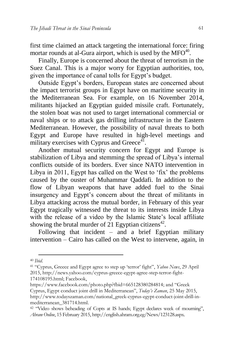first time claimed an attack targeting the international force: firing mortar rounds at al-Gura airport, which is used by the  $MFO^{40}$ .

Finally, Europe is concerned about the threat of terrorism in the Suez Canal. This is a major worry for Egyptian authorities, too, given the importance of canal tolls for Egypt's budget.

Outside Egypt's borders, European states are concerned about the impact terrorist groups in Egypt have on maritime security in the Mediterranean Sea. For example, on 16 November 2014, militants hijacked an Egyptian guided missile craft. Fortunately, the stolen boat was not used to target international commercial or naval ships or to attack gas drilling infrastructure in the Eastern Mediterranean. However, the possibility of naval threats to both Egypt and Europe have resulted in high-level meetings and military exercises with Cyprus and Greece<sup>41</sup>.

Another mutual security concern for Egypt and Europe is stabilization of Libya and stemming the spread of Libya's internal conflicts outside of its borders. Ever since NATO intervention in Libya in 2011, Egypt has called on the West to 'fix' the problems caused by the ouster of Muhammar Qaddafi. In addition to the flow of Libyan weapons that have added fuel to the Sinai insurgency and Egypt's concern about the threat of militants in Libya attacking across the mutual border, in February of this year Egypt tragically witnessed the threat to its interests inside Libya with the release of a video by the Islamic State's local affiliate showing the brutal murder of 21 Egyptian citizens<sup>42</sup>.

Following that incident  $-$  and a brief Egyptian military intervention – Cairo has called on the West to intervene, again, in

<sup>-</sup><sup>40</sup> *Ibid*.

<sup>41</sup> "Cyprus, Greece and Egypt agree to step up 'terror' fight", *Yahoo News*, 29 April 2015, [http://news.yahoo.com/cyprus-greece-egypt-agree-step-terror-fight-](http://news.yahoo.com/cyprus-greece-egypt-agree-step-terror-fight-174108195.html)[174108195.html;](http://news.yahoo.com/cyprus-greece-egypt-agree-step-terror-fight-174108195.html) Facebook,

<https://www.facebook.com/photo.php?fbid=665128380284814>; and "Greek Cyprus, Egypt conduct joint drill in Mediterranean", *Today's Zaman*, 25 May 2015, [http://www.todayszaman.com/national\\_greek-cyprus-egypt-conduct-joint-drill-in](http://www.todayszaman.com/national_greek-cyprus-egypt-conduct-joint-drill-in-mediterranean_381714.html)[mediterranean\\_381714.html.](http://www.todayszaman.com/national_greek-cyprus-egypt-conduct-joint-drill-in-mediterranean_381714.html)

<sup>&</sup>lt;sup>42</sup> "Video shows beheading of Copts at IS hands; Egypt declares week of mourning", *Ahram Online*, 15 February 2015[, http://english.ahram.org.eg/News/123128.aspx.](http://english.ahram.org.eg/News/123128.aspx)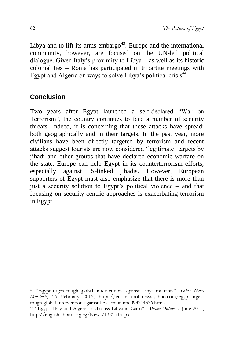Libya and to lift its arms embargo<sup>43</sup>. Europe and the international community, however, are focused on the UN-led political dialogue. Given Italy's proximity to Libya – as well as its historic colonial ties – Rome has participated in tripartite meetings with Egypt and Algeria on ways to solve Libya's political crisis<sup>44</sup>.

## **Conclusion**

1

Two years after Egypt launched a self-declared "War on Terrorism", the country continues to face a number of security threats. Indeed, it is concerning that these attacks have spread: both geographically and in their targets. In the past year, more civilians have been directly targeted by terrorism and recent attacks suggest tourists are now considered 'legitimate' targets by iihadi and other groups that have declared economic warfare on the state. Europe can help Egypt in its counterterrorism efforts, especially against IS-linked jihadis. However, European supporters of Egypt must also emphasize that there is more than just a security solution to Egypt's political violence – and that focusing on security-centric approaches is exacerbating terrorism in Egypt.

<sup>43</sup> "Egypt urges tough global 'intervention' against Libya militants", *Yahoo News Maktoob*, 16 February 2015, [https://en-maktoob.news.yahoo.com/egypt-urges](https://en-maktoob.news.yahoo.com/egypt-urges-tough-global-intervention-against-libya-militants-093214336.html)[tough-global-intervention-against-libya-militants-093214336.html.](https://en-maktoob.news.yahoo.com/egypt-urges-tough-global-intervention-against-libya-militants-093214336.html)

<sup>44</sup> "Egypt, Italy and Algeria to discuss Libya in Cairo", *Ahram Online*, 7 June 2015, [http://english.ahram.org.eg/News/132154.aspx.](http://english.ahram.org.eg/News/132154.aspx)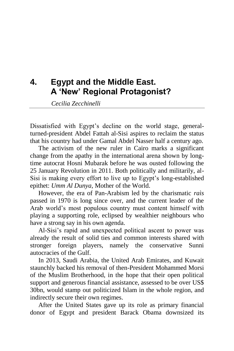# **4. Egypt and the Middle East. A 'New' Regional Protagonist?**

*Cecilia Zecchinelli*

Dissatisfied with Egypt's decline on the world stage, generalturned-president Abdel Fattah al-Sisi aspires to reclaim the status that his country had under Gamal Abdel Nasser half a century ago.

The activism of the new ruler in Cairo marks a significant change from the apathy in the international arena shown by longtime autocrat Hosni Mubarak before he was ousted following the 25 January Revolution in 2011. Both politically and militarily, al-Sisi is making every effort to live up to Egypt's long-established epithet: *Umm Al Dunya*, Mother of the World.

However, the era of Pan-Arabism led by the charismatic *raìs* passed in 1970 is long since over, and the current leader of the Arab world's most populous country must content himself with playing a supporting role, eclipsed by wealthier neighbours who have a strong say in his own agenda.

Al-Sisi's rapid and unexpected political ascent to power was already the result of solid ties and common interests shared with stronger foreign players, namely the conservative Sunni autocracies of the Gulf.

In 2013, Saudi Arabia, the United Arab Emirates, and Kuwait staunchly backed his removal of then-President Mohammed Morsi of the Muslim Brotherhood, in the hope that their open political support and generous financial assistance, assessed to be over US\$ 30bn, would stamp out politicized Islam in the whole region, and indirectly secure their own regimes.

After the United States gave up its role as primary financial donor of Egypt and president Barack Obama downsized its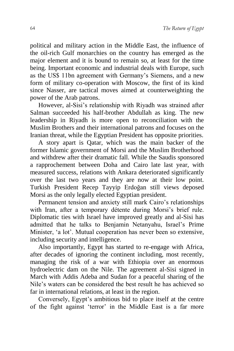political and military action in the Middle East, the influence of the oil-rich Gulf monarchies on the country has emerged as the major element and it is bound to remain so, at least for the time being. Important economic and industrial deals with Europe, such as the US\$ 11bn agreement with Germany's Siemens, and a new form of military co-operation with Moscow, the first of its kind since Nasser, are tactical moves aimed at counterweighting the power of the Arab patrons.

However, al-Sisi's relationship with Riyadh was strained after Salman succeeded his half-brother Abdullah as king. The new leadership in Riyadh is more open to reconciliation with the Muslim Brothers and their international patrons and focuses on the Iranian threat, while the Egyptian President has opposite priorities.

A story apart is Qatar, which was the main backer of the former Islamic government of Morsi and the Muslim Brotherhood and withdrew after their dramatic fall. While the Saudis sponsored a rapprochement between Doha and Cairo late last year, with measured success, relations with Ankara deteriorated significantly over the last two years and they are now at their low point. Turkish President Recep Tayyip Erdoğan still views deposed Morsi as the only legally elected Egyptian president.

Permanent tension and anxiety still mark Cairo's relationships with Iran, after a temporary détente during Morsi's brief rule. Diplomatic ties with Israel have improved greatly and al-Sisi has admitted that he talks to Benjamin Netanyahu, Israel's Prime Minister, 'a lot'. Mutual cooperation has never been so extensive, including security and intelligence.

Also importantly, Egypt has started to re-engage with Africa, after decades of ignoring the continent including, most recently, managing the risk of a war with Ethiopia over an enormous hydroelectric dam on the Nile. The agreement al-Sisi signed in March with Addis Adeba and Sudan for a peaceful sharing of the Nile's waters can be considered the best result he has achieved so far in international relations, at least in the region.

Conversely, Egypt's ambitious bid to place itself at the centre of the fight against 'terror' in the Middle East is a far more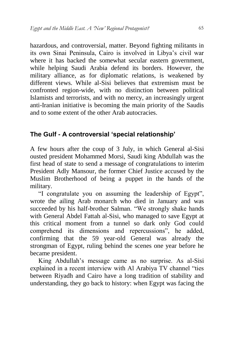hazardous, and controversial, matter. Beyond fighting militants in its own Sinai Peninsula, Cairo is involved in Libya's civil war where it has backed the somewhat secular eastern government, while helping Saudi Arabia defend its borders. However, the military alliance, as for diplomatic relations, is weakened by different views. While al-Sisi believes that extremism must be confronted region-wide, with no distinction between political Islamists and terrorists, and with no mercy, an increasingly urgent anti-Iranian initiative is becoming the main priority of the Saudis and to some extent of the other Arab autocracies.

## **The Gulf - A controversial 'special relationship'**

A few hours after the coup of 3 July, in which General al-Sisi ousted president Mohammed Morsi, Saudi king Abdullah was the first head of state to send a message of congratulations to interim President Adly Mansour, the former Chief Justice accused by the Muslim Brotherhood of being a puppet in the hands of the military.

"I congratulate you on assuming the leadership of Egypt", wrote the ailing Arab monarch who died in January and was succeeded by his half-brother Salman. "We strongly shake hands with General Abdel Fattah al-Sisi, who managed to save Egypt at this critical moment from a tunnel so dark only God could comprehend its dimensions and repercussions", he added, confirming that the 59 year-old General was already the strongman of Egypt, ruling behind the scenes one year before he became president.

King Abdullah's message came as no surprise. As al-Sisi explained in a recent interview with Al Arabiya TV channel "ties between Riyadh and Cairo have a long tradition of stability and understanding, they go back to history: when Egypt was facing the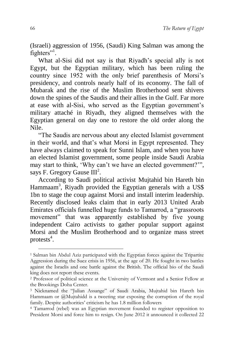(Israeli) aggression of 1956, (Saudi) King Salman was among the fighters"<sup>1</sup>.

What al-Sisi did not say is that Riyadh's special ally is not Egypt, but the Egyptian military, which has been ruling the country since 1952 with the only brief parenthesis of Morsi's presidency, and controls nearly half of its economy. The fall of Mubarak and the rise of the Muslim Brotherhood sent shivers down the spines of the Saudis and their allies in the Gulf. Far more at ease with al-Sisi, who served as the Egyptian government's military attaché in Riyadh, they aligned themselves with the Egyptian general on day one to restore the old order along the Nile.

"The Saudis are nervous about any elected Islamist government in their world, and that's what Morsi in Egypt represented. They have always claimed to speak for Sunni Islam, and when you have an elected Islamist government, some people inside Saudi Arabia may start to think, 'Why can't we have an elected government?'", says F. Gregory Gause  $III^2$ .

According to Saudi political activist Mujtahid bin Hareth bin Hammaam<sup>3</sup>, Riyadh provided the Egyptian generals with a US\$ 1bn to stage the coup against Morsi and install interim leadership. Recently disclosed leaks claim that in early 2013 United Arab Emirates officials funnelled huge funds to Tamarrod, a "grassroots movement" that was apparently established by five young independent Cairo activists to gather popular support against Morsi and the Muslim Brotherhood and to organize mass street protests $4$ .

1

<sup>1</sup> Salman bin Abdul Aziz participated with the Egyptian forces against the Tripartite Aggression during the Suez crisis in 1956, at the age of 20. He fought in two battles against the Israelis and one battle against the British. The official bio of the Saudi king does not report these events.

<sup>2</sup> Professor of political science at the University of Vermont and a Senior Fellow at the Brookings Doha Center.

<sup>3</sup> Nicknamed the "Julian Assange" of Saudi Arabia, Mujtahid bin Hareth bin Hammaam or @Mujtahidd is a tweeting star exposing the corruption of the royal family. Despite authorities' criticism he has 1.8 million followers

<sup>4</sup> Tamarrod (rebel) was an Egyptian movement founded to register opposition to President Morsi and force him to resign. On June 2012 it announced it collected 22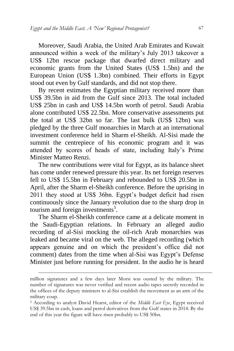Moreover, Saudi Arabia, the United Arab Emirates and Kuwait announced within a week of the military's July 2013 takeover a US\$ 12bn rescue package that dwarfed direct military and economic grants from the United States (US\$ 1.5bn) and the European Union (US\$ 1.3bn) combined. Their efforts in Egypt stood out even by Gulf standards, and did not stop there.

By recent estimates the Egyptian military received more than US\$ 39.5bn in aid from the Gulf since 2013. The total included US\$ 25bn in cash and US\$ 14.5bn worth of petrol. Saudi Arabia alone contributed US\$ 22.5bn. More conservative assessments put the total at US\$ 32bn so far. The last bulk (US\$ 12bn) was pledged by the three Gulf monarchies in March at an international investment conference held in Sharm el-Sheikh. Al-Sisi made the summit the centrepiece of his economic program and it was attended by scores of heads of state, including Italy's Prime Minister Matteo Renzi.

The new contributions were vital for Egypt, as its balance sheet has come under renewed pressure this year. Its net foreign reserves fell to US\$ 15.5bn in February and rebounded to US\$ 20.5bn in April, after the Sharm el-Sheikh conference. Before the uprising in 2011 they stood at US\$ 36bn. Egypt's budget deficit had risen continuously since the January revolution due to the sharp drop in tourism and foreign investments<sup>5</sup>.

The Sharm el-Sheikh conference came at a delicate moment in the Saudi-Egyptian relations. In February an alleged audio recording of al-Sisi mocking the oil-rich Arab monarchies was leaked and became viral on the web. The alleged recording (which appears genuine and on which the president's office did not comment) dates from the time when al-Sisi was Egypt's Defense Minister just before running for president. In the audio he is heard

-

million signatures and a few days later Morsi was ousted by the military. The number of signatures was never verified and recent audio tapes secretly recorded in the offices of the deputy ministers to al-Sisi establish the movement as an arm of the military coup.

<sup>5</sup> According to analyst David Hearst, editor of the *Middle East Eye*, Egypt received US\$ 39.5bn in cash, loans and petrol derivatives from the Gulf states in 2014. By the end of this year the figure will have risen probably to US\$ 50bn.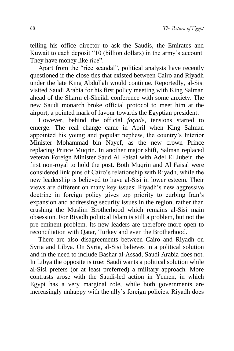telling his office director to ask the Saudis, the Emirates and Kuwait to each deposit "10 (billion dollars) in the army's account. They have money like rice".

Apart from the "rice scandal", political analysts have recently questioned if the close ties that existed between Cairo and Riyadh under the late King Abdullah would continue. Reportedly, al-Sisi visited Saudi Arabia for his first policy meeting with King Salman ahead of the Sharm el-Sheikh conference with some anxiety. The new Saudi monarch broke official protocol to meet him at the airport, a pointed mark of favour towards the Egyptian president.

However, behind the official *façade*, tensions started to emerge. The real change came in April when King Salman appointed his young and popular nephew, the country's Interior Minister Mohammad bin Nayef, as the new crown Prince replacing Prince Muqrin. In another major shift, Salman replaced veteran Foreign Minister Saud Al Faisal with Adel El Jubeir, the first non-royal to hold the post. Both Muqrin and Al Faisal were considered link pins of Cairo's relationship with Riyadh, while the new leadership is believed to have al-Sisi in lower esteem. Their views are different on many key issues: Riyadh's new aggressive doctrine in foreign policy gives top priority to curbing Iran's expansion and addressing security issues in the region, rather than crushing the Muslim Brotherhood which remains al-Sisi main obsession. For Riyadh political Islam is still a problem, but not the pre-eminent problem. Its new leaders are therefore more open to reconciliation with Qatar, Turkey and even the Brotherhood.

There are also disagreements between Cairo and Riyadh on Syria and Libya. On Syria, al-Sisi believes in a political solution and in the need to include Bashar al-Assad, Saudi Arabia does not. In Libya the opposite is true: Saudi wants a political solution while al-Sisi prefers (or at least preferred) a military approach. More contrasts arose with the Saudi-led action in Yemen, in which Egypt has a very marginal role, while both governments are increasingly unhappy with the ally's foreign policies. Riyadh does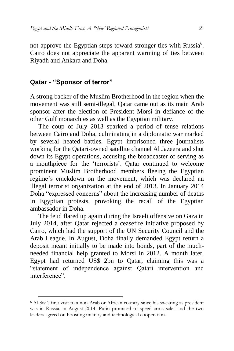not approve the Egyptian steps toward stronger ties with Russia<sup>6</sup>. Cairo does not appreciate the apparent warming of ties between Riyadh and Ankara and Doha.

### **Qatar - "Sponsor of terror"**

1

A strong backer of the Muslim Brotherhood in the region when the movement was still semi-illegal, Qatar came out as its main Arab sponsor after the election of President Morsi in defiance of the other Gulf monarchies as well as the Egyptian military.

The coup of July 2013 sparked a period of tense relations between Cairo and Doha, culminating in a diplomatic war marked by several heated battles. Egypt imprisoned three journalists working for the Qatari-owned satellite channel Al Jazeera and shut down its Egypt operations, accusing the broadcaster of serving as a mouthpiece for the 'terrorists'. Qatar continued to welcome prominent Muslim Brotherhood members fleeing the Egyptian regime's crackdown on the movement, which was declared an illegal terrorist organization at the end of 2013. In January 2014 Doha "expressed concerns" about the increasing number of deaths in Egyptian protests, provoking the recall of the Egyptian ambassador in Doha.

The feud flared up again during the Israeli offensive on Gaza in July 2014, after Qatar rejected a ceasefire initiative proposed by Cairo, which had the support of the UN Security Council and the Arab League. In August, Doha finally demanded Egypt return a deposit meant initially to be made into bonds, part of the muchneeded financial help granted to Morsi in 2012. A month later, Egypt had returned US\$ 2bn to Qatar, claiming this was a "statement of independence against Qatari intervention and interference".

<sup>6</sup> Al-Sisi's first visit to a non-Arab or African country since his swearing as president was in Russia, in August 2014. Putin promised to speed arms sales and the two leaders agreed on boosting military and technological cooperation.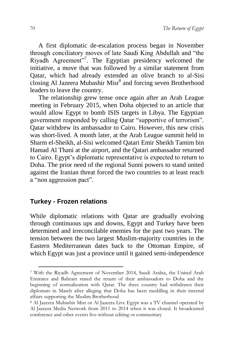A first diplomatic de-escalation process began in November through conciliatory moves of late Saudi King Abdullah and "the Riyadh Agreement"<sup>7</sup>. The Egyptian presidency welcomed the initiative, a move that was followed by a similar statement from Qatar, which had already extended an olive branch to al-Sisi closing Al Jazeera Mubashir Misr<sup>8</sup> and forcing seven Brotherhood leaders to leave the country.

The relationship grew tense once again after an Arab League meeting in February 2015, when Doha objected to an article that would allow Egypt to bomb ISIS targets in Libya. The Egyptian government responded by calling Qatar "supportive of terrorism". Qatar withdrew its ambassador to Cairo. However, this new crisis was short-lived. A month later, at the Arab League summit held in Sharm el-Sheikh, al-Sisi welcomed Qatari Emir Sheikh Tamim bin Hamad Al Thani at the airport, and the Qatari ambassador returned to Cairo. Egypt's diplomatic representative is expected to return to Doha. The prior need of the regional Sunni powers to stand united against the Iranian threat forced the two countries to at least reach a "non aggression pact".

## **Turkey - Frozen relations**

1

While diplomatic relations with Qatar are gradually evolving through continuous ups and downs, Egypt and Turkey have been determined and irreconcilable enemies for the past two years. The tension between the two largest Muslim-majority countries in the Eastern Mediterranean dates back to the Ottoman Empire, of which Egypt was just a province until it gained semi-independence

<sup>7</sup> With the Riyadh Agreement of November 2014, Saudi Arabia, the United Arab Emirates and Bahrain stated the return of their ambassadors to Doha and the beginning of normalization with Qatar. The three country had withdrawn their diplomats in March after alleging that Doha has been meddling in their internal affairs supporting the Muslim Brotherhood

<sup>8</sup> Al Jazeera Mubashir Misr or Al Jazeera Live Egypt was a TV channel operated by Al Jazeera Media Network from 2011 to 2014 when it was closed. It broadcasted conference and other events live without editing or commentary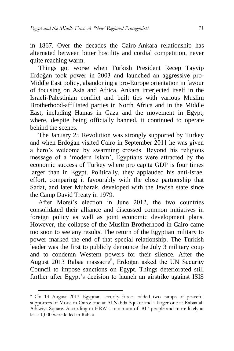in 1867. Over the decades the Cairo-Ankara relationship has alternated between bitter hostility and cordial competition, never quite reaching warm.

Things got worse when Turkish President Recep Tayyip Erdoğan took power in 2003 and launched an aggressive pro-Middle East policy, abandoning a pro-Europe orientation in favour of focusing on Asia and Africa. Ankara interjected itself in the Israeli-Palestinian conflict and built ties with various Muslim Brotherhood-affiliated parties in North Africa and in the Middle East, including Hamas in Gaza and the movement in Egypt, where, despite being officially banned, it continued to operate behind the scenes.

The January 25 Revolution was strongly supported by Turkey and when Erdoğan visited Cairo in September 2011 he was given a hero's welcome by swarming crowds. Beyond his religious message of a 'modern Islam', Egyptians were attracted by the economic success of Turkey where pro capita GDP is four times larger than in Egypt. Politically, they applauded his anti-Israel effort, comparing it favourably with the close partnership that Sadat, and later Mubarak, developed with the Jewish state since the Camp David Treaty in 1979.

After Morsi's election in June 2012, the two countries consolidated their alliance and discussed common initiatives in foreign policy as well as joint economic development plans. However, the collapse of the Muslim Brotherhood in Cairo came too soon to see any results. The return of the Egyptian military to power marked the end of that special relationship. The Turkish leader was the first to publicly denounce the July 3 military coup and to condemn Western powers for their silence. After the August 2013 Rabaa massacre<sup>9</sup>, Erdoğan asked the UN Security Council to impose sanctions on Egypt. Things deteriorated still further after Egypt's decision to launch an airstrike against ISIS

<sup>9</sup> On 14 August 2013 [Egyptian](https://en.wikipedia.org/wiki/Egypt) security forces raided two camps of peaceful supporters of Morsi in [Cairo:](https://en.wikipedia.org/wiki/Cairo) one at Al Nahda Square and a larger one at [Rabaa al-](https://en.wikipedia.org/wiki/Rabaa_al-Adawiya_Square)[Adawiya Square.](https://en.wikipedia.org/wiki/Rabaa_al-Adawiya_Square) According to HRW a minimum of 817 people and more likely at least 1,000 were killed in Rabaa.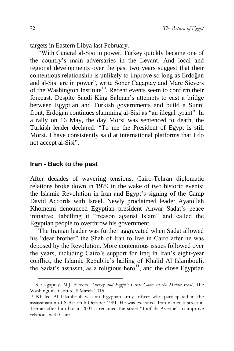targets in Eastern Libya last February.

"With General al-Sisi in power, Turkey quickly became one of the country's main adversaries in the Levant. And local and regional developments over the past two years suggest that their contentious relationship is unlikely to improve so long as Erdoğan and al-Sisi are in power", write Soner Cagaptay and Marc Sievers of the Washington Institute<sup>10</sup>. Recent events seem to confirm their forecast. Despite Saudi King Salman's attempts to cast a bridge between Egyptian and Turkish governments and build a Sunni front, Erdoğan continues slamming al-Sisi as "an illegal tyrant". In a rally on 16 May, the day Morsi was sentenced to death, the Turkish leader declared: "To me the President of Egypt is still Morsi. I have consistently said at international platforms that I do not accept al-Sisi".

#### **Iran - Back to the past**

1

After decades of wavering tensions, Cairo-Tehran diplomatic relations broke down in 1979 in the wake of two historic events: the Islamic Revolution in Iran and Egypt's signing of the [Camp](https://en.wikipedia.org/wiki/Camp_David_Accords)  [David Accords](https://en.wikipedia.org/wiki/Camp_David_Accords) with [Israel.](https://en.wikipedia.org/wiki/Israel) Newly proclaimed leader Ayatollah Khomeini denounced Egyptian president Anwar Sadat's peace initiative, labelling it "treason against Islam" and called the Egyptian people to overthrow his government.

The Iranian leader was further aggravated when Sadat allowed his "dear brother" the Shah of Iran to live in Cairo after he was deposed by the Revolution. More contentious issues followed over the years, including Cairo's support for [Iraq](https://en.wikipedia.org/wiki/Iraq) in [Iran's eight-year](https://en.wikipedia.org/wiki/Iran-Iraq_War)  [conflict,](https://en.wikipedia.org/wiki/Iran-Iraq_War) the Islamic Republic's hailing of [Khalid Al Islambouli,](https://en.wikipedia.org/wiki/Khalid_Islambouli) the Sadat's assassin, as a religious hero<sup>11</sup>, and the close Egyptian

<sup>10</sup> S. Cagaptay, M.J. Sievers, *Turkey and Egypt's Great Game in the Middle East*, The Washington Institute, 8 March 2015.

<sup>11</sup> Khaled Al Islambouli was an Egyptian army officer who participated in the assassination of Sadat on 6 October 1981. He was executed. Iran named a street in Tehran after him but in 2001 it renamed the street "Intifada Avenue" to improve relations with Cairo.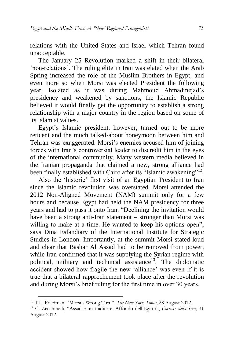relations with the United States and Israel which Tehran found unacceptable.

The January 25 Revolution marked a shift in their bilateral 'non-relations'. The ruling élite in Iran was elated when the Arab Spring increased the role of the Muslim Brothers in Egypt, and even more so when Morsi was elected President the following year. Isolated as it was during Mahmoud Ahmadinejad's presidency and weakened by sanctions, the Islamic Republic believed it would finally get the opportunity to establish a strong relationship with a major country in the region based on some of its Islamist values.

Egypt's Islamic president, however, turned out to be more reticent and the much talked-about honeymoon between him and Tehran was exaggerated. Morsi's enemies accused him of joining forces with Iran's controversial leader to discredit him in the eyes of the international community. Many western media believed in the Iranian propaganda that claimed a new, strong alliance had been finally established with Cairo after its "Islamic awakening"<sup>12</sup>.

Also the 'historic' first visit of an Egyptian President to Iran since the [Islamic revolution](https://en.wikipedia.org/wiki/Islamic_revolution) was overstated. Morsi attended the [2012 Non-Aligned Movement](https://en.wikipedia.org/wiki/Non-Aligned_Movement) (NAM) summit only for a few hours and because Egypt had held the NAM presidency for three years and had to pass it onto Iran. "Declining the invitation would have been a strong anti-Iran statement – stronger than Morsi was willing to make at a time. He wanted to keep his options open", says Dina Esfandiary of the International Institute for Strategic Studies in London. Importantly, at the summit Morsi stated loud and clear that Bashar Al Assad had to be removed from power, while Iran confirmed that it was supplying the Syrian regime with political, military and technical assistance<sup>13</sup>. The diplomatic accident showed how fragile the new 'alliance' was even if it is true that a bilateral rapprochement took place after the revolution and during Morsi's brief ruling for the first time in over 30 years.

<sup>12</sup> T.L. Friedman, "Morsi's Wrong Turn", *The New York Times*, 28 August 2012.

<sup>13</sup> C. Zecchinelli, "Assad è un traditore. Affondo dell'Egitto", *Corriere della Sera*, 31 August 2012.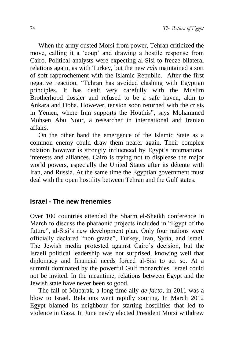When the army ousted Morsi from power, Tehran criticized the move, calling it a 'coup' and drawing a hostile response from Cairo. Political analysts were expecting al-Sisi to freeze bilateral relations again, as with Turkey, but the new *raìs* maintained a sort of soft rapprochement with the Islamic Republic. After the first negative reaction, "Tehran has avoided clashing with Egyptian principles. It has dealt very carefully with the Muslim Brotherhood dossier and refused to be a safe haven, akin to Ankara and Doha. However, tension soon returned with the crisis in Yemen, where Iran supports the Houthis", says Mohammed Mohsen Abu Nour, a researcher in international and Iranian affairs.

On the other hand the emergence of the Islamic State as a common enemy could draw them nearer again. Their complex relation however is strongly influenced by Egypt's international interests and alliances. Cairo is trying not to displease the major world powers, especially the United States after its détente with Iran, and Russia. At the same time the Egyptian government must deal with the open hostility between Tehran and the Gulf states.

## **Israel - The new frenemies**

Over 100 countries attended the Sharm el-Sheikh conference in March to discuss the pharaonic projects included in "Egypt of the future", al-Sisi's new development plan. Only four nations were officially declared "non gratae", Turkey, Iran, Syria, and Israel. The Jewish media protested against Cairo's decision, but the Israeli political leadership was not surprised, knowing well that diplomacy and financial needs forced al-Sisi to act so. At a summit dominated by the powerful Gulf monarchies, Israel could not be invited. In the meantime, relations between Egypt and the Jewish state have never been so good.

The fall of Mubarak, a long time ally *de facto*, in 2011 was a blow to Israel. Relations went rapidly souring. In March 2012 Egypt blamed its neighbour for starting hostilities that led to violence in Gaza. In June newly elected President Morsi withdrew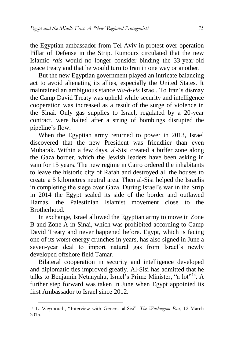the Egyptian ambassador from Tel Aviv in protest over operation Pillar of Defense in the Strip. Rumours circulated that the new Islamic *raìs* would no longer consider binding the 33-year-old peace treaty and that he would turn to Iran in one way or another.

But the new Egyptian government played an intricate balancing act to avoid alienating its allies, especially the United States. It maintained an ambiguous stance *via-à-vis* Israel. To Iran's dismay the Camp David Treaty was upheld while security and intelligence cooperation was increased as a result of the surge of violence in the Sinai. Only gas supplies to Israel, regulated by a 20-year contract, were halted after a string of bombings disrupted the pipeline's flow.

When the Egyptian army returned to power in 2013, Israel discovered that the new President was friendlier than even Mubarak. Within a few days, al-Sisi created a buffer zone along the Gaza border, which the Jewish leaders have been asking in vain for 15 years. The new regime in Cairo ordered the inhabitants to leave the historic city of Rafah and destroyed all the houses to create a 5 kilometres neutral area. Then al-Sisi helped the Israelis in completing the siege over Gaza. During Israel's war in the Strip in 2014 the Egypt sealed its side of the border and outlawed Hamas, the Palestinian Islamist movement close to the **Brotherhood** 

In exchange, Israel allowed the Egyptian army to move in Zone B and Zone A in Sinai, which was prohibited according to Camp David Treaty and never happened before. Egypt, which is facing one of its worst energy crunches in years, has also signed in June a seven-year deal to import natural gas from Israel's newly developed offshore field Tamar.

Bilateral cooperation in security and intelligence developed and diplomatic ties improved greatly. Al-Sisi has admitted that he talks to Benjamin Netanyahu, Israel's Prime Minister, "a lot"<sup>14</sup>. A further step forward was taken in June when Egypt appointed its first Ambassador to Israel since 2012.

-

<sup>14</sup> L. Weymouth, "Interview with General al-Sisi", *The Washington Post*, 12 March 2015.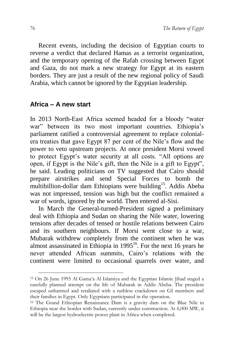Recent events, including the decision of Egyptian courts to reverse a verdict that declared Hamas as a terrorist organization, and the temporary opening of the Rafah crossing between Egypt and Gaza, do not mark a new strategy for Egypt at its eastern borders. They are just a result of the new regional policy of Saudi Arabia, which cannot be ignored by the Egyptian leadership.

## **Africa – A new start**

-

In 2013 North-East Africa seemed headed for a bloody "water war" between its two most important countries. Ethiopia's parliament ratified a controversial agreement to replace colonialera treaties that gave Egypt 87 per cent of the Nile's flow and the power to veto upstream projects. At once president Morsi vowed to protect Egypt's water security at all costs. "All options are open, if Egypt is the Nile's gift, then the Nile is a gift to Egypt", he said. Leading politicians on TV suggested that Cairo should prepare airstrikes and send Special Forces to bomb the multibillion-dollar dam Ethiopians were building<sup>15</sup>. Addis Abeba was not impressed, tension was high but the conflict remained a war of words, ignored by the world. Then entered al-Sisi.

In March the General-turned-President signed a preliminary deal with Ethiopia and Sudan on sharing the Nile water, lowering tensions after decades of tensed or hostile relations between Cairo and its southern neighbours. If Morsi went close to a war, Mubarak withdrew completely from the continent when he was almost assassinated in Ethiopia in  $1995<sup>16</sup>$ . For the next 16 years he never attended African summits, Cairo's relations with the continent were limited to occasional quarrels over water, and

<sup>15</sup> On 26 June 1995 Al Gama'a Al Islamiya and the Egyptian Islamic Jihad staged a carefully planned [attempt on the life of Mubarak](https://en.wikipedia.org/wiki/Attempt_on_the_life_of_President_Mubarak) in Addis Abeba. The president escaped unharmed and retaliated with a ruthless crackdown on GI members and their families in Egypt. Only Egyptians participated in the operation.

<sup>16</sup> The Grand Ethiopian Renaissance Dam is a [gravity dam](https://en.wikipedia.org/wiki/Gravity_dam) on the [Blue Nile i](https://en.wikipedia.org/wiki/Blue_Nile_River)n [Ethiopia](https://en.wikipedia.org/wiki/Ethiopia) near the border with [Sudan,](https://en.wikipedia.org/wiki/Sudan) currently under construction. At 6,000 MW, it will be the [largest hydroelectric power plant](https://en.wikipedia.org/wiki/List_of_largest_hydroelectric_power_stations) in Africa when completed.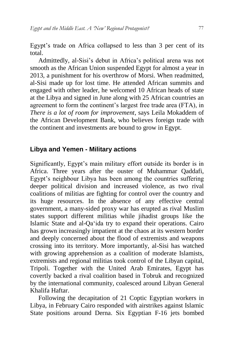Egypt's trade on Africa collapsed to less than 3 per cent of its total.

Admittedly, al-Sisi's debut in Africa's political arena was not smooth as the African Union suspended Egypt for almost a year in 2013, a punishment for his overthrow of Morsi. When readmitted, al-Sisi made up for lost time. He attended African summits and engaged with other leader, he welcomed 10 African heads of state at the Libya and signed in June along with 25 African countries an agreement to form the continent's largest free trade area (FTA), in *There is a lot of room for improvement*, says Leila Mokaddem of the African Development Bank, who believes foreign trade with the continent and investments are bound to grow in Egypt.

#### **Libya and Yemen - Military actions**

Significantly, Egypt's main military effort outside its border is in Africa. Three years after the ouster of Muhammar Qaddafi, Egypt's neighbour Libya has been among the countries suffering deeper political division and increased violence, as two rival coalitions of militias are fighting for control over the country and its huge resources. In the absence of any effective central government, a many-sided proxy war has erupted as rival Muslim states support different militias while jihadist groups like the Islamic State and al-Qaʻida try to expand their operations. Cairo has grown increasingly impatient at the chaos at its western border and deeply concerned about the flood of extremists and weapons crossing into its territory. More importantly, al-Sisi has watched with growing apprehension as a coalition of moderate Islamists, extremists and regional militias took control of the Libyan capital, Tripoli. Together with the United Arab Emirates, Egypt has covertly backed a rival coalition based in Tobruk and recognized by the international community, coalesced around Libyan General Khalifa Haftar.

Following the decapitation of 21 Coptic Egyptian workers in Libya, in February Cairo responded with airstrikes against Islamic State positions around Derna. Six Egyptian F-16 jets bombed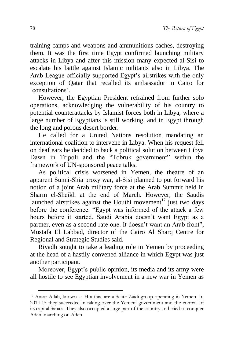training camps and weapons and ammunitions caches, destroying them. It was the first time Egypt confirmed launching military attacks in Libya and after this mission many expected al-Sisi to escalate his battle against Islamic militants also in Libya. The Arab League officially supported Egypt's airstrikes with the only exception of Qatar that recalled its ambassador in Cairo for 'consultations'.

However, the Egyptian President refrained from further solo operations, acknowledging the vulnerability of his country to potential counterattacks by Islamist forces both in Libya, where a large number of Egyptians is still working, and in Egypt through the long and porous desert border.

He called for a United Nations resolution mandating an international coalition to intervene in Libya. When his request fell on deaf ears he decided to back a political solution between Libya Dawn in Tripoli and the "Tobruk government" within the framework of UN-sponsored peace talks.

As political crisis worsened in Yemen, the theatre of an apparent Sunni-Shia proxy war, al-Sisi planned to put forward his notion of a joint Arab military force at the Arab Summit held in Sharm el-Sheikh at the end of March. However, the Saudis launched airstrikes against the Houthi movement<sup>17</sup> just two days before the conference. "Egypt was informed of the attack a few hours before it started. Saudi Arabia doesn't want Egypt as a partner, even as a second-rate one. It doesn't want an Arab front", Mustafa El Labbad, director of the Cairo Al Sharq Centre for Regional and Strategic Studies said.

Riyadh sought to take a leading role in Yemen by proceeding at the head of a hastily convened alliance in which Egypt was just another participant.

Moreover, Egypt's public opinion, its media and its army were all hostile to see Egyptian involvement in a new war in Yemen as

<sup>17</sup> Ansar Allah, known as Houthis, are a Sciite Zaidi group operating in Yemen. In 2014-15 they succeeded in taking over the Yemeni government and the control of its capital Sana'a. They also occupied a large part of the country and tried to conquer Aden. marching on Aden.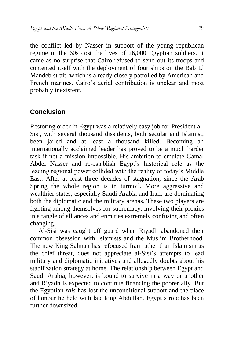the conflict led by Nasser in support of the young republican regime in the 60s cost the lives of 26,000 Egyptian soldiers. It came as no surprise that Cairo refused to send out its troops and contented itself with the deployment of four ships on the Bab El Mandeb strait, which is already closely patrolled by American and French marines. Cairo's aerial contribution is unclear and most probably inexistent.

#### **Conclusion**

Restoring order in Egypt was a relatively easy job for President al-Sisi, with several thousand dissidents, both secular and Islamist, been jailed and at least a thousand killed. Becoming an internationally acclaimed leader has proved to be a much harder task if not a mission impossible. His ambition to emulate Gamal Abdel Nasser and re-establish Egypt's historical role as the leading regional power collided with the reality of today's Middle East. After at least three decades of stagnation, since the Arab Spring the whole region is in turmoil. More aggressive and wealthier states, especially Saudi Arabia and Iran, are dominating both the diplomatic and the military arenas. These two players are fighting among themselves for supremacy, involving their proxies in a tangle of alliances and enmities extremely confusing and often changing.

Al-Sisi was caught off guard when Riyadh abandoned their common obsession with Islamists and the Muslim Brotherhood. The new King Salman has refocused Iran rather than Islamism as the chief threat, does not appreciate al-Sisi's attempts to lead military and diplomatic initiatives and allegedly doubts about his stabilization strategy at home. The relationship between Egypt and Saudi Arabia, however, is bound to survive in a way or another and Riyadh is expected to continue financing the poorer ally. But the Egyptian *raìs* has lost the unconditional support and the place of honour he held with late king Abdullah. Egypt's role has been further downsized.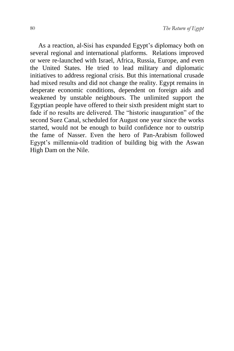As a reaction, al-Sisi has expanded Egypt's diplomacy both on several regional and international platforms. Relations improved or were re-launched with Israel, Africa, Russia, Europe, and even the United States. He tried to lead military and diplomatic initiatives to address regional crisis. But this international crusade had mixed results and did not change the reality. Egypt remains in desperate economic conditions, dependent on foreign aids and weakened by unstable neighbours. The unlimited support the Egyptian people have offered to their sixth president might start to fade if no results are delivered. The "historic inauguration" of the second Suez Canal, scheduled for August one year since the works started, would not be enough to build confidence nor to outstrip the fame of Nasser. Even the hero of Pan-Arabism followed Egypt's millennia-old tradition of building big with the Aswan High Dam on the Nile.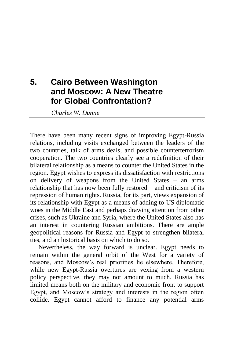## **5. Cairo Between Washington and Moscow: A New Theatre for Global Confrontation?**

*Charles W. Dunne*

There have been many recent signs of improving Egypt-Russia relations, including visits exchanged between the leaders of the two countries, talk of arms deals, and possible counterterrorism cooperation. The two countries clearly see a redefinition of their bilateral relationship as a means to counter the United States in the region. Egypt wishes to express its dissatisfaction with restrictions on delivery of weapons from the United States – an arms relationship that has now been fully restored – and criticism of its repression of human rights. Russia, for its part, views expansion of its relationship with Egypt as a means of adding to US diplomatic woes in the Middle East and perhaps drawing attention from other crises, such as Ukraine and Syria, where the United States also has an interest in countering Russian ambitions. There are ample geopolitical reasons for Russia and Egypt to strengthen bilateral ties, and an historical basis on which to do so.

Nevertheless, the way forward is unclear. Egypt needs to remain within the general orbit of the West for a variety of reasons, and Moscow's real priorities lie elsewhere. Therefore, while new Egypt-Russia overtures are vexing from a western policy perspective, they may not amount to much. Russia has limited means both on the military and economic front to support Egypt, and Moscow's strategy and interests in the region often collide. Egypt cannot afford to finance any potential arms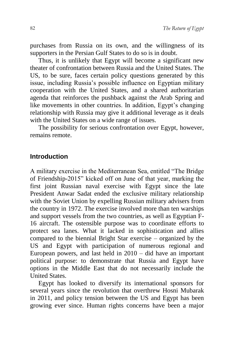purchases from Russia on its own, and the willingness of its supporters in the Persian Gulf States to do so is in doubt.

Thus, it is unlikely that Egypt will become a significant new theater of confrontation between Russia and the United States. The US, to be sure, faces certain policy questions generated by this issue, including Russia's possible influence on Egyptian military cooperation with the United States, and a shared authoritarian agenda that reinforces the pushback against the Arab Spring and like movements in other countries. In addition, Egypt's changing relationship with Russia may give it additional leverage as it deals with the United States on a wide range of issues.

The possibility for serious confrontation over Egypt, however, remains remote.

#### **Introduction**

A military exercise in the Mediterranean Sea, entitled "The Bridge of Friendship-2015" kicked off on June of that year, marking the first joint Russian naval exercise with Egypt since the late President Anwar Sadat ended the exclusive military relationship with the Soviet Union by expelling Russian military advisers from the country in 1972. The exercise involved more than ten warships and support vessels from the two countries, as well as Egyptian F-16 aircraft. The ostensible purpose was to coordinate efforts to protect sea lanes. What it lacked in sophistication and allies compared to the biennial Bright Star exercise – organized by the US and Egypt with participation of numerous regional and European powers, and last held in 2010 – did have an important political purpose: to demonstrate that Russia and Egypt have options in the Middle East that do not necessarily include the United States.

Egypt has looked to diversify its international sponsors for several years since the revolution that overthrew Hosni Mubarak in 2011, and policy tension between the US and Egypt has been growing ever since. Human rights concerns have been a major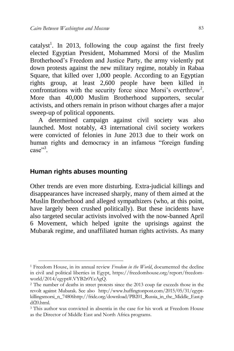catalyst<sup>1</sup>. In 2013, following the coup against the first freely elected Egyptian President, Mohammed Morsi of the Muslim Brotherhood's Freedom and Justice Party, the army violently put down protests against the new military regime, notably in Rabaa Square, that killed over 1,000 people. According to an Egyptian rights group, at least 2,600 people have been killed in confrontations with the security force since Morsi's overthrow<sup>2</sup>. More than 40,000 Muslim Brotherhood supporters, secular activists, and others remain in prison without charges after a major sweep-up of political opponents.

A determined campaign against civil society was also launched. Most notably, 43 international civil society workers were convicted of felonies in June 2013 due to their work on human rights and democracy in an infamous "foreign funding case"<sup>3</sup>.

## **Human rights abuses mounting**

1

Other trends are even more disturbing. Extra-judicial killings and disappearances have increased sharply, many of them aimed at the Muslin Brotherhood and alleged sympathizers (who, at this point, have largely been crushed politically). But these incidents have also targeted secular activists involved with the now-banned April 6 Movement, which helped ignite the uprisings against the Mubarak regime, and unaffiliated human rights activists. As many

<sup>1</sup> Freedom House, in its annual review *Freedom in the World*, documented the decline in civil and political liberties in Egypt, https://freedomhouse.org/report/freedomworld/2014/egypt#.VYB2r0YzAgQ.

<sup>2</sup> The number of deaths in street protests since the 2013 coup far exceeds those in the revolt against Mubarak. See also http://www.huffingtonpost.com/2015/05/31/egyptkillingsmorsi\_n\_74806http://fride.org/download/PB201\_Russia\_in\_the\_Middle\_East.p df20.html.

<sup>3</sup> This author was convicted in absentia in the case for his work at Freedom House as the Director of Middle East and North Africa programs.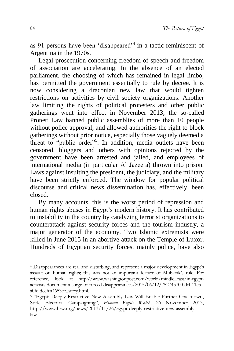as 91 persons have been 'disappeared'<sup>4</sup> in a tactic reminiscent of Argentina in the 1970s.

Legal prosecution concerning freedom of speech and freedom of association are accelerating. In the absence of an elected parliament, the choosing of which has remained in legal limbo, has permitted the government essentially to rule by decree. It is now considering a draconian new law that would tighten restrictions on activities by civil society organizations. Another law limiting the rights of political protesters and other public gatherings went into effect in November 2013; the so-called Protest Law banned public assemblies of more than 10 people without police approval, and allowed authorities the right to block gatherings without prior notice, especially those vaguely deemed a threat to "public order"<sup>5</sup>. In addition, media outlets have been censored, bloggers and others with opinions rejected by the government have been arrested and jailed, and employees of international media (in particular Al Jazeera) thrown into prison. Laws against insulting the president, the judiciary, and the military have been strictly enforced. The window for popular political discourse and critical news dissemination has, effectively, been closed.

By many accounts, this is the worst period of repression and human rights abuses in Egypt's modern history. It has contributed to instability in the country by catalyzing terrorist organizations to counterattack against security forces and the tourism industry, a major generator of the economy. Two Islamic extremists were killed in June 2015 in an abortive attack on the Temple of Luxor. Hundreds of Egyptian security forces, mainly police, have also

<sup>4</sup> Disappearances are real and disturbing, and represent a major development in Egypt's assault on human rights; this was not an important feature of Mubarak's rule. For reference, look at http://www.washingtonpost.com/world/middle\_east/in-egyptactivists-document-a-surge-of-forced-disappearances/2015/06/12/75274570-0dff-11e5 a0fe-dccfea4653ee\_story.html.

<sup>&</sup>lt;sup>5</sup> "Egypt: Deeply Restrictive New Assembly Law Will Enable Further Crackdown, Stifle Electoral Campaigning", *Human Rights Watch*, 26 November 2013, http://www.hrw.org/news/2013/11/26/egypt-deeply-restrictive-new-assemblylaw.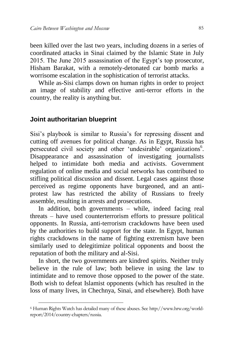been killed over the last two years, including dozens in a series of coordinated attacks in Sinai claimed by the Islamic State in July 2015. The June 2015 assassination of the Egypt's top prosecutor, Hisham Barakat, with a remotely-detonated car bomb marks a worrisome escalation in the sophistication of terrorist attacks.

While as-Sisi clamps down on human rights in order to project an image of stability and effective anti-terror efforts in the country, the reality is anything but.

#### **Joint authoritarian blueprint**

-

Sisi's playbook is similar to Russia's for repressing dissent and cutting off avenues for political change. As in Egypt, Russia has persecuted civil society and other 'undesirable' organizations<sup>6</sup>. Disappearance and assassination of investigating journalists helped to intimidate both media and activists. Government regulation of online media and social networks has contributed to stifling political discussion and dissent. Legal cases against those perceived as regime opponents have burgeoned, and an antiprotest law has restricted the ability of Russians to freely assemble, resulting in arrests and prosecutions.

In addition, both governments – while, indeed facing real threats – have used counterterrorism efforts to pressure political opponents. In Russia, anti-terrorism crackdowns have been used by the authorities to build support for the state. In Egypt, human rights crackdowns in the name of fighting extremism have been similarly used to delegitimize political opponents and boost the reputation of both the military and al-Sisi.

In short, the two governments are kindred spirits. Neither truly believe in the rule of law; both believe in using the law to intimidate and to remove those opposed to the power of the state. Both wish to defeat Islamist opponents (which has resulted in the loss of many lives, in Chechnya, Sinai, and elsewhere). Both have

<sup>6</sup> Human Rights Watch has detailed many of these abuses. See http://www.hrw.org/worldreport/2014/country-chapters/russia.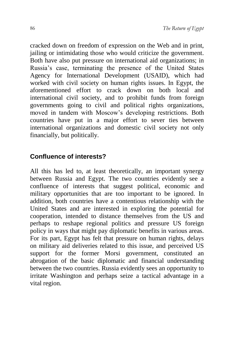cracked down on freedom of expression on the Web and in print, jailing or intimidating those who would criticize the government. Both have also put pressure on international aid organizations; in Russia's case, terminating the presence of the United States Agency for International Development (USAID), which had worked with civil society on human rights issues. In Egypt, the aforementioned effort to crack down on both local and international civil society, and to prohibit funds from foreign governments going to civil and political rights organizations, moved in tandem with Moscow's developing restrictions. Both countries have put in a major effort to sever ties between international organizations and domestic civil society not only financially, but politically.

## **Confluence of interests?**

All this has led to, at least theoretically, an important synergy between Russia and Egypt. The two countries evidently see a confluence of interests that suggest political, economic and military opportunities that are too important to be ignored. In addition, both countries have a contentious relationship with the United States and are interested in exploring the potential for cooperation, intended to distance themselves from the US and perhaps to reshape regional politics and pressure US foreign policy in ways that might pay diplomatic benefits in various areas. For its part, Egypt has felt that pressure on human rights, delays on military aid deliveries related to this issue, and perceived US support for the former Morsi government, constituted an abrogation of the basic diplomatic and financial understanding between the two countries. Russia evidently sees an opportunity to irritate Washington and perhaps seize a tactical advantage in a vital region.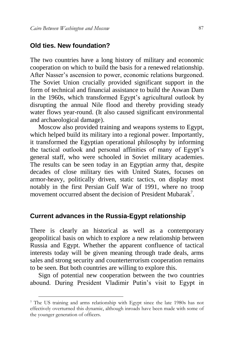### **Old ties. New foundation?**

The two countries have a long history of military and economic cooperation on which to build the basis for a renewed relationship. After Nasser's ascension to power, economic relations burgeoned. The Soviet Union crucially provided significant support in the form of technical and financial assistance to build the Aswan Dam in the 1960s, which transformed Egypt's agricultural outlook by disrupting the annual Nile flood and thereby providing steady water flows year-round. (It also caused significant environmental and archaeological damage).

Moscow also provided training and weapons systems to Egypt, which helped build its military into a regional power. Importantly, it transformed the Egyptian operational philosophy by informing the tactical outlook and personal affinities of many of Egypt's general staff, who were schooled in Soviet military academies. The results can be seen today in an Egyptian army that, despite decades of close military ties with United States, focuses on armor-heavy, politically driven, static tactics, on display most notably in the first Persian Gulf War of 1991, where no troop movement occurred absent the decision of President Mubarak<sup>7</sup>.

#### **Current advances in the Russia-Egypt relationship**

There is clearly an historical as well as a contemporary geopolitical basis on which to explore a new relationship between Russia and Egypt. Whether the apparent confluence of tactical interests today will be given meaning through trade deals, arms sales and strong security and counterterrorism cooperation remains to be seen. But both countries are willing to explore this.

Sign of potential new cooperation between the two countries abound. During President Vladimir Putin's visit to Egypt in

<sup>7</sup> The US training and arms relationship with Egypt since the late 1980s has not effectively overturned this dynamic, although inroads have been made with some of the younger generation of officers.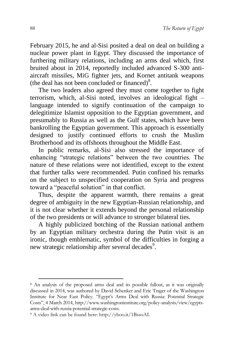February 2015, he and al-Sisi posited a deal on deal on building a nuclear power plant in Egypt. They discussed the importance of furthering military relations, including an arms deal which, first bruited about in 2014, reportedly included advanced S-300 antiaircraft missiles, MiG fighter jets, and Kornet antitank weapons (the deal has not been concluded or financed) $8$ .

The two leaders also agreed they must come together to fight terrorism, which, al-Sisi noted, involves an ideological fight – language intended to signify continuation of the campaign to delegitimize Islamist opposition to the Egyptian government, and presumably to Russia as well as the Gulf states, which have been bankrolling the Egyptian government. This approach is essentially designed to justify continued efforts to crush the Muslim Brotherhood and its offshoots throughout the Middle East.

In public remarks, al-Sisi also stressed the importance of enhancing "strategic relations" between the two countries. The nature of these relations were not identified, except to the extent that further talks were recommended. Putin confined his remarks on the subject to unspecified cooperation on Syria and progress toward a "peaceful solution" in that conflict.

Thus, despite the apparent warmth, there remains a great degree of ambiguity in the new Egyptian-Russian relationship, and it is not clear whether it extends beyond the personal relationship of the two presidents or will advance to stronger bilateral ties.

A highly publicized botching of the Russian national anthem by an Egyptian military orchestra during the Putin visit is an ironic, though emblematic, symbol of the difficulties in forging a new strategic relationship after several decades<sup>9</sup>.

<sup>8</sup> An analysis of the proposed arms deal and its possible fallout, as it was originally discussed in 2014, was authored by David Schenker and Eric Trager of the Washington Institute for Near East Policy. "Egypt's Arms Deal with Russia: Potential Strategic Costs", 4 March 2014, http://www.washingtoninstitute.org/policy-analysis/view/egyptsarms-deal-with-russia-potential-strategic-costs.

<sup>9</sup> A video link can be found here: http://yhoo.it/1BssoAI.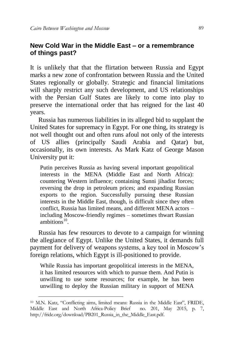## **New Cold War in the Middle East – or a remembrance of things past?**

It is unlikely that that the flirtation between Russia and Egypt marks a new zone of confrontation between Russia and the United States regionally or globally. Strategic and financial limitations will sharply restrict any such development, and US relationships with the Persian Gulf States are likely to come into play to preserve the international order that has reigned for the last 40 years.

Russia has numerous liabilities in its alleged bid to supplant the United States for supremacy in Egypt. For one thing, its strategy is not well thought out and often runs afoul not only of the interests of US allies (principally Saudi Arabia and Qatar) but, occasionally, its own interests. As Mark Katz of George Mason University put it:

Putin perceives Russia as having several important geopolitical interests in the MENA (Middle East and North Africa): countering Western influence; containing Sunni jihadist forces; reversing the drop in petroleum prices; and expanding Russian exports to the region. Successfully pursuing these Russian interests in the Middle East, though, is difficult since they often conflict, Russia has limited means, and different MENA actors – including Moscow-friendly regimes – sometimes thwart Russian ambitions $10$ .

Russia has few resources to devote to a campaign for winning the allegiance of Egypt. Unlike the United States, it demands full payment for delivery of weapons systems, a key tool in Moscow's foreign relations, which Egypt is ill-positioned to provide.

While Russia has important geopolitical interests in the MENA, it has limited resources with which to pursue them. And Putin is unwilling to use some resources; for example, he has been unwilling to deploy the Russian military in support of MENA

<sup>10</sup> M.N. Katz, "Conflicting aims, limited means: Russia in the Middle East", FRIDE, Middle East and North Africa-Policy Brief no. 201, May 2015, p. 7, http://fride.org/download/PB201\_Russia\_in\_the\_Middle\_East.pdf.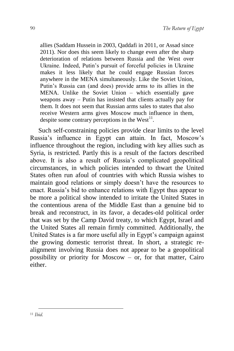allies (Saddam Hussein in 2003, Qaddafi in 2011, or Assad since 2011). Nor does this seem likely to change even after the sharp deterioration of relations between Russia and the West over Ukraine. Indeed, Putin's pursuit of forceful policies in Ukraine makes it less likely that he could engage Russian forces anywhere in the MENA simultaneously. Like the Soviet Union, Putin's Russia can (and does) provide arms to its allies in the MENA. Unlike the Soviet Union – which essentially gave weapons away – Putin has insisted that clients actually pay for them. It does not seem that Russian arms sales to states that also receive Western arms gives Moscow much influence in them, despite some contrary perceptions in the  $West<sup>11</sup>$ .

Such self-constraining policies provide clear limits to the level Russia's influence in Egypt can attain. In fact, Moscow's influence throughout the region, including with key allies such as Syria, is restricted. Partly this is a result of the factors described above. It is also a result of Russia's complicated geopolitical circumstances, in which policies intended to thwart the United States often run afoul of countries with which Russia wishes to maintain good relations or simply doesn't have the resources to enact. Russia's bid to enhance relations with Egypt thus appear to be more a political show intended to irritate the United States in the contentious arena of the Middle East than a genuine bid to break and reconstruct, in its favor, a decades-old political order that was set by the Camp David treaty, to which Egypt, Israel and the United States all remain firmly committed. Additionally, the United States is a far more useful ally in Egypt's campaign against the growing domestic terrorist threat. In short, a strategic realignment involving Russia does not appear to be a geopolitical possibility or priority for Moscow – or, for that matter, Cairo either.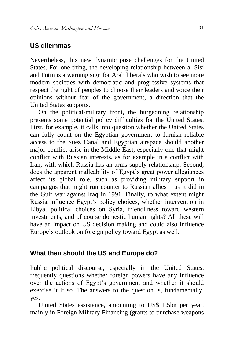#### **US dilemmas**

Nevertheless, this new dynamic pose challenges for the United States. For one thing, the developing relationship between al-Sisi and Putin is a warning sign for Arab liberals who wish to see more modern societies with democratic and progressive systems that respect the right of peoples to choose their leaders and voice their opinions without fear of the government, a direction that the United States supports.

On the political-military front, the burgeoning relationship presents some potential policy difficulties for the United States. First, for example, it calls into question whether the United States can fully count on the Egyptian government to furnish reliable access to the Suez Canal and Egyptian airspace should another major conflict arise in the Middle East, especially one that might conflict with Russian interests, as for example in a conflict with Iran, with which Russia has an arms supply relationship. Second, does the apparent malleability of Egypt's great power allegiances affect its global role, such as providing military support in campaigns that might run counter to Russian allies – as it did in the Gulf war against Iraq in 1991. Finally, to what extent might Russia influence Egypt's policy choices, whether intervention in Libya, political choices on Syria, friendliness toward western investments, and of course domestic human rights? All these will have an impact on US decision making and could also influence Europe's outlook on foreign policy toward Egypt as well.

#### **What then should the US and Europe do?**

Public political discourse, especially in the United States, frequently questions whether foreign powers have any influence over the actions of Egypt's government and whether it should exercise it if so. The answers to the question is, fundamentally, yes.

United States assistance, amounting to US\$ 1.5bn per year, mainly in Foreign Military Financing (grants to purchase weapons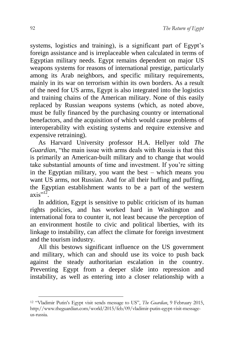systems, logistics and training), is a significant part of Egypt's foreign assistance and is irreplaceable when calculated in terms of Egyptian military needs. Egypt remains dependent on major US weapons systems for reasons of international prestige, particularly among its Arab neighbors, and specific military requirements, mainly in its war on terrorism within its own borders. As a result of the need for US arms, Egypt is also integrated into the logistics and training chains of the American military. None of this easily replaced by Russian weapons systems (which, as noted above, must be fully financed by the purchasing country or international benefactors, and the acquisition of which would cause problems of interoperability with existing systems and require extensive and expensive retraining).

As Harvard University professor H.A. Hellyer told *The Guardian*, "the main issue with arms deals with Russia is that this is primarily an American-built military and to change that would take substantial amounts of time and investment. If you're sitting in the Egyptian military, you want the best – which means you want US arms, not Russian. And for all their huffing and puffing, the Egyptian establishment wants to be a part of the western  $axis"$ <sup>12</sup>.

In addition, Egypt is sensitive to public criticism of its human rights policies, and has worked hard in Washington and international fora to counter it, not least because the perception of an environment hostile to civic and political liberties, with its linkage to instability, can affect the climate for foreign investment and the tourism industry.

All this bestows significant influence on the US government and military, which can and should use its voice to push back against the steady authoritarian escalation in the country. Preventing Egypt from a deeper slide into repression and instability, as well as entering into a closer relationship with a

<sup>12</sup> "Vladimir Putin's Egypt visit sends message to US", *The Guardian*, 9 February 2015, http://www.theguardian.com/world/2015/feb/09/vladimir-putin-egypt-visit-messageus-russia.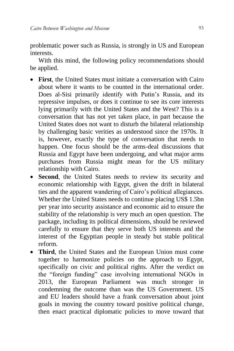problematic power such as Russia, is strongly in US and European interests.

With this mind, the following policy recommendations should be applied.

- **First**, the United States must initiate a conversation with Cairo about where it wants to be counted in the international order. Does al-Sisi primarily identify with Putin's Russia, and its repressive impulses, or does it continue to see its core interests lying primarily with the United States and the West? This is a conversation that has not yet taken place, in part because the United States does not want to disturb the bilateral relationship by challenging basic verities as understood since the 1970s. It is, however, exactly the type of conversation that needs to happen. One focus should be the arms-deal discussions that Russia and Egypt have been undergoing, and what major arms purchases from Russia might mean for the US military relationship with Cairo.
- **Second**, the United States needs to review its security and economic relationship with Egypt, given the drift in bilateral ties and the apparent wandering of Cairo's political allegiances. Whether the United States needs to continue placing US\$ 1.5bn per year into security assistance and economic aid to ensure the stability of the relationship is very much an open question. The package, including its political dimensions, should be reviewed carefully to ensure that they serve both US interests and the interest of the Egyptian people in steady but stable political reform.
- **Third**, the United States and the European Union must come together to harmonize policies on the approach to Egypt, specifically on civic and political rights. After the verdict on the "foreign funding" case involving international NGOs in 2013, the European Parliament was much stronger in condemning the outcome than was the US Government. US and EU leaders should have a frank conversation about joint goals in moving the country toward positive political change, then enact practical diplomatic policies to move toward that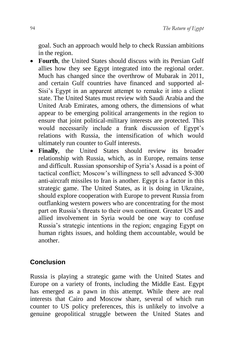goal. Such an approach would help to check Russian ambitions in the region.

- **Fourth**, the United States should discuss with its Persian Gulf allies how they see Egypt integrated into the regional order. Much has changed since the overthrow of Mubarak in 2011, and certain Gulf countries have financed and supported al-Sisi's Egypt in an apparent attempt to remake it into a client state. The United States must review with Saudi Arabia and the United Arab Emirates, among others, the dimensions of what appear to be emerging political arrangements in the region to ensure that joint political-military interests are protected. This would necessarily include a frank discussion of Egypt's relations with Russia, the intensification of which would ultimately run counter to Gulf interests.
- **Finally**, the United States should review its broader relationship with Russia, which, as in Europe, remains tense and difficult. Russian sponsorship of Syria's Assad is a point of tactical conflict; Moscow's willingness to sell advanced S-300 anti-aircraft missiles to Iran is another. Egypt is a factor in this strategic game. The United States, as it is doing in Ukraine, should explore cooperation with Europe to prevent Russia from outflanking western powers who are concentrating for the most part on Russia's threats to their own continent. Greater US and allied involvement in Syria would be one way to confuse Russia's strategic intentions in the region; engaging Egypt on human rights issues, and holding them accountable, would be another.

## **Conclusion**

Russia is playing a strategic game with the United States and Europe on a variety of fronts, including the Middle East. Egypt has emerged as a pawn in this attempt. While there are real interests that Cairo and Moscow share, several of which run counter to US policy preferences, this is unlikely to involve a genuine geopolitical struggle between the United States and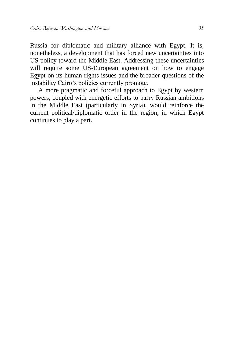Russia for diplomatic and military alliance with Egypt. It is, nonetheless, a development that has forced new uncertainties into US policy toward the Middle East. Addressing these uncertainties will require some US-European agreement on how to engage Egypt on its human rights issues and the broader questions of the instability Cairo's policies currently promote.

A more pragmatic and forceful approach to Egypt by western powers, coupled with energetic efforts to parry Russian ambitions in the Middle East (particularly in Syria), would reinforce the current political/diplomatic order in the region, in which Egypt continues to play a part.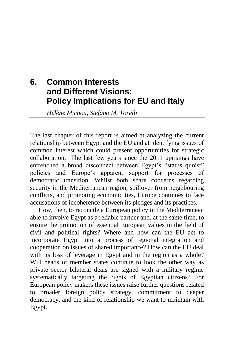# **6. Common Interests and Different Visions: Policy Implications for EU and Italy**

*Hélène Michou, Stefano M. Torelli*

The last chapter of this report is aimed at analyzing the current relationship between Egypt and the EU and at identifying issues of common interest which could present opportunities for strategic collaboration. The last few years since the 2011 uprisings have entrenched a broad disconnect between Egypt's "status quoist" policies and Europe's apparent support for processes of democratic transition. Whilst both share concerns regarding security in the Mediterranean region, spillover from neighbouring conflicts, and promoting economic ties, Europe continues to face accusations of incoherence between its pledges and its practices.

How, then, to reconcile a European policy in the Mediterranean able to involve Egypt as a reliable partner and, at the same time, to ensure the promotion of essential European values in the field of civil and political rights? Where and how can the EU act to incorporate Egypt into a process of regional integration and cooperation on issues of shared importance? How can the EU deal with its loss of leverage in Egypt and in the region as a whole? Will heads of member states continue to look the other way as private sector bilateral deals are signed with a military regime systematically targeting the rights of Egyptian citizens? For European policy makers these issues raise further questions related to broader foreign policy strategy, commitment to deeper democracy, and the kind of relationship we want to maintain with Egypt.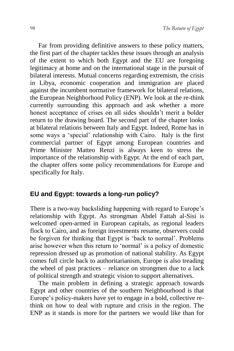Far from providing definitive answers to these policy matters, the first part of the chapter tackles these issues through an analysis of the extent to which both Egypt and the EU are foregoing legitimacy at home and on the international stage in the pursuit of bilateral interests. Mutual concerns regarding extremism, the crisis in Libya, economic cooperation and immigration are placed against the incumbent normative framework for bilateral relations, the European Neighborhood Policy (ENP). We look at the re-think currently surrounding this approach and ask whether a more honest acceptance of crises on all sides shouldn't merit a bolder return to the drawing board. The second part of the chapter looks at bilateral relations between Italy and Egypt. Indeed, Rome has in some ways a 'special' relationship with Cairo. Italy is the first commercial partner of Egypt among European countries and Prime Minister Matteo Renzi is always keen to stress the importance of the relationship with Egypt. At the end of each part, the chapter offers some policy recommendations for Europe and specifically for Italy.

#### **EU and Egypt: towards a long-run policy?**

There is a two-way backsliding happening with regard to Europe's relationship with Egypt. As strongman Abdel Fattah al-Sisi is welcomed open-armed in European capitals, as regional leaders flock to Cairo, and as foreign investments resume, observers could be forgiven for thinking that Egypt is 'back to normal'. Problems arise however when this return to 'normal' is a policy of domestic repression dressed up as promotion of national stability. As Egypt comes full circle back to authoritarianism, Europe is also treading the wheel of past practices – reliance on strongmen due to a lack of political strength and strategic vision to support alternatives.

The main problem in defining a strategic approach towards Egypt and other countries of the southern Neighbourhood is that Europe's policy-makers have yet to engage in a bold, collective rethink on how to deal with rupture and crisis in the region. The ENP as it stands is more for the partners we would like than for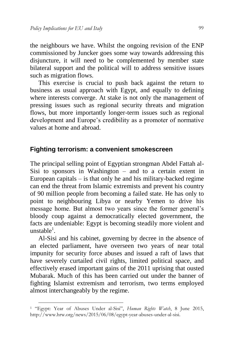the neighbours we have. Whilst the ongoing revision of the ENP commissioned by Juncker goes some way towards addressing this disjuncture, it will need to be complemented by member state bilateral support and the political will to address sensitive issues such as migration flows.

This exercise is crucial to push back against the return to business as usual approach with Egypt, and equally to defining where interests converge. At stake is not only the management of pressing issues such as regional security threats and migration flows, but more importantly longer-term issues such as regional development and Europe's credibility as a promoter of normative values at home and abroad.

#### **Fighting terrorism: a convenient smokescreen**

The principal selling point of Egyptian strongman Abdel Fattah al-Sisi to sponsors in Washington – and to a certain extent in European capitals  $-$  is that only he and his military-backed regime can end the threat from Islamic extremists and prevent his country of 90 million people from becoming a failed state. He has only to point to neighbouring Libya or nearby Yemen to drive his message home. But almost two years since the former general's bloody coup against a democratically elected government, the facts are undeniable: Egypt is becoming steadily more violent and  $unstable<sup>1</sup>$ .

Al-Sisi and his cabinet, governing by decree in the absence of an elected parliament, have overseen two years of near total impunity for security force abuses and issued a raft of laws that have severely curtailed civil rights, limited political space, and effectively erased important gains of the 2011 uprising that ousted Mubarak. Much of this has been carried out under the banner of fighting Islamist extremism and terrorism, two terms employed almost interchangeably by the regime.

-

<sup>1</sup> "Egypt: Year of Abuses Under al-Sisi", *Human Rights Watch*, 8 June 2015, [http://www.hrw.org/news/2015/06/08/egypt-year-abuses-under-al-sisi.](http://www.hrw.org/news/2015/06/08/egypt-year-abuses-under-al-sisi)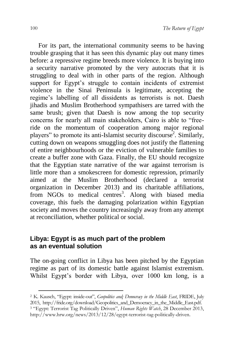For its part, the international community seems to be having trouble grasping that it has seen this dynamic play out many times before: a repressive regime breeds more violence. It is buying into a security narrative promoted by the very autocrats that it is struggling to deal with in other parts of the region. Although support for Egypt's struggle to contain incidents of extremist violence in the Sinai Peninsula is legitimate, accepting the regime's labelling of all dissidents as terrorists is not. Daesh jihadis and Muslim Brotherhood sympathisers are tarred with the same brush; given that Daesh is now among the top security concerns for nearly all main stakeholders, Cairo is able to "freeride on the momentum of cooperation among major regional players" to promote its anti-Islamist security discourse<sup>2</sup>. Similarly, cutting down on weapons smuggling does not justify the flattening of entire neighbourhoods or the eviction of vulnerable families to create a buffer zone with Gaza. Finally, the EU should recognize that the Egyptian state narrative of the war against terrorism is little more than a smokescreen for domestic repression, primarily aimed at the Muslim Brotherhood (declared a terrorist organization in December 2013) and its charitable affiliations, from NGOs to medical centres<sup>3</sup>. Along with biased media coverage, this fuels the damaging polarization within Egyptian society and moves the country increasingly away from any attempt at reconciliation, whether political or social.

## **Libya: Egypt is as much part of the problem as an eventual solution**

The on-going conflict in Libya has been pitched by the Egyptian regime as part of its domestic battle against Islamist extremism. Whilst Egypt's border with Libya, over 1000 km long, is a

<sup>2</sup> K. Kausch, "Egypt: inside-out", *Geopolitics and¡ Democracy in the Middle East*, FRIDE, July 2015, [http://fride.org/download/Geopolitics\\_and\\_Democracy\\_in\\_the\\_Middle\\_East.pdf.](http://fride.org/download/Geopolitics_and_Democracy_in_the_Middle_East.pdf) <sup>3</sup> "Egypt: Terrorist Tag Politically Driven", *Human Rights Watch*, 28 December 2013, [http://www.hrw.org/news/2013/12/28/egypt-terrorist-tag-politically-driven.](http://www.hrw.org/news/2013/12/28/egypt-terrorist-tag-politically-driven)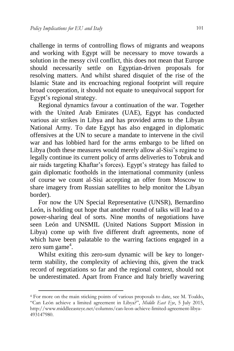1

challenge in terms of controlling flows of migrants and weapons and working with Egypt will be necessary to move towards a solution in the messy civil conflict, this does not mean that Europe should necessarily settle on Egyptian-driven proposals for resolving matters. And whilst shared disquiet of the rise of the Islamic State and its encroaching regional footprint will require broad cooperation, it should not equate to unequivocal support for Egypt's regional strategy.

Regional dynamics favour a continuation of the war. Together with the United Arab Emirates (UAE), Egypt has conducted various air strikes in Libya and has provided arms to the Libyan National Army. To date Egypt has also engaged in diplomatic offensives at the UN to secure a mandate to intervene in the civil war and has lobbied hard for the arms embargo to be lifted on Libya (both these measures would merely allow al-Sisi's regime to legally continue its current policy of arms deliveries to Tobruk and air raids targeting Khaftar's forces). Egypt's strategy has failed to gain diplomatic footholds in the international community (unless of course we count al-Sisi accepting an offer from Moscow to share imagery from Russian satellites to help monitor the Libyan border).

For now the UN Special Representative (UNSR), Bernardino León, is holding out hope that another round of talks will lead to a power-sharing deal of sorts. Nine months of negotiations have seen León and UNSMIL (United Nations Support Mission in Libya) come up with five different draft agreements, none of which have been palatable to the warring factions engaged in a zero sum game<sup>4</sup>.

Whilst exiting this zero-sum dynamic will be key to longerterm stability, the complexity of achieving this, given the track record of negotiations so far and the regional context, should not be underestimated. Apart from France and Italy briefly wavering

<sup>4</sup> For more on the main sticking points of various proposals to date, see M. Toaldo, "Can León achieve a limited agreement in Libya?", *Middle East Eye*, 5 July 2015, [http://www.middleeasteye.net/columns/can-leon-achieve-limited-agreement-libya-](http://www.middleeasteye.net/columns/can-leon-achieve-limited-agreement-libya-493147980)[493147980.](http://www.middleeasteye.net/columns/can-leon-achieve-limited-agreement-libya-493147980)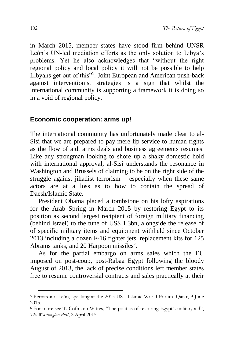in March 2015, member states have stood firm behind UNSR León's UN-led mediation efforts as the only solution to Libya's problems. Yet he also acknowledges that "without the right regional policy and local policy it will not be possible to help Libyans get out of this"<sup>5</sup>. Joint European and American push-back against interventionist strategies is a sign that whilst the international community is supporting a framework it is doing so in a void of regional policy.

#### **Economic cooperation: arms up!**

The international community has unfortunately made clear to al-Sisi that we are prepared to pay mere lip service to human rights as the flow of aid, arms deals and business agreements resumes. Like any strongman looking to shore up a shaky domestic hold with international approval, al-Sisi understands the resonance in Washington and Brussels of claiming to be on the right side of the struggle against jihadist terrorism – especially when these same actors are at a loss as to how to contain the spread of Daesh/Islamic State.

President Obama placed a tombstone on his lofty aspirations for the Arab Spring in March 2015 by restoring Egypt to its position as second largest recipient of foreign military financing (behind Israel) to the tune of US\$ 1.3bn, alongside the release of of specific military items and equipment withheld since October 2013 including a dozen F-16 fighter jets, replacement kits for 125 Abrams tanks, and 20 Harpoon missiles<sup>6</sup>.

As for the partial embargo on arms sales which the EU imposed on post-coup, post-Rabaa Egypt following the bloody August of 2013, the lack of precise conditions left member states free to resume controversial contracts and sales practically at their

<sup>5</sup> Bernardino León, speaking at the 2015 US - Islamic World Forum, Qatar, 9 June 2015.

<sup>6</sup> For more see T. Cofmann Wittes, "The politics of restoring Egypt's military aid", *The Washington Post*, 2 April 2015.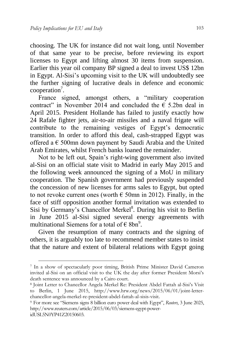choosing. The UK for instance did not wait long, until November of that same year to be precise, before reviewing its export licenses to Egypt and lifting almost 30 items from suspension. Earlier this year oil company BP signed a deal to invest US\$ 12bn in Egypt. Al-Sisi's upcoming visit to the UK will undoubtedly see the further signing of lucrative deals in defence and economic cooperation<sup>7</sup>.

France signed, amongst others, a "military cooperation contract" in November 2014 and concluded the  $\epsilon$  5.2bn deal in April 2015. President Hollande has failed to justify exactly how 24 Rafale fighter jets, air-to-air missiles and a naval frigate will contribute to the remaining vestiges of Egypt's democratic transition. In order to afford this deal, cash-strapped Egypt was offered a  $\epsilon$  500mn down payment by Saudi Arabia and the United Arab Emirates, whilst French banks loaned the remainder.

Not to be left out, Spain's right-wing government also invited al-Sisi on an official state visit to Madrid in early May 2015 and the following week announced the signing of a MoU in military cooperation. The Spanish government had previously suspended the concession of new licenses for arms sales to Egypt, but opted to not revoke current ones (worth  $\epsilon$  50mn in 2012). Finally, in the face of stiff opposition another formal invitation was extended to Sisi by Germany's Chancellor Merkel<sup>8</sup>. During his visit to Berlin in June 2015 al-Sisi signed several energy agreements with multinational Siemens for a total of  $\epsilon$  8bn<sup>9</sup>.

Given the resumption of many contracts and the signing of others, it is arguably too late to recommend member states to insist that the nature and extent of bilateral relations with Egypt going

<sup>7</sup> In a show of spectacularly poor timing, British Prime Minister David Cameron invited al-Sisi on an official visit to the UK the day after former President Morsi's death sentence was announced by a Cairo court.

<sup>8</sup> Joint Letter to Chancellor Angela Merkel Re: President Abdel Fattah al-Sisi's Visit to Berlin, 1 June 2015, http://www.hrw.org/news/2015/06/01/joint-letterchancellor-angela-merkel-re-president-abdel-fattah-al-sisis-visit.

<sup>9</sup> For more see "Siemens signs 8 billion euro power deal with Egypt", *Reuters*, 3 June 2025, http://www.reuters.com/article/2015/06/03/siemens-egypt-power-

idUSL5N0YP41Z20150603.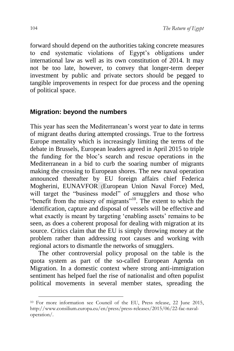forward should depend on the authorities taking concrete measures to end systematic violations of Egypt's obligations under international law as well as its own constitution of 2014. It may not be too late, however, to convey that longer-term deeper investment by public and private sectors should be pegged to tangible improvements in respect for due process and the opening of political space.

## **Migration: beyond the numbers**

This year has seen the Mediterranean's worst year to date in terms of migrant deaths during attempted crossings. True to the fortress Europe mentality which is increasingly limiting the terms of the debate in Brussels, European leaders agreed in April 2015 to triple the funding for the bloc's search and rescue operations in the Mediterranean in a bid to curb the soaring number of migrants making the crossing to European shores. The new naval operation announced thereafter by EU foreign affairs chief Federica Mogherini, EUNAVFOR (European Union Naval Force) Med, will target the "business model" of smugglers and those who "benefit from the misery of migrants"<sup>10</sup>. The extent to which the identification, capture and disposal of vessels will be effective and what exactly is meant by targeting 'enabling assets' remains to be seen, as does a coherent proposal for dealing with migration at its source. Critics claim that the EU is simply throwing money at the problem rather than addressing root causes and working with regional actors to dismantle the networks of smugglers.

The other controversial policy proposal on the table is the quota system as part of the so-called European Agenda on Migration. In a domestic context where strong anti-immigration sentiment has helped fuel the rise of nationalist and often populist political movements in several member states, spreading the

<sup>&</sup>lt;sup>10</sup> For more information see Council of the EU, Press release, 22 June 2015, [http://www.consilium.europa.eu/en/press/press-releases/2015/06/22-fac-naval](http://www.consilium.europa.eu/en/press/press-releases/2015/06/22-fac-naval-operation/)[operation/.](http://www.consilium.europa.eu/en/press/press-releases/2015/06/22-fac-naval-operation/)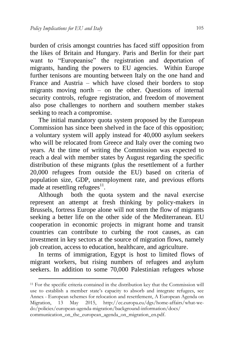1

burden of crisis amongst countries has faced stiff opposition from the likes of Britain and Hungary. Paris and Berlin for their part want to "Europeanise" the registration and deportation of migrants, handing the powers to EU agencies. Within Europe further tenisons are mounting between Italy on the one hand and France and Austria – which have closed their borders to stop migrants moving north – on the other. Questions of internal security controls, refugee registration, and freedom of movement also pose challenges to northern and southern member stakes seeking to reach a compromise.

The initial mandatory quota system proposed by the European Commission has since been shelved in the face of this opposition; a voluntary system will apply instead for 40,000 asylum seekers who will be relocated from Greece and Italy over the coming two years. At the time of writing the Commission was expected to reach a deal with member states by August regarding the specific distribution of these migrants (plus the resettlement of a further 20,000 refugees from outside the EU) based on criteria of population size, GDP, unemployment rate, and previous efforts made at resettling refugees $^{11}$ .

Although both the quota system and the naval exercise represent an attempt at fresh thinking by policy-makers in Brussels, fortress Europe alone will not stem the flow of migrants seeking a better life on the other side of the Mediterranean. EU cooperation in economic projects in migrant home and transit countries can contribute to curbing the root causes, as can investment in key sectors at the source of migration flows, namely job creation, access to education, healthcare, and agriculture.

In terms of immigration, Egypt is host to limited flows of migrant workers, but rising numbers of refugees and asylum seekers. In addition to some 70,000 Palestinian refugees whose

<sup>11</sup> For the specific criteria contained in the distribution key that the Commission will use to establish a member state's capacity to absorb and integrate refugees, see Annex - European schemes for relocation and resettlement, A European Agenda on Migration, 13 May 2015, [http://ec.europa.eu/dgs/home-affairs/what-we](http://ec.europa.eu/dgs/home-affairs/what-we-do/policies/european-agenda-migration/background-information/docs/communication_on_the_european_agenda_on_migration_en.pdf)[do/policies/european-agenda-migration/background-information/docs/](http://ec.europa.eu/dgs/home-affairs/what-we-do/policies/european-agenda-migration/background-information/docs/communication_on_the_european_agenda_on_migration_en.pdf) communication on the european agenda on migration en.pdf.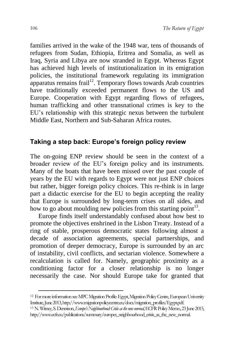families arrived in the wake of the 1948 war, tens of thousands of refugees from Sudan, Ethiopia, Eritrea and Somalia, as well as Iraq, Syria and Libya are now stranded in Egypt. Whereas Egypt has achieved high levels of institutionalization in its emigration policies, the institutional framework regulating its immigration apparatus remains frail<sup>12</sup>. Temporary flows towards Arab countries have traditionally exceeded permanent flows to the US and Europe. Cooperation with Egypt regarding flows of refugees, human trafficking and other transnational crimes is key to the EU's relationship with this strategic nexus between the turbulent Middle East, Northern and Sub-Saharan Africa routes.

## **Taking a step back: Europe's foreign policy review**

The on-going ENP review should be seen in the context of a broader review of the EU's foreign policy and its instruments. Many of the boats that have been missed over the past couple of years by the EU with regards to Egypt were not just ENP choices but rather, bigger foreign policy choices. This re-think is in large part a didactic exercise for the EU to begin accepting the reality that Europe is surrounded by long-term crises on all sides, and how to go about moulding new policies from this starting point $13$ .

Europe finds itself understandably confused about how best to promote the objectives enshrined in the Lisbon Treaty. Instead of a ring of stable, prosperous democratic states following almost a decade of association agreements, special partnerships, and promotion of deeper democracy, Europe is surrounded by an arc of instability, civil conflicts, and sectarian violence. Somewhere a recalculation is called for. Namely, geographic proximity as a conditioning factor for a closer relationship is no longer necessarily the case. Nor should Europe take for granted that

<sup>12</sup> For more information see MPC Migration Profile: Egypt, Migration Policy Centre, European University Institute, June 2013, http://www.migrationpolicycentre.eu/docs/migration\_profiles/Egypt.pdf.

<sup>13</sup> N. Witney, S.Dennison, *Europe's Neighbourhood: Crisis as the new normal*, ECFR Policy Memo, 23 June 2015, [http://www.ecfr.eu/publications/summary/europes\\_neighbourhood\\_crisis\\_as\\_the\\_new\\_normal.](http://www.ecfr.eu/publications/summary/europes_neighbourhood_crisis_as_the_new_normal)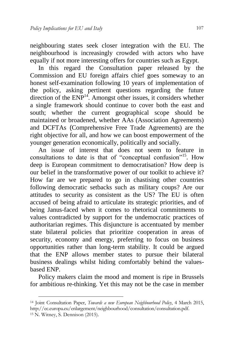neighbouring states seek closer integration with the EU. The neighbourhood is increasingly crowded with actors who have equally if not more interesting offers for countries such as Egypt.

In this regard the Consultation paper released by the Commission and EU foreign affairs chief goes someway to an honest self-examination following 10 years of implementation of the policy, asking pertinent questions regarding the future direction of the ENP<sup>14</sup>. Amongst other issues, it considers whether a single framework should continue to cover both the east and south; whether the current geographical scope should be maintained or broadened, whether AAs (Association Agreements) and DCFTAs (Comprehensive Free Trade Agreements) are the right objective for all, and how we can boost empowerment of the younger generation economically, politically and socially.

An issue of interest that does not seem to feature in consultations to date is that of "conceptual confusion"<sup>15</sup>. How deep is European commitment to democratisation? How deep is our belief in the transformative power of our toolkit to achieve it? How far are we prepared to go in chastising other countries following democratic setbacks such as military coups? Are our attitudes to security as consistent as the US? The EU is often accused of being afraid to articulate its strategic priorities, and of being Janus-faced when it comes to rhetorical commitments to values contradicted by support for the undemocratic practices of authoritarian regimes. This disjuncture is accentuated by member state bilateral policies that prioritize cooperation in areas of security, economy and energy, preferring to focus on business opportunities rather than long-term stability. It could be argued that the ENP allows member states to pursue their bilateral business dealings whilst hiding comfortably behind the valuesbased ENP.

Policy makers claim the mood and moment is ripe in Brussels for ambitious re-thinking. Yet this may not be the case in member

1

<sup>14</sup> Joint Consultation Paper, *Towards a new European Neighbourhood Policy*, 4 March 2015, [http://ec.europa.eu/enlargement/neighbourhood/consultation/consultation.pdf.](http://ec.europa.eu/enlargement/neighbourhood/consultation/consultation.pdf) <sup>15</sup> N. Witney, S. Dennison (2015).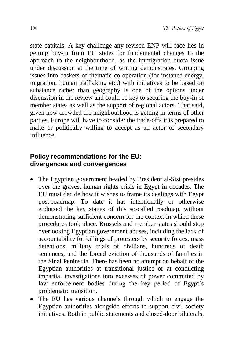state capitals. A key challenge any revised ENP will face lies in getting buy-in from EU states for fundamental changes to the approach to the neighbourhood, as the immigration quota issue under discussion at the time of writing demonstrates. Grouping issues into baskets of thematic co-operation (for instance energy, migration, human trafficking etc.) with initiatives to be based on substance rather than geography is one of the options under discussion in the review and could be key to securing the buy-in of member states as well as the support of regional actors. That said, given how crowded the neighbourhood is getting in terms of other parties, Europe will have to consider the trade-offs it is prepared to make or politically willing to accept as an actor of secondary influence.

## **Policy recommendations for the EU: divergences and convergences**

- The Egyptian government headed by President al-Sisi presides over the gravest human rights crisis in Egypt in decades. The EU must decide how it wishes to frame its dealings with Egypt post-roadmap. To date it has intentionally or otherwise endorsed the key stages of this so-called roadmap, without demonstrating sufficient concern for the context in which these procedures took place. Brussels and member states should stop overlooking Egyptian government abuses, including the lack of accountability for killings of protesters by security forces, mass detentions, military trials of civilians, hundreds of death sentences, and the forced eviction of thousands of families in the Sinai Peninsula. There has been no attempt on behalf of the Egyptian authorities at transitional justice or at conducting impartial investigations into excesses of power committed by law enforcement bodies during the key period of Egypt's problematic transition.
- The EU has various channels through which to engage the Egyptian authorities alongside efforts to support civil society initiatives. Both in public statements and closed-door bilaterals,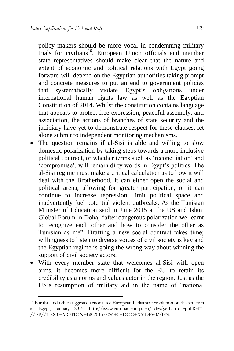policy makers should be more vocal in condemning military trials for civilians<sup>16</sup>. European Union officials and member state representatives should make clear that the nature and extent of economic and political relations with Egypt going forward will depend on the Egyptian authorities taking prompt and concrete measures to put an end to government policies that systematically violate Egypt's obligations under international human rights law as well as the Egyptian Constitution of 2014. Whilst the constitution contains language that appears to protect free expression, peaceful assembly, and association, the actions of branches of state security and the judiciary have yet to demonstrate respect for these clauses, let alone submit to independent monitoring mechanisms.

- The question remains if al-Sisi is able and willing to slow domestic polarization by taking steps towards a more inclusive political contract, or whether terms such as 'reconciliation' and 'compromise', will remain dirty words in Egypt's politics. The al-Sisi regime must make a critical calculation as to how it will deal with the Brotherhood. It can either open the social and political arena, allowing for greater participation, or it can continue to increase repression, limit political space and inadvertently fuel potential violent outbreaks. As the Tunisian Minister of Education said in June 2015 at the US and Islam Global Forum in Doha, "after dangerous polarization we learnt to recognize each other and how to consider the other as Tunisian as me". Drafting a new social contract takes time; willingness to listen to diverse voices of civil society is key and the Egyptian regime is going the wrong way about winning the support of civil society actors.
- With every member state that welcomes al-Sisi with open arms, it becomes more difficult for the EU to retain its credibility as a norms and values actor in the region. Just as the US's resumption of military aid in the name of "national

1

<sup>16</sup> For this and other suggested actions, see European Parliament resolution on the situation in Egypt, January 2015, [http://www.europarl.europa.eu/sides/getDoc.do?pubRef=-](http://www.europarl.europa.eu/sides/getDoc.do?pubRef=-//EP//TEXT+MOTION+B8-2015-0026+0+DOC+XML+V0//EN) [//EP//TEXT+MOTION+B8-2015-0026+0+DOC+XML+V0//EN.](http://www.europarl.europa.eu/sides/getDoc.do?pubRef=-//EP//TEXT+MOTION+B8-2015-0026+0+DOC+XML+V0//EN)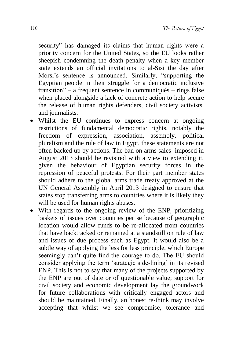security" has damaged its claims that human rights were a priority concern for the United States, so the EU looks rather sheepish condemning the death penalty when a key member state extends an official invitations to al-Sisi the day after Morsi's sentence is announced. Similarly, "supporting the Egyptian people in their struggle for a democratic inclusive transition" – a frequent sentence in communiqués – rings false when placed alongside a lack of concrete action to help secure the release of human rights defenders, civil society activists, and journalists.

- Whilst the EU continues to express concern at ongoing restrictions of fundamental democratic rights, notably the freedom of expression, association, assembly, political pluralism and the rule of law in Egypt, these statements are not often backed up by actions. The ban on arms sales imposed in August 2013 should be revisited with a view to extending it, given the behaviour of Egyptian security forces in the repression of peaceful protests. For their part member states should adhere to the global arms trade treaty approved at the UN General Assembly in April 2013 designed to ensure that states stop transferring arms to countries where it is likely they will be used for human rights abuses.
- With regards to the ongoing review of the ENP, prioritizing baskets of issues over countries per se because of geographic location would allow funds to be re-allocated from countries that have backtracked or remained at a standstill on rule of law and issues of due process such as Egypt. It would also be a subtle way of applying the less for less principle, which Europe seemingly can't quite find the courage to do. The EU should consider applying the term 'strategic side-lining' in its revised ENP. This is not to say that many of the projects supported by the ENP are out of date or of questionable value; support for civil society and economic development lay the groundwork for future collaborations with critically engaged actors and should be maintained. Finally, an honest re-think may involve accepting that whilst we see compromise, tolerance and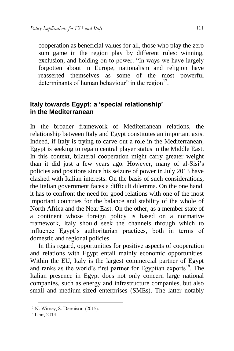cooperation as beneficial values for all, those who play the zero sum game in the region play by different rules: winning, exclusion, and holding on to power. "In ways we have largely forgotten about in Europe, nationalism and religion have reasserted themselves as some of the most powerful determinants of human behaviour" in the region<sup>17</sup>.

## **Italy towards Egypt: a 'special relationship' in the Mediterranean**

In the broader framework of Mediterranean relations, the relationship between Italy and Egypt constitutes an important axis. Indeed, if Italy is trying to carve out a role in the Mediterranean, Egypt is seeking to regain central player status in the Middle East. In this context, bilateral cooperation might carry greater weight than it did just a few years ago. However, many of al-Sisi's policies and positions since his seizure of power in July 2013 have clashed with Italian interests. On the basis of such considerations, the Italian government faces a difficult dilemma. On the one hand, it has to confront the need for good relations with one of the most important countries for the balance and stability of the whole of North Africa and the Near East. On the other, as a member state of a continent whose foreign policy is based on a normative framework, Italy should seek the channels through which to influence Egypt's authoritarian practices, both in terms of domestic and regional policies.

In this regard, opportunities for positive aspects of cooperation and relations with Egypt entail mainly economic opportunities. Within the EU, Italy is the largest commercial partner of Egypt and ranks as the world's first partner for Egyptian exports<sup>18</sup>. The Italian presence in Egypt does not only concern large national companies, such as energy and infrastructure companies, but also small and medium-sized enterprises (SMEs). The latter notably

<sup>17</sup> N. Witney, S. Dennison (2015).

<sup>18</sup> Istat, 2014.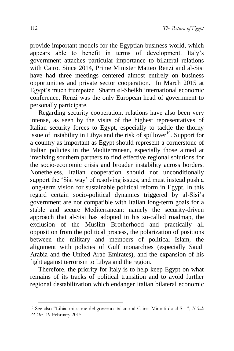provide important models for the Egyptian business world, which appears able to benefit in terms of development. Italy's government attaches particular importance to bilateral relations with Cairo. Since 2014, Prime Minister Matteo Renzi and al-Sisi have had three meetings centered almost entirely on business opportunities and private sector cooperation. In March 2015 at Egypt's much trumpeted Sharm el-Sheikh international economic conference, Renzi was the only European head of government to personally participate.

Regarding security cooperation, relations have also been very intense, as seen by the visits of the highest representatives of Italian security forces to Egypt, especially to tackle the thorny issue of instability in Libya and the risk of spillover<sup>19</sup>. Support for a country as important as Egypt should represent a cornerstone of Italian policies in the Mediterranean, especially those aimed at involving southern partners to find effective regional solutions for the socio-economic crisis and broader instability across borders. Nonetheless, Italian cooperation should not unconditionally support the 'Sisi way' of resolving issues, and must instead push a long-term vision for sustainable political reform in Egypt. In this regard certain socio-political dynamics triggered by al-Sisi's government are not compatible with Italian long-term goals for a stable and secure Mediterranean: namely the security-driven approach that al-Sisi has adopted in his so-called roadmap, the exclusion of the Muslim Brotherhood and practically all opposition from the political process, the polarization of positions between the military and members of political Islam, the alignment with policies of Gulf monarchies (especially Saudi Arabia and the United Arab Emirates), and the expansion of his fight against terrorism to Libya and the region.

Therefore, the priority for Italy is to help keep Egypt on what remains of its tracks of political transition and to avoid further regional destabilization which endanger Italian bilateral economic

<sup>19</sup> See also "Libia, missione del governo italiano al Cairo: Minniti da al-Sisi", *Il Sole 24 Ore*, 19 February 2015.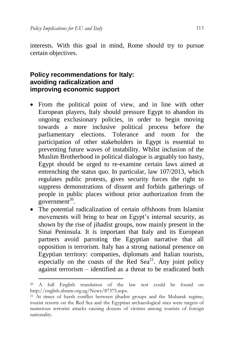1

interests. With this goal in mind, Rome should try to pursue certain objectives.

## **Policy recommendations for Italy: avoiding radicalization and improving economic support**

- From the political point of view, and in line with other European players, Italy should pressure Egypt to abandon its ongoing exclusionary policies, in order to begin moving towards a more inclusive political process before the parliamentary elections. Tolerance and room for the participation of other stakeholders in Egypt is essential to preventing future waves of instability. Whilst inclusion of the Muslim Brotherhood in political dialogue is arguably too hasty, Egypt should be urged to re-examine certain laws aimed at entrenching the status quo. In particular, law 107/2013, which regulates public protests, gives security forces the right to suppress demonstrations of dissent and forbids gatherings of people in public places without prior authorization from the government<sup>20</sup>.
- The potential radicalization of certain offshoots from Islamist movements will bring to bear on Egypt's internal security, as shown by the rise of jihadist groups, now mainly present in the Sinai Peninsula. It is important that Italy and its European partners avoid parroting the Egyptian narrative that all opposition is terrorism. Italy has a strong national presence on Egyptian territory: companies, diplomats and Italian tourists, especially on the coasts of the Red  $\text{Seq}^{21}$ . Any joint policy against terrorism – identified as a threat to be eradicated both

<sup>20</sup> A full English translation of the law test could be found on [http://english.ahram.org.eg/News/87375.aspx.](http://english.ahram.org.eg/News/87375.aspx) 

<sup>21</sup> At times of harsh conflict between jihadist groups and the Mubarak regime, tourist resorts on the Red Sea and the Egyptian archaeological sites were targets of numerous terrorist attacks causing dozens of victims among tourists of foreign nationality.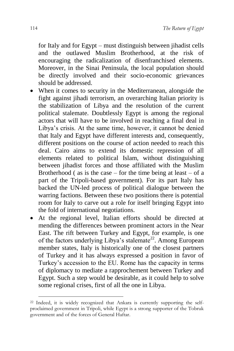for Italy and for Egypt – must distinguish between jihadist cells and the outlawed Muslim Brotherhood, at the risk of encouraging the radicalization of disenfranchised elements. Moreover, in the Sinai Peninsula, the local population should be directly involved and their socio-economic grievances should be addressed.

- When it comes to security in the Mediterranean, alongside the fight against jihadi terrorism, an overarching Italian priority is the stabilization of Libya and the resolution of the current political stalemate. Doubtlessly Egypt is among the regional actors that will have to be involved in reaching a final deal in Libya's crisis. At the same time, however, it cannot be denied that Italy and Egypt have different interests and, consequently, different positions on the course of action needed to reach this deal. Cairo aims to extend its domestic repression of all elements related to political Islam, without distinguishing between jihadist forces and those affiliated with the Muslim Brotherhood ( as is the case – for the time being at least – of a part of the Tripoli-based government). For its part Italy has backed the UN-led process of political dialogue between the warring factions. Between these two positions there is potential room for Italy to carve out a role for itself bringing Egypt into the fold of international negotiations.
- At the regional level, Italian efforts should be directed at mending the differences between prominent actors in the Near East. The rift between Turkey and Egypt, for example, is one of the factors underlying Libya's stalemate<sup>22</sup>. Among European member states, Italy is historically one of the closest partners of Turkey and it has always expressed a position in favor of Turkey's accession to the EU. Rome has the capacity in terms of diplomacy to mediate a rapprochement between Turkey and Egypt. Such a step would be desirable, as it could help to solve some regional crises, first of all the one in Libya.

1

<sup>22</sup> Indeed, it is widely recognized that Ankara is currently supporting the selfproclaimed government in Tripoli, while Egypt is a strong supporter of the Tobruk government and of the forces of General Haftar.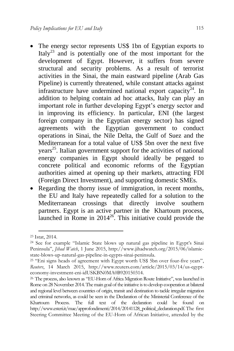- The energy sector represents US\$ 1bn of Egyptian exports to Italy<sup>23</sup> and is potentially one of the most important for the development of Egypt. However, it suffers from severe structural and security problems. As a result of terrorist activities in the Sinai, the main eastward pipeline (Arab Gas Pipeline) is currently threatened, while constant attacks against infrastructure have undermined national export capacity<sup>24</sup>. In addition to helping contain ad hoc attacks, Italy can play an important role in further developing Egypt's energy sector and in improving its efficiency. In particular, ENI (the largest foreign company in the Egyptian energy sector) has signed agreements with the Egyptian government to conduct operations in Sinai, the Nile Delta, the Gulf of Suez and the Mediterranean for a total value of US\$ 5bn over the next five years<sup>25</sup>. Italian government support for the activities of national energy companies in Egypt should ideally be pegged to concrete political and economic reforms of the Egyptian authorities aimed at opening up their markets, attracting FDI (Foreign Direct Investment), and supporting domestic SMEs.
- Regarding the thorny issue of immigration, in recent months, the EU and Italy have repeatedly called for a solution to the Mediterranean crossings that directly involve southern partners. Egypt is an active partner in the Khartoum process, launched in Rome in  $2014^{26}$ . This initiative could provide the

<sup>23</sup> Istat, 2014.

<sup>24</sup> See for example "Islamic State blows up natural gas pipeline in Egypt's Sinai Peninsula", *Jihad Watch*, 1 June 2015, [http://www.jihadwatch.org/2015/06/islamic](http://www.jihadwatch.org/2015/06/islamic-state-blows-up-natural-gas-pipeline-in-egypts-sinai-peninsula)[state-blows-up-natural-gas-pipeline-in-egypts-sinai-peninsula.](http://www.jihadwatch.org/2015/06/islamic-state-blows-up-natural-gas-pipeline-in-egypts-sinai-peninsula) 

<sup>25</sup> "Eni signs heads of agreement with Egypt worth US\$ 5bn over four-five years", *Reuters*, 14 March 2015, [http://www.reuters.com/article/2015/03/14/us-egypt](http://www.reuters.com/article/2015/03/14/us-egypt-economy-investment-eni-idUSKBN0MA0B920150314)[economy-investment-eni-idUSKBN0MA0B920150314.](http://www.reuters.com/article/2015/03/14/us-egypt-economy-investment-eni-idUSKBN0MA0B920150314)

<sup>26</sup> The process, also known as "EU-Horn of Africa Migration Route Initiative", was launched in Rome on 28 November 2014. The main goal of the initiative is to develop cooperation at bilateral and regional level between countries of origin, transit and destination to tackle irregular migration and criminal networks, as could be seen in the Declaration of the Ministerial Conference of the Khartoum Process. The full text of the declaration could be found on [http://www.esteri.it/mae/approfondimenti/2014/20141128\\_political\\_declaration.pdf.](http://www.esteri.it/mae/approfondimenti/2014/20141128_political_declaration.pdf)The first Steering Committee Meeting of the EU-Horn of African Initiative, attended by the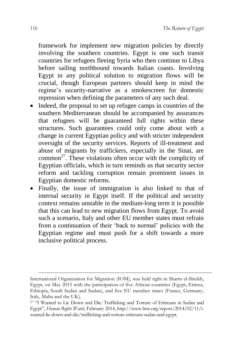framework for implement new migration policies by directly involving the southern countries. Egypt is one such transit countries for refugees fleeing Syria who then continue to Libya before sailing northbound towards Italian coasts. Involving Egypt in any political solution to migration flows will be crucial, though European partners should keep in mind the regime's security-narrative as a smokescreen for domestic repression when defining the parameters of any such deal.

- Indeed, the proposal to set up refugee camps in countries of the southern Mediterranean should be accompanied by assurances that refugees will be guaranteed full rights within these structures. Such guarantees could only come about with a change in current Egyptian policy and with stricter independent oversight of the security services. Reports of ill-treatment and abuse of migrants by traffickers, especially in the Sinai, are common<sup>27</sup>. These violations often occur with the complicity of Egyptian officials, which in turn reminds us that security sector reform and tackling corruption remain prominent issues in Egyptian domestic reforms.
- Finally, the issue of immigration is also linked to that of internal security in Egypt itself. If the political and security context remains unstable in the medium-long term it is possible that this can lead to new migration flows from Egypt. To avoid such a scenario, Italy and other EU member states must refrain from a continuation of their 'back to normal' policies with the Egyptian regime and must push for a shift towards a more inclusive political process.

International Organization for Migration (IOM), was held right in Sharm el-Sheikh, Egypt, on May 2015 with the participation of five African countries (Egypt, Eritrea, Ethiopia, South Sudan and Sudan), and five EU member states (France, Germany, Italy, Malta and the UK).

<sup>27</sup> "I Wanted to Lie Down and Die. Trafficking and Torture of Eritreans in Sudan and Egypt", *Human Rights Watch*, February 2014[, http://www.hrw.org/report/2014/02/11/i](http://www.hrw.org/report/2014/02/11/i-wanted-lie-down-and-die/trafficking-and-torture-eritreans-sudan-and-egypt)[wanted-lie-down-and-die/trafficking-and-torture-eritreans-sudan-and-egypt.](http://www.hrw.org/report/2014/02/11/i-wanted-lie-down-and-die/trafficking-and-torture-eritreans-sudan-and-egypt)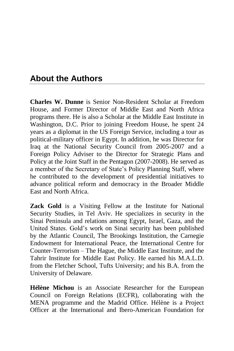## **About the Authors**

**Charles W. Dunne** is Senior Non-Resident Scholar at Freedom House, and Former Director of Middle East and North Africa programs there. He is also a Scholar at the Middle East Institute in Washington, D.C. Prior to joining Freedom House, he spent 24 years as a diplomat in the US Foreign Service, including a tour as political-military officer in Egypt. In addition, he was Director for Iraq at the National Security Council from 2005-2007 and a Foreign Policy Adviser to the Director for Strategic Plans and Policy at the Joint Staff in the Pentagon (2007-2008). He served as a member of the Secretary of State's Policy Planning Staff, where he contributed to the development of presidential initiatives to advance political reform and democracy in the Broader Middle East and North Africa.

**Zack Gold** is a Visiting Fellow at the Institute for National Security Studies, in Tel Aviv. He specializes in security in the Sinai Peninsula and relations among Egypt, Israel, Gaza, and the United States. Gold's work on Sinai security has been published by the Atlantic Council, The Brookings Institution, the Carnegie Endowment for International Peace, the International Centre for Counter-Terrorism – The Hague, the Middle East Institute, and the Tahrir Institute for Middle East Policy. He earned his M.A.L.D. from the Fletcher School, Tufts University; and his B.A. from the University of Delaware.

**Hélène Michou** is an Associate Researcher for the European Council on Foreign Relations (ECFR), collaborating with the MENA programme and the Madrid Office. Hélène is a Project Officer at the International and Ibero-American Foundation for